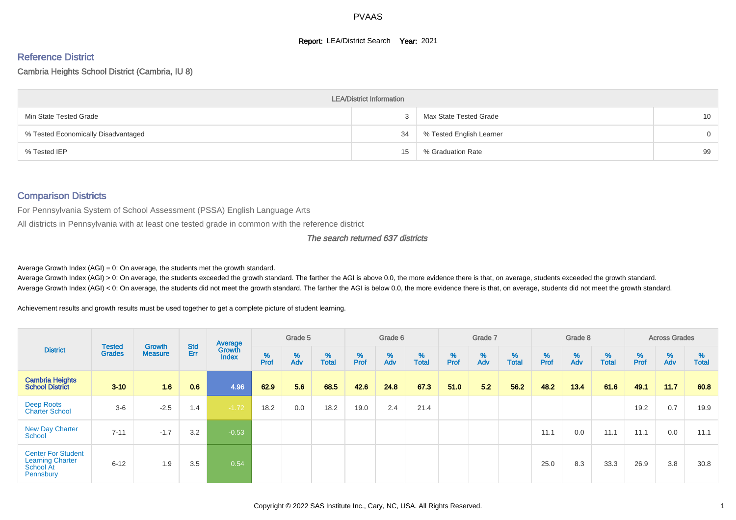#### **Report: LEA/District Search Year: 2021**

# Reference District

#### Cambria Heights School District (Cambria, IU 8)

|                                     | <b>LEA/District Information</b> |                          |                 |
|-------------------------------------|---------------------------------|--------------------------|-----------------|
| Min State Tested Grade              |                                 | Max State Tested Grade   | 10 <sup>°</sup> |
| % Tested Economically Disadvantaged | 34                              | % Tested English Learner | $\Omega$        |
| % Tested IEP                        | 15                              | % Graduation Rate        | 99              |

#### Comparison Districts

For Pennsylvania System of School Assessment (PSSA) English Language Arts

All districts in Pennsylvania with at least one tested grade in common with the reference district

#### The search returned 637 districts

Average Growth Index  $(AGI) = 0$ : On average, the students met the growth standard.

Average Growth Index (AGI) > 0: On average, the students exceeded the growth standard. The farther the AGI is above 0.0, the more evidence there is that, on average, students exceeded the growth standard. Average Growth Index (AGI) < 0: On average, the students did not meet the growth standard. The farther the AGI is below 0.0, the more evidence there is that, on average, students did not meet the growth standard.

Achievement results and growth results must be used together to get a complete picture of student learning.

| <b>District</b>                                                                |                                |                          |                   | Average                |           | Grade 5  |                   |          | Grade 6  |                   |          | Grade 7  |                   |          | Grade 8                 |                   |                  | <b>Across Grades</b> |                   |
|--------------------------------------------------------------------------------|--------------------------------|--------------------------|-------------------|------------------------|-----------|----------|-------------------|----------|----------|-------------------|----------|----------|-------------------|----------|-------------------------|-------------------|------------------|----------------------|-------------------|
|                                                                                | <b>Tested</b><br><b>Grades</b> | Growth<br><b>Measure</b> | <b>Std</b><br>Err | Growth<br><b>Index</b> | %<br>Prof | %<br>Adv | %<br><b>Total</b> | $%$ Prof | %<br>Adv | %<br><b>Total</b> | $%$ Prof | %<br>Adv | %<br><b>Total</b> | $%$ Prof | $\frac{\%}{\text{Adv}}$ | %<br><b>Total</b> | %<br><b>Prof</b> | %<br>Adv             | %<br><b>Total</b> |
| <b>Cambria Heights</b><br><b>School District</b>                               | $3 - 10$                       | 1.6                      | 0.6               | 4.96                   | 62.9      | 5.6      | 68.5              | 42.6     | 24.8     | 67.3              | 51.0     | 52       | 56.2              | 48.2     | 13.4                    | 61.6              | 49.1             | 11.7                 | 60.8              |
| Deep Roots<br><b>Charter School</b>                                            | $3-6$                          | $-2.5$                   | 1.4               | $-1.72$                | 18.2      | 0.0      | 18.2              | 19.0     | 2.4      | 21.4              |          |          |                   |          |                         |                   | 19.2             | 0.7                  | 19.9              |
| <b>New Day Charter</b><br>School                                               | $7 - 11$                       | $-1.7$                   | 3.2               | $-0.53$                |           |          |                   |          |          |                   |          |          |                   | 11.1     | 0.0                     | 11.1              | 11.1             | 0.0                  | 11.1              |
| <b>Center For Student</b><br><b>Learning Charter</b><br>School At<br>Pennsbury | $6 - 12$                       | 1.9                      | 3.5               | 0.54                   |           |          |                   |          |          |                   |          |          |                   | 25.0     | 8.3                     | 33.3              | 26.9             | 3.8                  | 30.8              |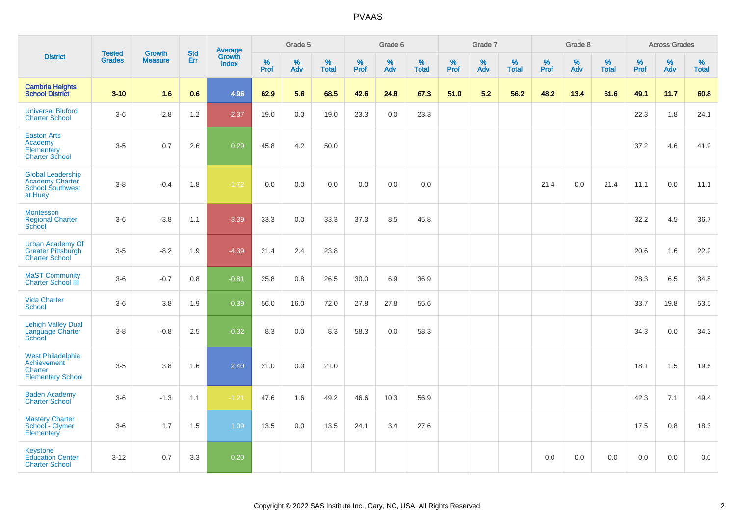|                                                                                          | <b>Tested</b> | <b>Growth</b>  | <b>Std</b> |                                          |           | Grade 5  |                   |           | Grade 6  |                   |           | Grade 7  |                   |           | Grade 8  |                   |           | <b>Across Grades</b> |                   |
|------------------------------------------------------------------------------------------|---------------|----------------|------------|------------------------------------------|-----------|----------|-------------------|-----------|----------|-------------------|-----------|----------|-------------------|-----------|----------|-------------------|-----------|----------------------|-------------------|
| <b>District</b>                                                                          | <b>Grades</b> | <b>Measure</b> | Err        | <b>Average</b><br>Growth<br><b>Index</b> | %<br>Prof | %<br>Adv | %<br><b>Total</b> | %<br>Prof | %<br>Adv | %<br><b>Total</b> | %<br>Prof | %<br>Adv | %<br><b>Total</b> | %<br>Prof | %<br>Adv | %<br><b>Total</b> | %<br>Prof | %<br>Adv             | %<br><b>Total</b> |
| <b>Cambria Heights</b><br><b>School District</b>                                         | $3 - 10$      | 1.6            | 0.6        | 4.96                                     | 62.9      | 5.6      | 68.5              | 42.6      | 24.8     | 67.3              | 51.0      | 5.2      | 56.2              | 48.2      | 13.4     | 61.6              | 49.1      | 11.7                 | 60.8              |
| <b>Universal Bluford</b><br><b>Charter School</b>                                        | $3-6$         | $-2.8$         | 1.2        | $-2.37$                                  | 19.0      | 0.0      | 19.0              | 23.3      | 0.0      | 23.3              |           |          |                   |           |          |                   | 22.3      | 1.8                  | 24.1              |
| <b>Easton Arts</b><br>Academy<br>Elementary<br><b>Charter School</b>                     | $3-5$         | 0.7            | 2.6        | 0.29                                     | 45.8      | 4.2      | 50.0              |           |          |                   |           |          |                   |           |          |                   | 37.2      | 4.6                  | 41.9              |
| <b>Global Leadership</b><br><b>Academy Charter</b><br><b>School Southwest</b><br>at Huey | $3 - 8$       | $-0.4$         | 1.8        | $-1.72$                                  | 0.0       | 0.0      | 0.0               | 0.0       | 0.0      | 0.0               |           |          |                   | 21.4      | 0.0      | 21.4              | 11.1      | 0.0                  | 11.1              |
| Montessori<br><b>Regional Charter</b><br>School                                          | $3-6$         | $-3.8$         | 1.1        | $-3.39$                                  | 33.3      | 0.0      | 33.3              | 37.3      | 8.5      | 45.8              |           |          |                   |           |          |                   | 32.2      | 4.5                  | 36.7              |
| <b>Urban Academy Of</b><br>Greater Pittsburgh<br><b>Charter School</b>                   | $3-5$         | $-8.2$         | 1.9        | $-4.39$                                  | 21.4      | 2.4      | 23.8              |           |          |                   |           |          |                   |           |          |                   | 20.6      | 1.6                  | 22.2              |
| <b>MaST Community</b><br><b>Charter School III</b>                                       | $3-6$         | $-0.7$         | 0.8        | $-0.81$                                  | 25.8      | 0.8      | 26.5              | 30.0      | 6.9      | 36.9              |           |          |                   |           |          |                   | 28.3      | 6.5                  | 34.8              |
| <b>Vida Charter</b><br>School                                                            | $3-6$         | 3.8            | 1.9        | $-0.39$                                  | 56.0      | 16.0     | 72.0              | 27.8      | 27.8     | 55.6              |           |          |                   |           |          |                   | 33.7      | 19.8                 | 53.5              |
| <b>Lehigh Valley Dual</b><br>Language Charter<br>School                                  | $3-8$         | $-0.8$         | 2.5        | $-0.32$                                  | 8.3       | 0.0      | 8.3               | 58.3      | 0.0      | 58.3              |           |          |                   |           |          |                   | 34.3      | 0.0                  | 34.3              |
| <b>West Philadelphia</b><br>Achievement<br>Charter<br><b>Elementary School</b>           | $3-5$         | 3.8            | 1.6        | 2.40                                     | 21.0      | 0.0      | 21.0              |           |          |                   |           |          |                   |           |          |                   | 18.1      | 1.5                  | 19.6              |
| <b>Baden Academy</b><br><b>Charter School</b>                                            | $3-6$         | $-1.3$         | 1.1        | $-1.21$                                  | 47.6      | 1.6      | 49.2              | 46.6      | 10.3     | 56.9              |           |          |                   |           |          |                   | 42.3      | 7.1                  | 49.4              |
| <b>Mastery Charter</b><br>School - Clymer<br>Elementary                                  | $3-6$         | 1.7            | 1.5        | 1.09                                     | 13.5      | 0.0      | 13.5              | 24.1      | 3.4      | 27.6              |           |          |                   |           |          |                   | 17.5      | 0.8                  | 18.3              |
| <b>Keystone</b><br><b>Education Center</b><br><b>Charter School</b>                      | $3 - 12$      | 0.7            | 3.3        | 0.20                                     |           |          |                   |           |          |                   |           |          |                   | 0.0       | 0.0      | 0.0               | 0.0       | 0.0                  | 0.0               |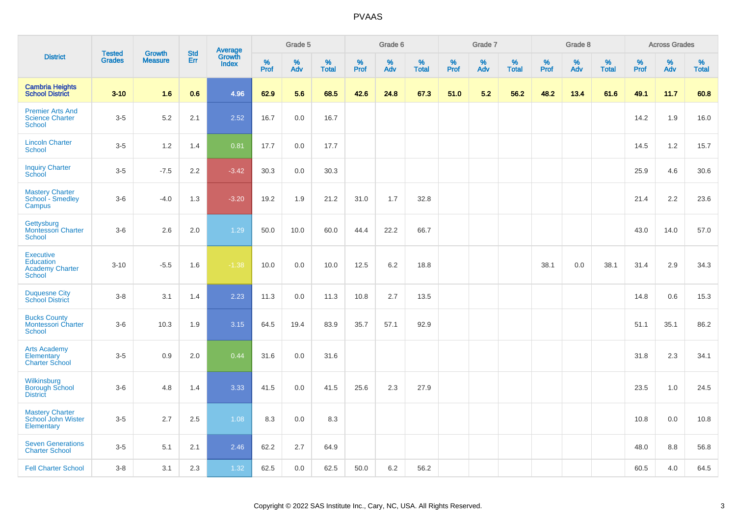|                                                                          |                                |                                 | <b>Std</b> | Average                |           | Grade 5  |                   |           | Grade 6  |                   |           | Grade 7  |                   |           | Grade 8  |                   |           | <b>Across Grades</b> |                   |
|--------------------------------------------------------------------------|--------------------------------|---------------------------------|------------|------------------------|-----------|----------|-------------------|-----------|----------|-------------------|-----------|----------|-------------------|-----------|----------|-------------------|-----------|----------------------|-------------------|
| <b>District</b>                                                          | <b>Tested</b><br><b>Grades</b> | <b>Growth</b><br><b>Measure</b> | Err        | Growth<br><b>Index</b> | %<br>Prof | %<br>Adv | %<br><b>Total</b> | %<br>Prof | %<br>Adv | %<br><b>Total</b> | %<br>Prof | %<br>Adv | %<br><b>Total</b> | %<br>Prof | %<br>Adv | %<br><b>Total</b> | %<br>Prof | %<br>Adv             | %<br><b>Total</b> |
| <b>Cambria Heights</b><br><b>School District</b>                         | $3 - 10$                       | 1.6                             | 0.6        | 4.96                   | 62.9      | 5.6      | 68.5              | 42.6      | 24.8     | 67.3              | 51.0      | 5.2      | 56.2              | 48.2      | 13.4     | 61.6              | 49.1      | 11.7                 | 60.8              |
| <b>Premier Arts And</b><br><b>Science Charter</b><br>School              | $3-5$                          | 5.2                             | 2.1        | 2.52                   | 16.7      | 0.0      | 16.7              |           |          |                   |           |          |                   |           |          |                   | 14.2      | 1.9                  | 16.0              |
| <b>Lincoln Charter</b><br><b>School</b>                                  | $3-5$                          | 1.2                             | 1.4        | 0.81                   | 17.7      | 0.0      | 17.7              |           |          |                   |           |          |                   |           |          |                   | 14.5      | 1.2                  | 15.7              |
| <b>Inquiry Charter</b><br>School                                         | $3-5$                          | $-7.5$                          | 2.2        | $-3.42$                | 30.3      | 0.0      | 30.3              |           |          |                   |           |          |                   |           |          |                   | 25.9      | 4.6                  | 30.6              |
| <b>Mastery Charter</b><br>School - Smedley<br>Campus                     | $3-6$                          | $-4.0$                          | 1.3        | $-3.20$                | 19.2      | 1.9      | 21.2              | 31.0      | 1.7      | 32.8              |           |          |                   |           |          |                   | 21.4      | 2.2                  | 23.6              |
| Gettysburg<br><b>Montessori Charter</b><br><b>School</b>                 | $3-6$                          | 2.6                             | 2.0        | 1.29                   | 50.0      | 10.0     | 60.0              | 44.4      | 22.2     | 66.7              |           |          |                   |           |          |                   | 43.0      | 14.0                 | 57.0              |
| <b>Executive</b><br><b>Education</b><br><b>Academy Charter</b><br>School | $3 - 10$                       | $-5.5$                          | 1.6        | $-1.38$                | 10.0      | 0.0      | 10.0              | 12.5      | 6.2      | 18.8              |           |          |                   | 38.1      | 0.0      | 38.1              | 31.4      | 2.9                  | 34.3              |
| <b>Duquesne City</b><br><b>School District</b>                           | $3 - 8$                        | 3.1                             | 1.4        | 2.23                   | 11.3      | 0.0      | 11.3              | 10.8      | 2.7      | 13.5              |           |          |                   |           |          |                   | 14.8      | 0.6                  | 15.3              |
| <b>Bucks County</b><br><b>Montessori Charter</b><br>School               | $3-6$                          | 10.3                            | 1.9        | 3.15                   | 64.5      | 19.4     | 83.9              | 35.7      | 57.1     | 92.9              |           |          |                   |           |          |                   | 51.1      | 35.1                 | 86.2              |
| <b>Arts Academy</b><br>Elementary<br><b>Charter School</b>               | $3-5$                          | 0.9                             | 2.0        | 0.44                   | 31.6      | 0.0      | 31.6              |           |          |                   |           |          |                   |           |          |                   | 31.8      | 2.3                  | 34.1              |
| Wilkinsburg<br><b>Borough School</b><br><b>District</b>                  | $3-6$                          | 4.8                             | 1.4        | 3.33                   | 41.5      | 0.0      | 41.5              | 25.6      | 2.3      | 27.9              |           |          |                   |           |          |                   | 23.5      | 1.0                  | 24.5              |
| <b>Mastery Charter</b><br>School John Wister<br>Elementary               | $3-5$                          | 2.7                             | 2.5        | 1.08                   | 8.3       | 0.0      | 8.3               |           |          |                   |           |          |                   |           |          |                   | 10.8      | 0.0                  | 10.8              |
| <b>Seven Generations</b><br><b>Charter School</b>                        | $3-5$                          | 5.1                             | 2.1        | 2.46                   | 62.2      | 2.7      | 64.9              |           |          |                   |           |          |                   |           |          |                   | 48.0      | 8.8                  | 56.8              |
| <b>Fell Charter School</b>                                               | $3 - 8$                        | 3.1                             | 2.3        | 1.32                   | 62.5      | 0.0      | 62.5              | 50.0      | 6.2      | 56.2              |           |          |                   |           |          |                   | 60.5      | 4.0                  | 64.5              |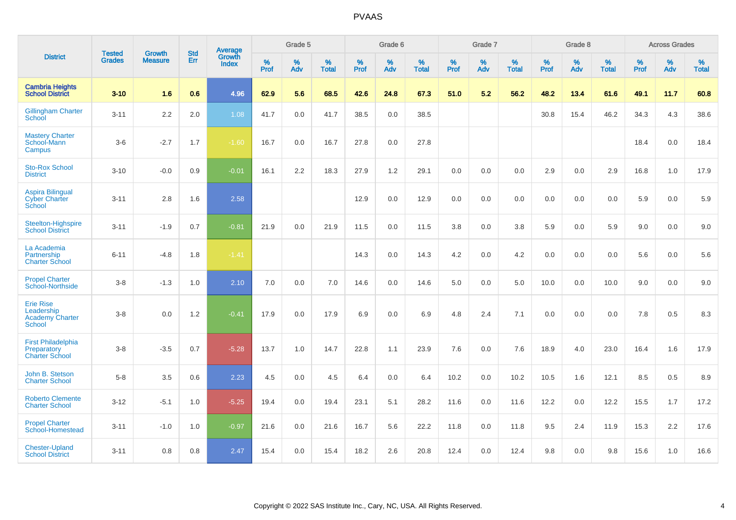|                                                                    |                                |                                 | <b>Std</b> | Average                |           | Grade 5  |                   |           | Grade 6  |                   |           | Grade 7  |                   |           | Grade 8  |                   |           | <b>Across Grades</b> |                   |
|--------------------------------------------------------------------|--------------------------------|---------------------------------|------------|------------------------|-----------|----------|-------------------|-----------|----------|-------------------|-----------|----------|-------------------|-----------|----------|-------------------|-----------|----------------------|-------------------|
| <b>District</b>                                                    | <b>Tested</b><br><b>Grades</b> | <b>Growth</b><br><b>Measure</b> | Err        | Growth<br><b>Index</b> | %<br>Prof | %<br>Adv | %<br><b>Total</b> | %<br>Prof | %<br>Adv | %<br><b>Total</b> | %<br>Prof | %<br>Adv | %<br><b>Total</b> | %<br>Prof | %<br>Adv | %<br><b>Total</b> | %<br>Prof | %<br>Adv             | %<br><b>Total</b> |
| <b>Cambria Heights</b><br><b>School District</b>                   | $3 - 10$                       | 1.6                             | 0.6        | 4.96                   | 62.9      | 5.6      | 68.5              | 42.6      | 24.8     | 67.3              | 51.0      | 5.2      | 56.2              | 48.2      | 13.4     | 61.6              | 49.1      | 11.7                 | 60.8              |
| <b>Gillingham Charter</b><br>School                                | $3 - 11$                       | 2.2                             | 2.0        | 1.08                   | 41.7      | 0.0      | 41.7              | 38.5      | 0.0      | 38.5              |           |          |                   | 30.8      | 15.4     | 46.2              | 34.3      | 4.3                  | 38.6              |
| <b>Mastery Charter</b><br>School-Mann<br>Campus                    | $3-6$                          | $-2.7$                          | 1.7        | $-1.60$                | 16.7      | 0.0      | 16.7              | 27.8      | 0.0      | 27.8              |           |          |                   |           |          |                   | 18.4      | 0.0                  | 18.4              |
| <b>Sto-Rox School</b><br><b>District</b>                           | $3 - 10$                       | $-0.0$                          | 0.9        | $-0.01$                | 16.1      | 2.2      | 18.3              | 27.9      | 1.2      | 29.1              | 0.0       | 0.0      | 0.0               | 2.9       | 0.0      | 2.9               | 16.8      | 1.0                  | 17.9              |
| <b>Aspira Bilingual</b><br><b>Cyber Charter</b><br>School          | $3 - 11$                       | 2.8                             | 1.6        | 2.58                   |           |          |                   | 12.9      | 0.0      | 12.9              | 0.0       | 0.0      | 0.0               | 0.0       | 0.0      | 0.0               | 5.9       | 0.0                  | 5.9               |
| Steelton-Highspire<br><b>School District</b>                       | $3 - 11$                       | $-1.9$                          | 0.7        | $-0.81$                | 21.9      | 0.0      | 21.9              | 11.5      | 0.0      | 11.5              | 3.8       | 0.0      | 3.8               | 5.9       | 0.0      | 5.9               | 9.0       | 0.0                  | 9.0               |
| La Academia<br>Partnership<br><b>Charter School</b>                | $6 - 11$                       | $-4.8$                          | 1.8        | $-1.41$                |           |          |                   | 14.3      | 0.0      | 14.3              | 4.2       | 0.0      | 4.2               | 0.0       | 0.0      | 0.0               | 5.6       | 0.0                  | 5.6               |
| <b>Propel Charter</b><br>School-Northside                          | $3 - 8$                        | $-1.3$                          | 1.0        | 2.10                   | 7.0       | 0.0      | 7.0               | 14.6      | $0.0\,$  | 14.6              | 5.0       | $0.0\,$  | 5.0               | 10.0      | $0.0\,$  | 10.0              | 9.0       | $0.0\,$              | 9.0               |
| <b>Erie Rise</b><br>Leadership<br><b>Academy Charter</b><br>School | $3 - 8$                        | 0.0                             | $1.2$      | $-0.41$                | 17.9      | 0.0      | 17.9              | 6.9       | 0.0      | 6.9               | 4.8       | 2.4      | 7.1               | 0.0       | 0.0      | 0.0               | 7.8       | 0.5                  | 8.3               |
| <b>First Philadelphia</b><br>Preparatory<br><b>Charter School</b>  | $3 - 8$                        | $-3.5$                          | 0.7        | $-5.28$                | 13.7      | 1.0      | 14.7              | 22.8      | 1.1      | 23.9              | 7.6       | 0.0      | 7.6               | 18.9      | 4.0      | 23.0              | 16.4      | 1.6                  | 17.9              |
| John B. Stetson<br><b>Charter School</b>                           | $5 - 8$                        | 3.5                             | 0.6        | 2.23                   | 4.5       | 0.0      | 4.5               | 6.4       | 0.0      | 6.4               | 10.2      | 0.0      | 10.2              | 10.5      | 1.6      | 12.1              | 8.5       | 0.5                  | 8.9               |
| <b>Roberto Clemente</b><br><b>Charter School</b>                   | $3 - 12$                       | $-5.1$                          | 1.0        | $-5.25$                | 19.4      | 0.0      | 19.4              | 23.1      | 5.1      | 28.2              | 11.6      | 0.0      | 11.6              | 12.2      | 0.0      | 12.2              | 15.5      | 1.7                  | 17.2              |
| <b>Propel Charter</b><br>School-Homestead                          | $3 - 11$                       | $-1.0$                          | 1.0        | $-0.97$                | 21.6      | 0.0      | 21.6              | 16.7      | 5.6      | 22.2              | 11.8      | 0.0      | 11.8              | 9.5       | 2.4      | 11.9              | 15.3      | 2.2                  | 17.6              |
| <b>Chester-Upland</b><br><b>School District</b>                    | $3 - 11$                       | 0.8                             | 0.8        | 2.47                   | 15.4      | 0.0      | 15.4              | 18.2      | 2.6      | 20.8              | 12.4      | 0.0      | 12.4              | 9.8       | 0.0      | 9.8               | 15.6      | 1.0                  | 16.6              |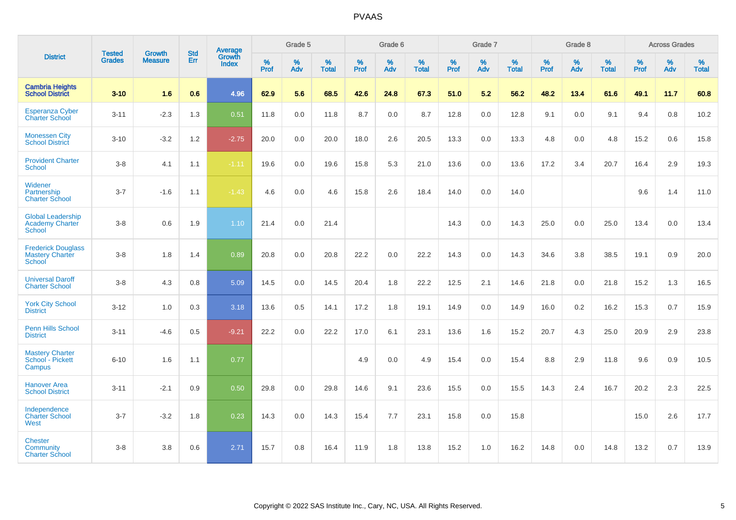|                                                                     |                                |                                 | <b>Std</b> | Average                |              | Grade 5  |                   |           | Grade 6  |                   |           | Grade 7  |                   |           | Grade 8  |                   |           | <b>Across Grades</b> |                   |
|---------------------------------------------------------------------|--------------------------------|---------------------------------|------------|------------------------|--------------|----------|-------------------|-----------|----------|-------------------|-----------|----------|-------------------|-----------|----------|-------------------|-----------|----------------------|-------------------|
| <b>District</b>                                                     | <b>Tested</b><br><b>Grades</b> | <b>Growth</b><br><b>Measure</b> | Err        | Growth<br><b>Index</b> | $\%$<br>Prof | %<br>Adv | %<br><b>Total</b> | %<br>Prof | %<br>Adv | %<br><b>Total</b> | %<br>Prof | %<br>Adv | %<br><b>Total</b> | %<br>Prof | %<br>Adv | %<br><b>Total</b> | %<br>Prof | %<br>Adv             | %<br><b>Total</b> |
| <b>Cambria Heights</b><br><b>School District</b>                    | $3 - 10$                       | 1.6                             | 0.6        | 4.96                   | 62.9         | 5.6      | 68.5              | 42.6      | 24.8     | 67.3              | 51.0      | 5.2      | 56.2              | 48.2      | 13.4     | 61.6              | 49.1      | 11.7                 | 60.8              |
| <b>Esperanza Cyber</b><br><b>Charter School</b>                     | $3 - 11$                       | $-2.3$                          | 1.3        | 0.51                   | 11.8         | 0.0      | 11.8              | 8.7       | 0.0      | 8.7               | 12.8      | 0.0      | 12.8              | 9.1       | 0.0      | 9.1               | 9.4       | 0.8                  | 10.2              |
| <b>Monessen City</b><br><b>School District</b>                      | $3 - 10$                       | $-3.2$                          | 1.2        | $-2.75$                | 20.0         | 0.0      | 20.0              | 18.0      | 2.6      | 20.5              | 13.3      | 0.0      | 13.3              | 4.8       | 0.0      | 4.8               | 15.2      | 0.6                  | 15.8              |
| <b>Provident Charter</b><br>School                                  | $3-8$                          | 4.1                             | 1.1        | $-1.11$                | 19.6         | 0.0      | 19.6              | 15.8      | 5.3      | 21.0              | 13.6      | 0.0      | 13.6              | 17.2      | 3.4      | 20.7              | 16.4      | 2.9                  | 19.3              |
| Widener<br>Partnership<br><b>Charter School</b>                     | $3 - 7$                        | $-1.6$                          | 1.1        | $-1.43$                | 4.6          | 0.0      | 4.6               | 15.8      | 2.6      | 18.4              | 14.0      | 0.0      | 14.0              |           |          |                   | 9.6       | 1.4                  | 11.0              |
| <b>Global Leadership</b><br><b>Academy Charter</b><br><b>School</b> | $3-8$                          | 0.6                             | 1.9        | 1.10                   | 21.4         | 0.0      | 21.4              |           |          |                   | 14.3      | 0.0      | 14.3              | 25.0      | 0.0      | 25.0              | 13.4      | 0.0                  | 13.4              |
| <b>Frederick Douglass</b><br><b>Mastery Charter</b><br>School       | $3-8$                          | 1.8                             | 1.4        | 0.89                   | 20.8         | 0.0      | 20.8              | 22.2      | 0.0      | 22.2              | 14.3      | 0.0      | 14.3              | 34.6      | 3.8      | 38.5              | 19.1      | 0.9                  | 20.0              |
| <b>Universal Daroff</b><br><b>Charter School</b>                    | $3-8$                          | 4.3                             | 0.8        | 5.09                   | 14.5         | 0.0      | 14.5              | 20.4      | 1.8      | 22.2              | 12.5      | 2.1      | 14.6              | 21.8      | 0.0      | 21.8              | 15.2      | 1.3                  | 16.5              |
| <b>York City School</b><br><b>District</b>                          | $3 - 12$                       | 1.0                             | 0.3        | 3.18                   | 13.6         | 0.5      | 14.1              | 17.2      | 1.8      | 19.1              | 14.9      | 0.0      | 14.9              | 16.0      | 0.2      | 16.2              | 15.3      | 0.7                  | 15.9              |
| <b>Penn Hills School</b><br><b>District</b>                         | $3 - 11$                       | $-4.6$                          | 0.5        | $-9.21$                | 22.2         | 0.0      | 22.2              | 17.0      | 6.1      | 23.1              | 13.6      | 1.6      | 15.2              | 20.7      | 4.3      | 25.0              | 20.9      | 2.9                  | 23.8              |
| <b>Mastery Charter</b><br>School - Pickett<br>Campus                | $6 - 10$                       | 1.6                             | 1.1        | 0.77                   |              |          |                   | 4.9       | 0.0      | 4.9               | 15.4      | 0.0      | 15.4              | 8.8       | 2.9      | 11.8              | 9.6       | 0.9                  | 10.5              |
| <b>Hanover Area</b><br><b>School District</b>                       | $3 - 11$                       | $-2.1$                          | 0.9        | 0.50                   | 29.8         | 0.0      | 29.8              | 14.6      | 9.1      | 23.6              | 15.5      | 0.0      | 15.5              | 14.3      | 2.4      | 16.7              | 20.2      | 2.3                  | 22.5              |
| Independence<br><b>Charter School</b><br>West                       | $3 - 7$                        | $-3.2$                          | 1.8        | 0.23                   | 14.3         | 0.0      | 14.3              | 15.4      | 7.7      | 23.1              | 15.8      | 0.0      | 15.8              |           |          |                   | 15.0      | 2.6                  | 17.7              |
| <b>Chester</b><br>Community<br><b>Charter School</b>                | $3-8$                          | 3.8                             | 0.6        | 2.71                   | 15.7         | 0.8      | 16.4              | 11.9      | 1.8      | 13.8              | 15.2      | 1.0      | 16.2              | 14.8      | 0.0      | 14.8              | 13.2      | 0.7                  | 13.9              |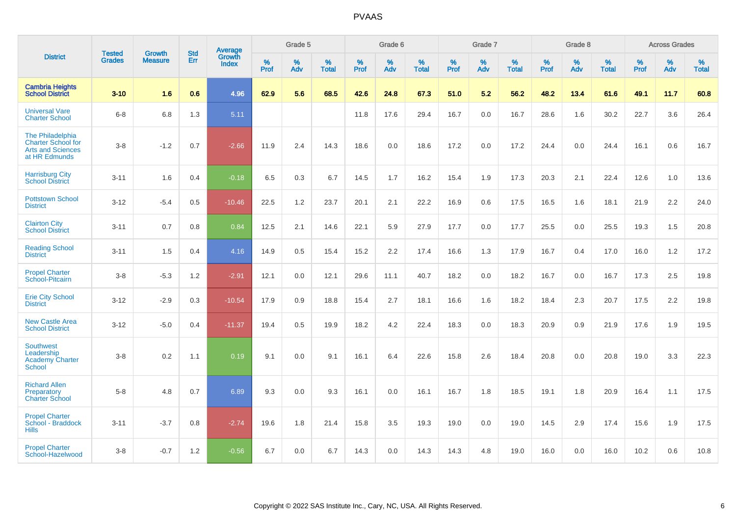|                                                                                            | <b>Tested</b> | <b>Growth</b>  | <b>Std</b> | Average                |                     | Grade 5  |                   |              | Grade 6  |                   |              | Grade 7  |                   |              | Grade 8  |                   |           | <b>Across Grades</b> |                   |
|--------------------------------------------------------------------------------------------|---------------|----------------|------------|------------------------|---------------------|----------|-------------------|--------------|----------|-------------------|--------------|----------|-------------------|--------------|----------|-------------------|-----------|----------------------|-------------------|
| <b>District</b>                                                                            | <b>Grades</b> | <b>Measure</b> | <b>Err</b> | Growth<br><b>Index</b> | $\%$<br><b>Prof</b> | %<br>Adv | %<br><b>Total</b> | $\%$<br>Prof | %<br>Adv | %<br><b>Total</b> | $\%$<br>Prof | %<br>Adv | %<br><b>Total</b> | $\%$<br>Prof | %<br>Adv | %<br><b>Total</b> | %<br>Prof | %<br>Adv             | %<br><b>Total</b> |
| <b>Cambria Heights</b><br><b>School District</b>                                           | $3 - 10$      | 1.6            | 0.6        | 4.96                   | 62.9                | 5.6      | 68.5              | 42.6         | 24.8     | 67.3              | 51.0         | 5.2      | 56.2              | 48.2         | 13.4     | 61.6              | 49.1      | 11.7                 | 60.8              |
| <b>Universal Vare</b><br><b>Charter School</b>                                             | $6 - 8$       | 6.8            | 1.3        | 5.11                   |                     |          |                   | 11.8         | 17.6     | 29.4              | 16.7         | 0.0      | 16.7              | 28.6         | 1.6      | 30.2              | 22.7      | 3.6                  | 26.4              |
| The Philadelphia<br><b>Charter School for</b><br><b>Arts and Sciences</b><br>at HR Edmunds | $3 - 8$       | $-1.2$         | 0.7        | $-2.66$                | 11.9                | 2.4      | 14.3              | 18.6         | 0.0      | 18.6              | 17.2         | 0.0      | 17.2              | 24.4         | 0.0      | 24.4              | 16.1      | 0.6                  | 16.7              |
| <b>Harrisburg City</b><br><b>School District</b>                                           | $3 - 11$      | 1.6            | 0.4        | $-0.18$                | 6.5                 | 0.3      | 6.7               | 14.5         | 1.7      | 16.2              | 15.4         | 1.9      | 17.3              | 20.3         | 2.1      | 22.4              | 12.6      | 1.0                  | 13.6              |
| <b>Pottstown School</b><br><b>District</b>                                                 | $3 - 12$      | $-5.4$         | 0.5        | $-10.46$               | 22.5                | 1.2      | 23.7              | 20.1         | 2.1      | 22.2              | 16.9         | 0.6      | 17.5              | 16.5         | 1.6      | 18.1              | 21.9      | 2.2                  | 24.0              |
| <b>Clairton City</b><br><b>School District</b>                                             | $3 - 11$      | 0.7            | 0.8        | 0.84                   | 12.5                | 2.1      | 14.6              | 22.1         | 5.9      | 27.9              | 17.7         | 0.0      | 17.7              | 25.5         | 0.0      | 25.5              | 19.3      | 1.5                  | 20.8              |
| <b>Reading School</b><br><b>District</b>                                                   | $3 - 11$      | 1.5            | 0.4        | 4.16                   | 14.9                | 0.5      | 15.4              | 15.2         | 2.2      | 17.4              | 16.6         | 1.3      | 17.9              | 16.7         | 0.4      | 17.0              | 16.0      | 1.2                  | 17.2              |
| <b>Propel Charter</b><br>School-Pitcairn                                                   | $3 - 8$       | $-5.3$         | 1.2        | $-2.91$                | 12.1                | 0.0      | 12.1              | 29.6         | 11.1     | 40.7              | 18.2         | 0.0      | 18.2              | 16.7         | 0.0      | 16.7              | 17.3      | 2.5                  | 19.8              |
| <b>Erie City School</b><br><b>District</b>                                                 | $3 - 12$      | $-2.9$         | 0.3        | $-10.54$               | 17.9                | 0.9      | 18.8              | 15.4         | 2.7      | 18.1              | 16.6         | 1.6      | 18.2              | 18.4         | 2.3      | 20.7              | 17.5      | 2.2                  | 19.8              |
| <b>New Castle Area</b><br><b>School District</b>                                           | $3 - 12$      | $-5.0$         | 0.4        | $-11.37$               | 19.4                | 0.5      | 19.9              | 18.2         | 4.2      | 22.4              | 18.3         | 0.0      | 18.3              | 20.9         | 0.9      | 21.9              | 17.6      | 1.9                  | 19.5              |
| <b>Southwest</b><br>Leadership<br><b>Academy Charter</b><br>School                         | $3 - 8$       | 0.2            | 1.1        | 0.19                   | 9.1                 | $0.0\,$  | 9.1               | 16.1         | 6.4      | 22.6              | 15.8         | 2.6      | 18.4              | 20.8         | 0.0      | 20.8              | 19.0      | 3.3                  | 22.3              |
| <b>Richard Allen</b><br>Preparatory<br><b>Charter School</b>                               | $5 - 8$       | 4.8            | 0.7        | 6.89                   | 9.3                 | 0.0      | 9.3               | 16.1         | 0.0      | 16.1              | 16.7         | 1.8      | 18.5              | 19.1         | 1.8      | 20.9              | 16.4      | 1.1                  | 17.5              |
| <b>Propel Charter</b><br>School - Braddock<br><b>Hills</b>                                 | $3 - 11$      | $-3.7$         | 0.8        | $-2.74$                | 19.6                | 1.8      | 21.4              | 15.8         | 3.5      | 19.3              | 19.0         | 0.0      | 19.0              | 14.5         | 2.9      | 17.4              | 15.6      | 1.9                  | 17.5              |
| <b>Propel Charter</b><br>School-Hazelwood                                                  | $3 - 8$       | $-0.7$         | 1.2        | $-0.56$                | 6.7                 | 0.0      | 6.7               | 14.3         | 0.0      | 14.3              | 14.3         | 4.8      | 19.0              | 16.0         | 0.0      | 16.0              | 10.2      | 0.6                  | 10.8              |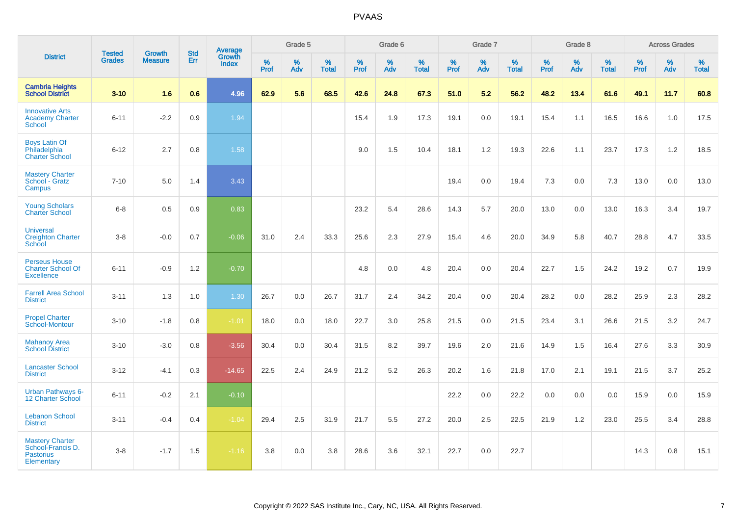|                                                                               | <b>Tested</b> | <b>Growth</b>  | <b>Std</b> | Average                |           | Grade 5  |                   |           | Grade 6  |                   |           | Grade 7  |                   |           | Grade 8  |                   |           | <b>Across Grades</b> |                   |
|-------------------------------------------------------------------------------|---------------|----------------|------------|------------------------|-----------|----------|-------------------|-----------|----------|-------------------|-----------|----------|-------------------|-----------|----------|-------------------|-----------|----------------------|-------------------|
| <b>District</b>                                                               | <b>Grades</b> | <b>Measure</b> | Err        | Growth<br><b>Index</b> | %<br>Prof | %<br>Adv | %<br><b>Total</b> | %<br>Prof | %<br>Adv | %<br><b>Total</b> | %<br>Prof | %<br>Adv | %<br><b>Total</b> | %<br>Prof | %<br>Adv | %<br><b>Total</b> | %<br>Prof | %<br>Adv             | %<br><b>Total</b> |
| <b>Cambria Heights</b><br><b>School District</b>                              | $3 - 10$      | 1.6            | 0.6        | 4.96                   | 62.9      | 5.6      | 68.5              | 42.6      | 24.8     | 67.3              | 51.0      | 5.2      | 56.2              | 48.2      | 13.4     | 61.6              | 49.1      | 11.7                 | 60.8              |
| <b>Innovative Arts</b><br><b>Academy Charter</b><br>School                    | $6 - 11$      | $-2.2$         | 0.9        | 1.94                   |           |          |                   | 15.4      | 1.9      | 17.3              | 19.1      | 0.0      | 19.1              | 15.4      | 1.1      | 16.5              | 16.6      | 1.0                  | 17.5              |
| <b>Boys Latin Of</b><br>Philadelphia<br><b>Charter School</b>                 | $6 - 12$      | 2.7            | 0.8        | 1.58                   |           |          |                   | 9.0       | 1.5      | 10.4              | 18.1      | 1.2      | 19.3              | 22.6      | 1.1      | 23.7              | 17.3      | 1.2                  | 18.5              |
| <b>Mastery Charter</b><br>School - Gratz<br>Campus                            | $7 - 10$      | 5.0            | 1.4        | 3.43                   |           |          |                   |           |          |                   | 19.4      | 0.0      | 19.4              | 7.3       | 0.0      | 7.3               | 13.0      | 0.0                  | 13.0              |
| <b>Young Scholars</b><br><b>Charter School</b>                                | $6-8$         | 0.5            | 0.9        | 0.83                   |           |          |                   | 23.2      | 5.4      | 28.6              | 14.3      | 5.7      | 20.0              | 13.0      | 0.0      | 13.0              | 16.3      | 3.4                  | 19.7              |
| <b>Universal</b><br><b>Creighton Charter</b><br>School                        | $3-8$         | $-0.0$         | 0.7        | $-0.06$                | 31.0      | 2.4      | 33.3              | 25.6      | 2.3      | 27.9              | 15.4      | 4.6      | 20.0              | 34.9      | 5.8      | 40.7              | 28.8      | 4.7                  | 33.5              |
| <b>Perseus House</b><br><b>Charter School Of</b><br><b>Excellence</b>         | $6 - 11$      | $-0.9$         | 1.2        | $-0.70$                |           |          |                   | 4.8       | 0.0      | 4.8               | 20.4      | 0.0      | 20.4              | 22.7      | 1.5      | 24.2              | 19.2      | 0.7                  | 19.9              |
| <b>Farrell Area School</b><br><b>District</b>                                 | $3 - 11$      | 1.3            | 1.0        | 1.30                   | 26.7      | 0.0      | 26.7              | 31.7      | 2.4      | 34.2              | 20.4      | 0.0      | 20.4              | 28.2      | 0.0      | 28.2              | 25.9      | 2.3                  | 28.2              |
| <b>Propel Charter</b><br>School-Montour                                       | $3 - 10$      | $-1.8$         | 0.8        | $-1.01$                | 18.0      | 0.0      | 18.0              | 22.7      | 3.0      | 25.8              | 21.5      | 0.0      | 21.5              | 23.4      | 3.1      | 26.6              | 21.5      | 3.2                  | 24.7              |
| <b>Mahanoy Area</b><br><b>School District</b>                                 | $3 - 10$      | $-3.0$         | 0.8        | $-3.56$                | 30.4      | 0.0      | 30.4              | 31.5      | 8.2      | 39.7              | 19.6      | 2.0      | 21.6              | 14.9      | 1.5      | 16.4              | 27.6      | 3.3                  | 30.9              |
| <b>Lancaster School</b><br><b>District</b>                                    | $3 - 12$      | $-4.1$         | 0.3        | $-14.65$               | 22.5      | 2.4      | 24.9              | 21.2      | 5.2      | 26.3              | 20.2      | 1.6      | 21.8              | 17.0      | 2.1      | 19.1              | 21.5      | 3.7                  | 25.2              |
| <b>Urban Pathways 6-</b><br>12 Charter School                                 | $6 - 11$      | $-0.2$         | 2.1        | $-0.10$                |           |          |                   |           |          |                   | 22.2      | 0.0      | 22.2              | 0.0       | 0.0      | 0.0               | 15.9      | 0.0                  | 15.9              |
| <b>Lebanon School</b><br><b>District</b>                                      | $3 - 11$      | $-0.4$         | 0.4        | $-1.04$                | 29.4      | 2.5      | 31.9              | 21.7      | 5.5      | 27.2              | 20.0      | 2.5      | 22.5              | 21.9      | 1.2      | 23.0              | 25.5      | 3.4                  | 28.8              |
| <b>Mastery Charter</b><br>School-Francis D.<br><b>Pastorius</b><br>Elementary | $3-8$         | $-1.7$         | 1.5        | $-1.16$                | 3.8       | 0.0      | 3.8               | 28.6      | 3.6      | 32.1              | 22.7      | 0.0      | 22.7              |           |          |                   | 14.3      | 0.8                  | 15.1              |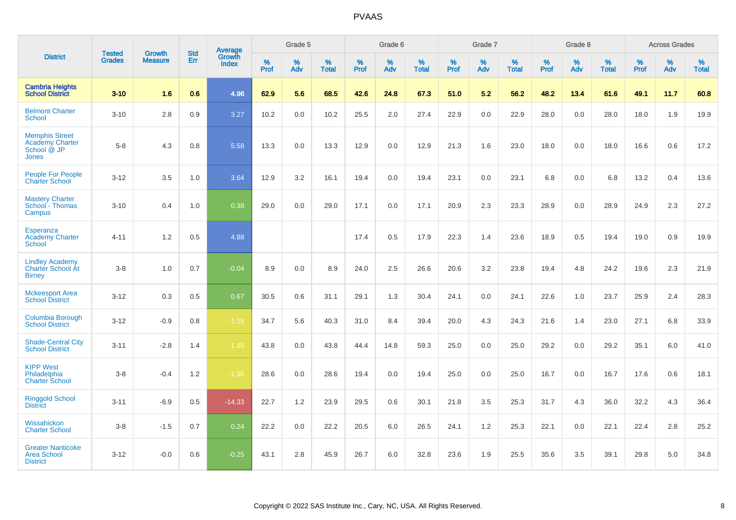|                                                                                | <b>Tested</b> | <b>Growth</b>  | <b>Std</b> | Average                |           | Grade 5  |                   |           | Grade 6  |                   |           | Grade 7  |                   |           | Grade 8  |                   |           | <b>Across Grades</b> |                   |
|--------------------------------------------------------------------------------|---------------|----------------|------------|------------------------|-----------|----------|-------------------|-----------|----------|-------------------|-----------|----------|-------------------|-----------|----------|-------------------|-----------|----------------------|-------------------|
| <b>District</b>                                                                | <b>Grades</b> | <b>Measure</b> | Err        | Growth<br><b>Index</b> | %<br>Prof | %<br>Adv | %<br><b>Total</b> | %<br>Prof | %<br>Adv | %<br><b>Total</b> | %<br>Prof | %<br>Adv | %<br><b>Total</b> | %<br>Prof | %<br>Adv | %<br><b>Total</b> | %<br>Prof | %<br>Adv             | %<br><b>Total</b> |
| <b>Cambria Heights</b><br><b>School District</b>                               | $3 - 10$      | 1.6            | 0.6        | 4.96                   | 62.9      | 5.6      | 68.5              | 42.6      | 24.8     | 67.3              | 51.0      | 5.2      | 56.2              | 48.2      | 13.4     | 61.6              | 49.1      | 11.7                 | 60.8              |
| <b>Belmont Charter</b><br><b>School</b>                                        | $3 - 10$      | 2.8            | 0.9        | 3.27                   | 10.2      | 0.0      | 10.2              | 25.5      | 2.0      | 27.4              | 22.9      | 0.0      | 22.9              | 28.0      | 0.0      | 28.0              | 18.0      | 1.9                  | 19.9              |
| <b>Memphis Street</b><br><b>Academy Charter</b><br>School @ JP<br><b>Jones</b> | $5 - 8$       | 4.3            | 0.8        | 5.58                   | 13.3      | 0.0      | 13.3              | 12.9      | 0.0      | 12.9              | 21.3      | 1.6      | 23.0              | 18.0      | 0.0      | 18.0              | 16.6      | 0.6                  | 17.2              |
| <b>People For People</b><br><b>Charter School</b>                              | $3 - 12$      | 3.5            | 1.0        | 3.64                   | 12.9      | 3.2      | 16.1              | 19.4      | 0.0      | 19.4              | 23.1      | 0.0      | 23.1              | 6.8       | 0.0      | 6.8               | 13.2      | 0.4                  | 13.6              |
| <b>Mastery Charter</b><br>School - Thomas<br>Campus                            | $3 - 10$      | 0.4            | 1.0        | 0.38                   | 29.0      | 0.0      | 29.0              | 17.1      | 0.0      | 17.1              | 20.9      | 2.3      | 23.3              | 28.9      | 0.0      | 28.9              | 24.9      | 2.3                  | 27.2              |
| <b>Esperanza</b><br><b>Academy Charter</b><br>School                           | $4 - 11$      | 1.2            | 0.5        | 4.88                   |           |          |                   | 17.4      | 0.5      | 17.9              | 22.3      | 1.4      | 23.6              | 18.9      | 0.5      | 19.4              | 19.0      | 0.9                  | 19.9              |
| <b>Lindley Academy</b><br><b>Charter School At</b><br><b>Birney</b>            | $3 - 8$       | 1.0            | 0.7        | $-0.04$                | 8.9       | 0.0      | 8.9               | 24.0      | 2.5      | 26.6              | 20.6      | 3.2      | 23.8              | 19.4      | 4.8      | 24.2              | 19.6      | 2.3                  | 21.9              |
| <b>Mckeesport Area</b><br><b>School District</b>                               | $3 - 12$      | 0.3            | 0.5        | 0.67                   | 30.5      | 0.6      | 31.1              | 29.1      | 1.3      | 30.4              | 24.1      | 0.0      | 24.1              | 22.6      | 1.0      | 23.7              | 25.9      | 2.4                  | 28.3              |
| Columbia Borough<br><b>School District</b>                                     | $3 - 12$      | $-0.9$         | 0.8        | $-1.18$                | 34.7      | 5.6      | 40.3              | 31.0      | 8.4      | 39.4              | 20.0      | 4.3      | 24.3              | 21.6      | 1.4      | 23.0              | 27.1      | 6.8                  | 33.9              |
| <b>Shade-Central City</b><br><b>School District</b>                            | $3 - 11$      | $-2.8$         | 1.4        | $-1.99$                | 43.8      | 0.0      | 43.8              | 44.4      | 14.8     | 59.3              | 25.0      | 0.0      | 25.0              | 29.2      | 0.0      | 29.2              | 35.1      | 6.0                  | 41.0              |
| <b>KIPP West</b><br>Philadelphia<br><b>Charter School</b>                      | $3 - 8$       | $-0.4$         | 1.2        | $-1.95$                | 28.6      | 0.0      | 28.6              | 19.4      | 0.0      | 19.4              | 25.0      | 0.0      | 25.0              | 16.7      | 0.0      | 16.7              | 17.6      | $0.6\,$              | 18.1              |
| <b>Ringgold School</b><br><b>District</b>                                      | $3 - 11$      | $-6.9$         | 0.5        | $-14.33$               | 22.7      | 1.2      | 23.9              | 29.5      | 0.6      | 30.1              | 21.8      | 3.5      | 25.3              | 31.7      | 4.3      | 36.0              | 32.2      | 4.3                  | 36.4              |
| Wissahickon<br><b>Charter School</b>                                           | $3 - 8$       | $-1.5$         | 0.7        | 0.24                   | 22.2      | 0.0      | 22.2              | 20.5      | 6.0      | 26.5              | 24.1      | 1.2      | 25.3              | 22.1      | 0.0      | 22.1              | 22.4      | 2.8                  | 25.2              |
| <b>Greater Nanticoke</b><br><b>Area School</b><br><b>District</b>              | $3 - 12$      | $-0.0$         | 0.6        | $-0.25$                | 43.1      | 2.8      | 45.9              | 26.7      | 6.0      | 32.8              | 23.6      | 1.9      | 25.5              | 35.6      | 3.5      | 39.1              | 29.8      | $5.0\,$              | 34.8              |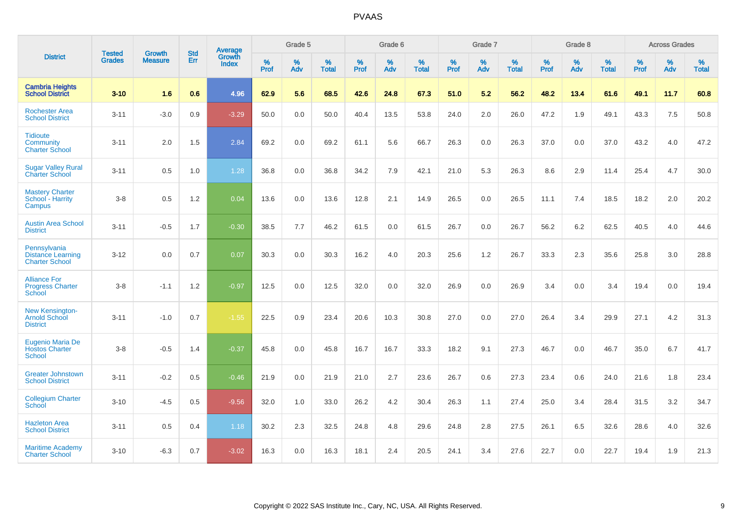|                                                                   |                                |                                 | <b>Std</b> | Average                |           | Grade 5  |                   |           | Grade 6  |                   |           | Grade 7  |                   |           | Grade 8  |                   |           | <b>Across Grades</b> |                   |
|-------------------------------------------------------------------|--------------------------------|---------------------------------|------------|------------------------|-----------|----------|-------------------|-----------|----------|-------------------|-----------|----------|-------------------|-----------|----------|-------------------|-----------|----------------------|-------------------|
| <b>District</b>                                                   | <b>Tested</b><br><b>Grades</b> | <b>Growth</b><br><b>Measure</b> | Err        | Growth<br><b>Index</b> | %<br>Prof | %<br>Adv | %<br><b>Total</b> | %<br>Prof | %<br>Adv | %<br><b>Total</b> | %<br>Prof | %<br>Adv | %<br><b>Total</b> | %<br>Prof | %<br>Adv | %<br><b>Total</b> | %<br>Prof | %<br>Adv             | %<br><b>Total</b> |
| <b>Cambria Heights</b><br><b>School District</b>                  | $3 - 10$                       | 1.6                             | 0.6        | 4.96                   | 62.9      | 5.6      | 68.5              | 42.6      | 24.8     | 67.3              | 51.0      | 5.2      | 56.2              | 48.2      | 13.4     | 61.6              | 49.1      | 11.7                 | 60.8              |
| <b>Rochester Area</b><br><b>School District</b>                   | $3 - 11$                       | $-3.0$                          | 0.9        | $-3.29$                | 50.0      | 0.0      | 50.0              | 40.4      | 13.5     | 53.8              | 24.0      | 2.0      | 26.0              | 47.2      | 1.9      | 49.1              | 43.3      | 7.5                  | 50.8              |
| <b>Tidioute</b><br>Community<br><b>Charter School</b>             | $3 - 11$                       | 2.0                             | 1.5        | 2.84                   | 69.2      | 0.0      | 69.2              | 61.1      | 5.6      | 66.7              | 26.3      | 0.0      | 26.3              | 37.0      | 0.0      | 37.0              | 43.2      | 4.0                  | 47.2              |
| <b>Sugar Valley Rural</b><br><b>Charter School</b>                | $3 - 11$                       | 0.5                             | 1.0        | 1.28                   | 36.8      | 0.0      | 36.8              | 34.2      | 7.9      | 42.1              | 21.0      | 5.3      | 26.3              | 8.6       | 2.9      | 11.4              | 25.4      | 4.7                  | 30.0              |
| <b>Mastery Charter</b><br>School - Harrity<br>Campus              | $3 - 8$                        | 0.5                             | 1.2        | 0.04                   | 13.6      | 0.0      | 13.6              | 12.8      | 2.1      | 14.9              | 26.5      | 0.0      | 26.5              | 11.1      | 7.4      | 18.5              | 18.2      | 2.0                  | 20.2              |
| <b>Austin Area School</b><br><b>District</b>                      | $3 - 11$                       | $-0.5$                          | 1.7        | $-0.30$                | 38.5      | 7.7      | 46.2              | 61.5      | 0.0      | 61.5              | 26.7      | 0.0      | 26.7              | 56.2      | 6.2      | 62.5              | 40.5      | 4.0                  | 44.6              |
| Pennsylvania<br><b>Distance Learning</b><br><b>Charter School</b> | $3 - 12$                       | 0.0                             | 0.7        | 0.07                   | 30.3      | 0.0      | 30.3              | 16.2      | 4.0      | 20.3              | 25.6      | 1.2      | 26.7              | 33.3      | 2.3      | 35.6              | 25.8      | 3.0                  | 28.8              |
| <b>Alliance For</b><br><b>Progress Charter</b><br>School          | $3 - 8$                        | $-1.1$                          | 1.2        | $-0.97$                | 12.5      | 0.0      | 12.5              | 32.0      | 0.0      | 32.0              | 26.9      | 0.0      | 26.9              | 3.4       | 0.0      | 3.4               | 19.4      | 0.0                  | 19.4              |
| New Kensington-<br><b>Arnold School</b><br><b>District</b>        | $3 - 11$                       | $-1.0$                          | 0.7        | $-1.55$                | 22.5      | 0.9      | 23.4              | 20.6      | 10.3     | 30.8              | 27.0      | 0.0      | 27.0              | 26.4      | 3.4      | 29.9              | 27.1      | 4.2                  | 31.3              |
| <b>Eugenio Maria De</b><br><b>Hostos Charter</b><br><b>School</b> | $3 - 8$                        | $-0.5$                          | 1.4        | $-0.37$                | 45.8      | 0.0      | 45.8              | 16.7      | 16.7     | 33.3              | 18.2      | 9.1      | 27.3              | 46.7      | 0.0      | 46.7              | 35.0      | 6.7                  | 41.7              |
| <b>Greater Johnstown</b><br><b>School District</b>                | $3 - 11$                       | $-0.2$                          | 0.5        | $-0.46$                | 21.9      | 0.0      | 21.9              | 21.0      | 2.7      | 23.6              | 26.7      | 0.6      | 27.3              | 23.4      | 0.6      | 24.0              | 21.6      | 1.8                  | 23.4              |
| <b>Collegium Charter</b><br>School                                | $3 - 10$                       | $-4.5$                          | 0.5        | $-9.56$                | 32.0      | 1.0      | 33.0              | 26.2      | 4.2      | 30.4              | 26.3      | 1.1      | 27.4              | 25.0      | 3.4      | 28.4              | 31.5      | 3.2                  | 34.7              |
| <b>Hazleton Area</b><br><b>School District</b>                    | $3 - 11$                       | 0.5                             | 0.4        | 1.18                   | 30.2      | 2.3      | 32.5              | 24.8      | 4.8      | 29.6              | 24.8      | 2.8      | 27.5              | 26.1      | 6.5      | 32.6              | 28.6      | 4.0                  | 32.6              |
| <b>Maritime Academy</b><br><b>Charter School</b>                  | $3 - 10$                       | $-6.3$                          | 0.7        | $-3.02$                | 16.3      | 0.0      | 16.3              | 18.1      | 2.4      | 20.5              | 24.1      | 3.4      | 27.6              | 22.7      | 0.0      | 22.7              | 19.4      | 1.9                  | 21.3              |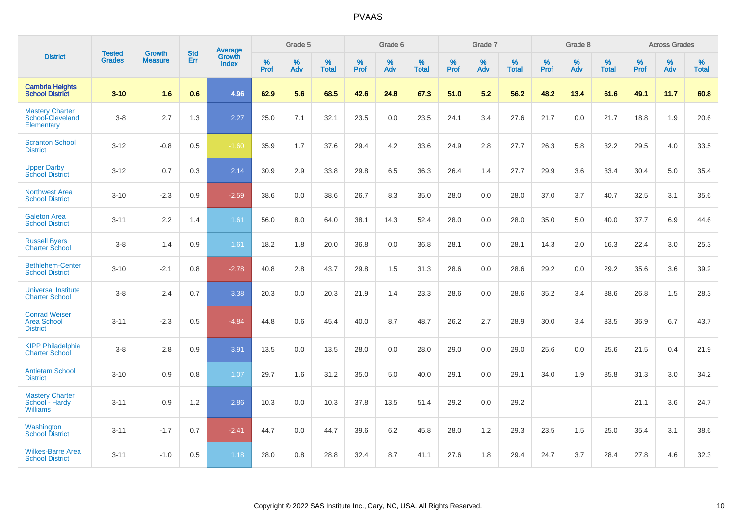|                                                             | <b>Tested</b> | <b>Growth</b>  | <b>Std</b> | Average                       |           | Grade 5  |                   |           | Grade 6  |                   |           | Grade 7  |                   |           | Grade 8  |                   |           | <b>Across Grades</b> |                   |
|-------------------------------------------------------------|---------------|----------------|------------|-------------------------------|-----------|----------|-------------------|-----------|----------|-------------------|-----------|----------|-------------------|-----------|----------|-------------------|-----------|----------------------|-------------------|
| <b>District</b>                                             | <b>Grades</b> | <b>Measure</b> | Err        | <b>Growth</b><br><b>Index</b> | %<br>Prof | %<br>Adv | %<br><b>Total</b> | %<br>Prof | %<br>Adv | %<br><b>Total</b> | %<br>Prof | %<br>Adv | %<br><b>Total</b> | %<br>Prof | %<br>Adv | %<br><b>Total</b> | %<br>Prof | %<br>Adv             | %<br><b>Total</b> |
| <b>Cambria Heights</b><br><b>School District</b>            | $3 - 10$      | 1.6            | 0.6        | 4.96                          | 62.9      | 5.6      | 68.5              | 42.6      | 24.8     | 67.3              | 51.0      | 5.2      | 56.2              | 48.2      | 13.4     | 61.6              | 49.1      | 11.7                 | 60.8              |
| <b>Mastery Charter</b><br>School-Cleveland<br>Elementary    | $3 - 8$       | 2.7            | 1.3        | 2.27                          | 25.0      | 7.1      | 32.1              | 23.5      | 0.0      | 23.5              | 24.1      | 3.4      | 27.6              | 21.7      | 0.0      | 21.7              | 18.8      | 1.9                  | 20.6              |
| <b>Scranton School</b><br><b>District</b>                   | $3 - 12$      | $-0.8$         | 0.5        | $-1.60$                       | 35.9      | 1.7      | 37.6              | 29.4      | 4.2      | 33.6              | 24.9      | 2.8      | 27.7              | 26.3      | 5.8      | 32.2              | 29.5      | 4.0                  | 33.5              |
| <b>Upper Darby</b><br><b>School District</b>                | $3 - 12$      | 0.7            | 0.3        | 2.14                          | 30.9      | 2.9      | 33.8              | 29.8      | 6.5      | 36.3              | 26.4      | 1.4      | 27.7              | 29.9      | 3.6      | 33.4              | 30.4      | 5.0                  | 35.4              |
| <b>Northwest Area</b><br><b>School District</b>             | $3 - 10$      | $-2.3$         | 0.9        | $-2.59$                       | 38.6      | 0.0      | 38.6              | 26.7      | 8.3      | 35.0              | 28.0      | 0.0      | 28.0              | 37.0      | 3.7      | 40.7              | 32.5      | 3.1                  | 35.6              |
| <b>Galeton Area</b><br><b>School District</b>               | $3 - 11$      | 2.2            | 1.4        | 1.61                          | 56.0      | 8.0      | 64.0              | 38.1      | 14.3     | 52.4              | 28.0      | 0.0      | 28.0              | 35.0      | 5.0      | 40.0              | 37.7      | 6.9                  | 44.6              |
| <b>Russell Byers</b><br><b>Charter School</b>               | $3 - 8$       | 1.4            | 0.9        | 1.61                          | 18.2      | 1.8      | 20.0              | 36.8      | 0.0      | 36.8              | 28.1      | 0.0      | 28.1              | 14.3      | 2.0      | 16.3              | 22.4      | 3.0                  | 25.3              |
| <b>Bethlehem-Center</b><br><b>School District</b>           | $3 - 10$      | $-2.1$         | 0.8        | $-2.78$                       | 40.8      | 2.8      | 43.7              | 29.8      | 1.5      | 31.3              | 28.6      | 0.0      | 28.6              | 29.2      | 0.0      | 29.2              | 35.6      | 3.6                  | 39.2              |
| <b>Universal Institute</b><br><b>Charter School</b>         | $3 - 8$       | 2.4            | 0.7        | 3.38                          | 20.3      | 0.0      | 20.3              | 21.9      | 1.4      | 23.3              | 28.6      | 0.0      | 28.6              | 35.2      | 3.4      | 38.6              | 26.8      | 1.5                  | 28.3              |
| <b>Conrad Weiser</b><br>Area School<br><b>District</b>      | $3 - 11$      | $-2.3$         | 0.5        | $-4.84$                       | 44.8      | 0.6      | 45.4              | 40.0      | 8.7      | 48.7              | 26.2      | 2.7      | 28.9              | 30.0      | 3.4      | 33.5              | 36.9      | 6.7                  | 43.7              |
| <b>KIPP Philadelphia</b><br><b>Charter School</b>           | $3 - 8$       | 2.8            | 0.9        | 3.91                          | 13.5      | 0.0      | 13.5              | 28.0      | 0.0      | 28.0              | 29.0      | 0.0      | 29.0              | 25.6      | 0.0      | 25.6              | 21.5      | 0.4                  | 21.9              |
| <b>Antietam School</b><br><b>District</b>                   | $3 - 10$      | 0.9            | 0.8        | 1.07                          | 29.7      | 1.6      | 31.2              | 35.0      | 5.0      | 40.0              | 29.1      | 0.0      | 29.1              | 34.0      | 1.9      | 35.8              | 31.3      | 3.0                  | 34.2              |
| <b>Mastery Charter</b><br>School - Hardy<br><b>Williams</b> | $3 - 11$      | 0.9            | $1.2$      | 2.86                          | 10.3      | 0.0      | 10.3              | 37.8      | 13.5     | 51.4              | 29.2      | 0.0      | 29.2              |           |          |                   | 21.1      | 3.6                  | 24.7              |
| Washington<br><b>School District</b>                        | $3 - 11$      | $-1.7$         | 0.7        | $-2.41$                       | 44.7      | 0.0      | 44.7              | 39.6      | 6.2      | 45.8              | 28.0      | 1.2      | 29.3              | 23.5      | 1.5      | 25.0              | 35.4      | 3.1                  | 38.6              |
| <b>Wilkes-Barre Area</b><br><b>School District</b>          | $3 - 11$      | $-1.0$         | 0.5        | 1.18                          | 28.0      | 0.8      | 28.8              | 32.4      | 8.7      | 41.1              | 27.6      | 1.8      | 29.4              | 24.7      | 3.7      | 28.4              | 27.8      | 4.6                  | 32.3              |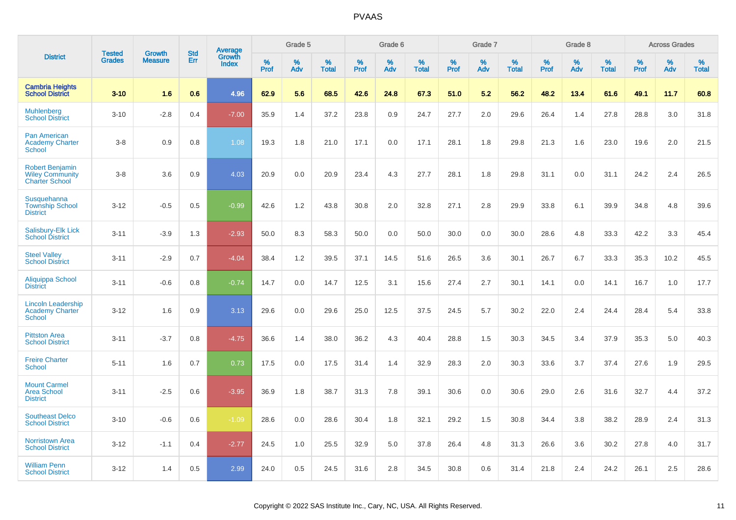|                                                                           | <b>Tested</b> | <b>Growth</b>  | <b>Std</b> |                                          |              | Grade 5  |                   |           | Grade 6  |                   |           | Grade 7  |                   |           | Grade 8  |                   |              | <b>Across Grades</b> |                   |
|---------------------------------------------------------------------------|---------------|----------------|------------|------------------------------------------|--------------|----------|-------------------|-----------|----------|-------------------|-----------|----------|-------------------|-----------|----------|-------------------|--------------|----------------------|-------------------|
| <b>District</b>                                                           | <b>Grades</b> | <b>Measure</b> | <b>Err</b> | <b>Average</b><br>Growth<br><b>Index</b> | $\%$<br>Prof | %<br>Adv | %<br><b>Total</b> | %<br>Prof | %<br>Adv | %<br><b>Total</b> | %<br>Prof | %<br>Adv | %<br><b>Total</b> | %<br>Prof | %<br>Adv | %<br><b>Total</b> | $\%$<br>Prof | %<br>Adv             | %<br><b>Total</b> |
| <b>Cambria Heights</b><br><b>School District</b>                          | $3 - 10$      | 1.6            | 0.6        | 4.96                                     | 62.9         | 5.6      | 68.5              | 42.6      | 24.8     | 67.3              | 51.0      | 5.2      | 56.2              | 48.2      | 13.4     | 61.6              | 49.1         | 11.7                 | 60.8              |
| <b>Muhlenberg</b><br><b>School District</b>                               | $3 - 10$      | $-2.8$         | 0.4        | $-7.00$                                  | 35.9         | 1.4      | 37.2              | 23.8      | 0.9      | 24.7              | 27.7      | 2.0      | 29.6              | 26.4      | 1.4      | 27.8              | 28.8         | 3.0                  | 31.8              |
| <b>Pan American</b><br><b>Academy Charter</b><br>School                   | $3 - 8$       | 0.9            | 0.8        | 1.08                                     | 19.3         | 1.8      | 21.0              | 17.1      | 0.0      | 17.1              | 28.1      | 1.8      | 29.8              | 21.3      | 1.6      | 23.0              | 19.6         | 2.0                  | 21.5              |
| <b>Robert Benjamin</b><br><b>Wiley Community</b><br><b>Charter School</b> | $3 - 8$       | 3.6            | 0.9        | 4.03                                     | 20.9         | 0.0      | 20.9              | 23.4      | 4.3      | 27.7              | 28.1      | 1.8      | 29.8              | 31.1      | 0.0      | 31.1              | 24.2         | 2.4                  | 26.5              |
| <b>Susquehanna</b><br><b>Township School</b><br><b>District</b>           | $3 - 12$      | $-0.5$         | 0.5        | $-0.99$                                  | 42.6         | 1.2      | 43.8              | 30.8      | 2.0      | 32.8              | 27.1      | 2.8      | 29.9              | 33.8      | 6.1      | 39.9              | 34.8         | 4.8                  | 39.6              |
| Salisbury-Elk Lick<br><b>School District</b>                              | $3 - 11$      | $-3.9$         | 1.3        | $-2.93$                                  | 50.0         | 8.3      | 58.3              | 50.0      | 0.0      | 50.0              | 30.0      | 0.0      | 30.0              | 28.6      | 4.8      | 33.3              | 42.2         | 3.3                  | 45.4              |
| <b>Steel Valley</b><br><b>School District</b>                             | $3 - 11$      | $-2.9$         | 0.7        | $-4.04$                                  | 38.4         | 1.2      | 39.5              | 37.1      | 14.5     | 51.6              | 26.5      | 3.6      | 30.1              | 26.7      | 6.7      | 33.3              | 35.3         | 10.2                 | 45.5              |
| Aliquippa School<br><b>District</b>                                       | $3 - 11$      | $-0.6$         | 0.8        | $-0.74$                                  | 14.7         | 0.0      | 14.7              | 12.5      | 3.1      | 15.6              | 27.4      | 2.7      | 30.1              | 14.1      | 0.0      | 14.1              | 16.7         | 1.0                  | 17.7              |
| <b>Lincoln Leadership</b><br><b>Academy Charter</b><br><b>School</b>      | $3 - 12$      | 1.6            | 0.9        | 3.13                                     | 29.6         | 0.0      | 29.6              | 25.0      | 12.5     | 37.5              | 24.5      | 5.7      | 30.2              | 22.0      | 2.4      | 24.4              | 28.4         | 5.4                  | 33.8              |
| <b>Pittston Area</b><br><b>School District</b>                            | $3 - 11$      | $-3.7$         | 0.8        | $-4.75$                                  | 36.6         | 1.4      | 38.0              | 36.2      | 4.3      | 40.4              | 28.8      | 1.5      | 30.3              | 34.5      | 3.4      | 37.9              | 35.3         | 5.0                  | 40.3              |
| <b>Freire Charter</b><br>School                                           | $5 - 11$      | 1.6            | 0.7        | 0.73                                     | 17.5         | 0.0      | 17.5              | 31.4      | 1.4      | 32.9              | 28.3      | 2.0      | 30.3              | 33.6      | 3.7      | 37.4              | 27.6         | 1.9                  | 29.5              |
| <b>Mount Carmel</b><br><b>Area School</b><br><b>District</b>              | $3 - 11$      | $-2.5$         | 0.6        | $-3.95$                                  | 36.9         | 1.8      | 38.7              | 31.3      | 7.8      | 39.1              | 30.6      | 0.0      | 30.6              | 29.0      | 2.6      | 31.6              | 32.7         | 4.4                  | 37.2              |
| <b>Southeast Delco</b><br><b>School District</b>                          | $3 - 10$      | $-0.6$         | 0.6        | $-1.09$                                  | 28.6         | 0.0      | 28.6              | 30.4      | 1.8      | 32.1              | 29.2      | 1.5      | 30.8              | 34.4      | 3.8      | 38.2              | 28.9         | 2.4                  | 31.3              |
| <b>Norristown Area</b><br><b>School District</b>                          | $3 - 12$      | $-1.1$         | 0.4        | $-2.77$                                  | 24.5         | 1.0      | 25.5              | 32.9      | 5.0      | 37.8              | 26.4      | 4.8      | 31.3              | 26.6      | 3.6      | 30.2              | 27.8         | 4.0                  | 31.7              |
| <b>William Penn</b><br><b>School District</b>                             | $3 - 12$      | 1.4            | 0.5        | 2.99                                     | 24.0         | 0.5      | 24.5              | 31.6      | 2.8      | 34.5              | 30.8      | 0.6      | 31.4              | 21.8      | 2.4      | 24.2              | 26.1         | 2.5                  | 28.6              |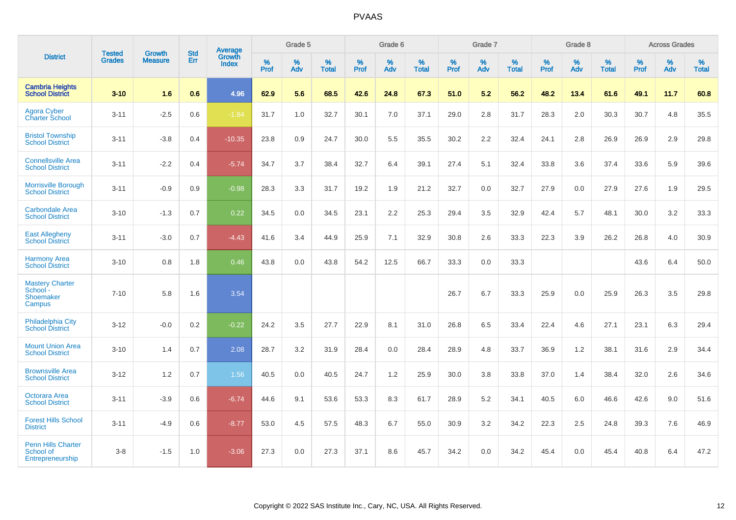|                                                            |                                |                                 | <b>Std</b> | Average                |           | Grade 5  |                   |           | Grade 6  |                   |           | Grade 7  |                   |           | Grade 8  |                   |           | <b>Across Grades</b> |                   |
|------------------------------------------------------------|--------------------------------|---------------------------------|------------|------------------------|-----------|----------|-------------------|-----------|----------|-------------------|-----------|----------|-------------------|-----------|----------|-------------------|-----------|----------------------|-------------------|
| <b>District</b>                                            | <b>Tested</b><br><b>Grades</b> | <b>Growth</b><br><b>Measure</b> | Err        | Growth<br><b>Index</b> | %<br>Prof | %<br>Adv | %<br><b>Total</b> | %<br>Prof | %<br>Adv | %<br><b>Total</b> | %<br>Prof | %<br>Adv | %<br><b>Total</b> | %<br>Prof | %<br>Adv | %<br><b>Total</b> | %<br>Prof | %<br>Adv             | %<br><b>Total</b> |
| <b>Cambria Heights</b><br><b>School District</b>           | $3 - 10$                       | 1.6                             | 0.6        | 4.96                   | 62.9      | 5.6      | 68.5              | 42.6      | 24.8     | 67.3              | 51.0      | 5.2      | 56.2              | 48.2      | 13.4     | 61.6              | 49.1      | 11.7                 | 60.8              |
| Agora Cyber<br><b>Charter School</b>                       | $3 - 11$                       | $-2.5$                          | 0.6        | $-1.84$                | 31.7      | 1.0      | 32.7              | 30.1      | 7.0      | 37.1              | 29.0      | 2.8      | 31.7              | 28.3      | 2.0      | 30.3              | 30.7      | 4.8                  | 35.5              |
| <b>Bristol Township</b><br><b>School District</b>          | $3 - 11$                       | $-3.8$                          | 0.4        | $-10.35$               | 23.8      | 0.9      | 24.7              | 30.0      | 5.5      | 35.5              | 30.2      | 2.2      | 32.4              | 24.1      | 2.8      | 26.9              | 26.9      | 2.9                  | 29.8              |
| <b>Connellsville Area</b><br><b>School District</b>        | $3 - 11$                       | $-2.2$                          | 0.4        | $-5.74$                | 34.7      | 3.7      | 38.4              | 32.7      | 6.4      | 39.1              | 27.4      | 5.1      | 32.4              | 33.8      | 3.6      | 37.4              | 33.6      | 5.9                  | 39.6              |
| Morrisville Borough<br><b>School District</b>              | $3 - 11$                       | $-0.9$                          | 0.9        | $-0.98$                | 28.3      | 3.3      | 31.7              | 19.2      | 1.9      | 21.2              | 32.7      | 0.0      | 32.7              | 27.9      | 0.0      | 27.9              | 27.6      | 1.9                  | 29.5              |
| <b>Carbondale Area</b><br><b>School District</b>           | $3 - 10$                       | $-1.3$                          | 0.7        | 0.22                   | 34.5      | 0.0      | 34.5              | 23.1      | 2.2      | 25.3              | 29.4      | 3.5      | 32.9              | 42.4      | 5.7      | 48.1              | $30.0\,$  | 3.2                  | 33.3              |
| <b>East Allegheny</b><br><b>School District</b>            | $3 - 11$                       | $-3.0$                          | 0.7        | $-4.43$                | 41.6      | 3.4      | 44.9              | 25.9      | 7.1      | 32.9              | 30.8      | 2.6      | 33.3              | 22.3      | 3.9      | 26.2              | 26.8      | 4.0                  | 30.9              |
| <b>Harmony Area</b><br><b>School District</b>              | $3 - 10$                       | 0.8                             | 1.8        | 0.46                   | 43.8      | 0.0      | 43.8              | 54.2      | 12.5     | 66.7              | 33.3      | 0.0      | 33.3              |           |          |                   | 43.6      | 6.4                  | 50.0              |
| <b>Mastery Charter</b><br>School -<br>Shoemaker<br>Campus  | $7 - 10$                       | 5.8                             | 1.6        | 3.54                   |           |          |                   |           |          |                   | 26.7      | 6.7      | 33.3              | 25.9      | 0.0      | 25.9              | 26.3      | 3.5                  | 29.8              |
| <b>Philadelphia City</b><br><b>School District</b>         | $3 - 12$                       | $-0.0$                          | 0.2        | $-0.22$                | 24.2      | 3.5      | 27.7              | 22.9      | 8.1      | 31.0              | 26.8      | 6.5      | 33.4              | 22.4      | 4.6      | 27.1              | 23.1      | 6.3                  | 29.4              |
| <b>Mount Union Area</b><br><b>School District</b>          | $3 - 10$                       | 1.4                             | 0.7        | 2.08                   | 28.7      | 3.2      | 31.9              | 28.4      | 0.0      | 28.4              | 28.9      | 4.8      | 33.7              | 36.9      | 1.2      | 38.1              | 31.6      | 2.9                  | 34.4              |
| <b>Brownsville Area</b><br><b>School District</b>          | $3 - 12$                       | 1.2                             | 0.7        | 1.56                   | 40.5      | 0.0      | 40.5              | 24.7      | 1.2      | 25.9              | 30.0      | 3.8      | 33.8              | 37.0      | 1.4      | 38.4              | 32.0      | 2.6                  | 34.6              |
| Octorara Area<br><b>School District</b>                    | $3 - 11$                       | $-3.9$                          | 0.6        | $-6.74$                | 44.6      | 9.1      | 53.6              | 53.3      | 8.3      | 61.7              | 28.9      | $5.2\,$  | 34.1              | 40.5      | 6.0      | 46.6              | 42.6      | 9.0                  | 51.6              |
| <b>Forest Hills School</b><br><b>District</b>              | $3 - 11$                       | $-4.9$                          | 0.6        | $-8.77$                | 53.0      | 4.5      | 57.5              | 48.3      | 6.7      | 55.0              | 30.9      | 3.2      | 34.2              | 22.3      | 2.5      | 24.8              | 39.3      | 7.6                  | 46.9              |
| <b>Penn Hills Charter</b><br>School of<br>Entrepreneurship | $3-8$                          | $-1.5$                          | 1.0        | $-3.06$                | 27.3      | 0.0      | 27.3              | 37.1      | 8.6      | 45.7              | 34.2      | 0.0      | 34.2              | 45.4      | 0.0      | 45.4              | 40.8      | 6.4                  | 47.2              |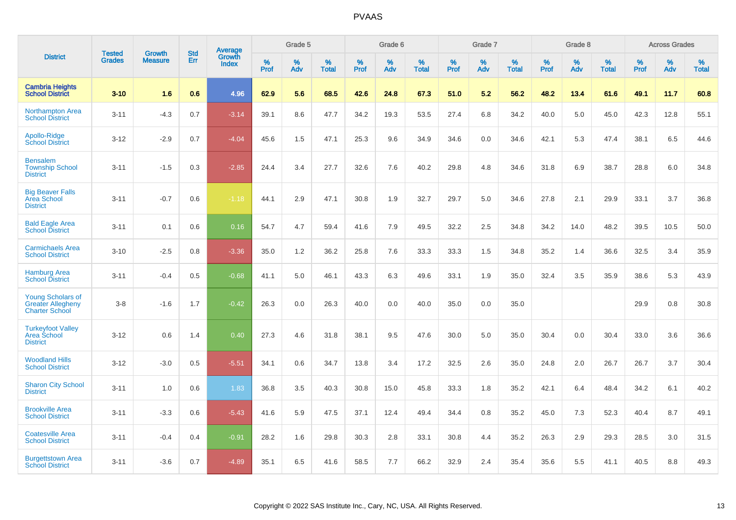|                                                                               |                                | <b>Growth</b>  | <b>Std</b> | Average                |           | Grade 5  |                   |           | Grade 6  |                   |           | Grade 7  |                   |           | Grade 8  |                   |           | <b>Across Grades</b> |                   |
|-------------------------------------------------------------------------------|--------------------------------|----------------|------------|------------------------|-----------|----------|-------------------|-----------|----------|-------------------|-----------|----------|-------------------|-----------|----------|-------------------|-----------|----------------------|-------------------|
| <b>District</b>                                                               | <b>Tested</b><br><b>Grades</b> | <b>Measure</b> | Err        | Growth<br><b>Index</b> | %<br>Prof | %<br>Adv | %<br><b>Total</b> | %<br>Prof | %<br>Adv | %<br><b>Total</b> | %<br>Prof | %<br>Adv | %<br><b>Total</b> | %<br>Prof | %<br>Adv | %<br><b>Total</b> | %<br>Prof | %<br>Adv             | %<br><b>Total</b> |
| <b>Cambria Heights</b><br><b>School District</b>                              | $3 - 10$                       | 1.6            | 0.6        | 4.96                   | 62.9      | 5.6      | 68.5              | 42.6      | 24.8     | 67.3              | 51.0      | 5.2      | 56.2              | 48.2      | 13.4     | 61.6              | 49.1      | 11.7                 | 60.8              |
| <b>Northampton Area</b><br><b>School District</b>                             | $3 - 11$                       | $-4.3$         | 0.7        | $-3.14$                | 39.1      | 8.6      | 47.7              | 34.2      | 19.3     | 53.5              | 27.4      | 6.8      | 34.2              | 40.0      | 5.0      | 45.0              | 42.3      | 12.8                 | 55.1              |
| Apollo-Ridge<br><b>School District</b>                                        | $3 - 12$                       | $-2.9$         | 0.7        | $-4.04$                | 45.6      | 1.5      | 47.1              | 25.3      | 9.6      | 34.9              | 34.6      | 0.0      | 34.6              | 42.1      | 5.3      | 47.4              | 38.1      | 6.5                  | 44.6              |
| <b>Bensalem</b><br><b>Township School</b><br><b>District</b>                  | $3 - 11$                       | $-1.5$         | 0.3        | $-2.85$                | 24.4      | 3.4      | 27.7              | 32.6      | 7.6      | 40.2              | 29.8      | 4.8      | 34.6              | 31.8      | 6.9      | 38.7              | 28.8      | 6.0                  | 34.8              |
| <b>Big Beaver Falls</b><br><b>Area School</b><br><b>District</b>              | $3 - 11$                       | $-0.7$         | 0.6        | $-1.18$                | 44.1      | 2.9      | 47.1              | 30.8      | 1.9      | 32.7              | 29.7      | 5.0      | 34.6              | 27.8      | 2.1      | 29.9              | 33.1      | 3.7                  | 36.8              |
| <b>Bald Eagle Area</b><br><b>School District</b>                              | $3 - 11$                       | 0.1            | 0.6        | 0.16                   | 54.7      | 4.7      | 59.4              | 41.6      | 7.9      | 49.5              | 32.2      | 2.5      | 34.8              | 34.2      | 14.0     | 48.2              | 39.5      | 10.5                 | 50.0              |
| <b>Carmichaels Area</b><br><b>School District</b>                             | $3 - 10$                       | $-2.5$         | 0.8        | $-3.36$                | 35.0      | 1.2      | 36.2              | 25.8      | 7.6      | 33.3              | 33.3      | 1.5      | 34.8              | 35.2      | 1.4      | 36.6              | 32.5      | 3.4                  | 35.9              |
| <b>Hamburg Area</b><br><b>School District</b>                                 | $3 - 11$                       | $-0.4$         | 0.5        | $-0.68$                | 41.1      | 5.0      | 46.1              | 43.3      | 6.3      | 49.6              | 33.1      | 1.9      | 35.0              | 32.4      | 3.5      | 35.9              | 38.6      | 5.3                  | 43.9              |
| <b>Young Scholars of</b><br><b>Greater Allegheny</b><br><b>Charter School</b> | $3 - 8$                        | $-1.6$         | 1.7        | $-0.42$                | 26.3      | 0.0      | 26.3              | 40.0      | 0.0      | 40.0              | 35.0      | 0.0      | 35.0              |           |          |                   | 29.9      | 0.8                  | 30.8              |
| <b>Turkeyfoot Valley</b><br>Area School<br><b>District</b>                    | $3 - 12$                       | 0.6            | 1.4        | 0.40                   | 27.3      | 4.6      | 31.8              | 38.1      | 9.5      | 47.6              | 30.0      | 5.0      | 35.0              | 30.4      | 0.0      | 30.4              | 33.0      | 3.6                  | 36.6              |
| <b>Woodland Hills</b><br><b>School District</b>                               | $3 - 12$                       | $-3.0$         | 0.5        | $-5.51$                | 34.1      | 0.6      | 34.7              | 13.8      | 3.4      | 17.2              | 32.5      | 2.6      | 35.0              | 24.8      | 2.0      | 26.7              | 26.7      | 3.7                  | 30.4              |
| <b>Sharon City School</b><br><b>District</b>                                  | $3 - 11$                       | 1.0            | 0.6        | 1.83                   | 36.8      | 3.5      | 40.3              | 30.8      | 15.0     | 45.8              | 33.3      | 1.8      | 35.2              | 42.1      | 6.4      | 48.4              | 34.2      | 6.1                  | 40.2              |
| <b>Brookville Area</b><br><b>School District</b>                              | $3 - 11$                       | $-3.3$         | 0.6        | $-5.43$                | 41.6      | 5.9      | 47.5              | 37.1      | 12.4     | 49.4              | 34.4      | 0.8      | 35.2              | 45.0      | 7.3      | 52.3              | 40.4      | 8.7                  | 49.1              |
| <b>Coatesville Area</b><br><b>School District</b>                             | $3 - 11$                       | $-0.4$         | 0.4        | $-0.91$                | 28.2      | 1.6      | 29.8              | 30.3      | 2.8      | 33.1              | 30.8      | 4.4      | 35.2              | 26.3      | 2.9      | 29.3              | 28.5      | 3.0                  | 31.5              |
| <b>Burgettstown Area</b><br><b>School District</b>                            | $3 - 11$                       | $-3.6$         | 0.7        | $-4.89$                | 35.1      | 6.5      | 41.6              | 58.5      | 7.7      | 66.2              | 32.9      | 2.4      | 35.4              | 35.6      | 5.5      | 41.1              | 40.5      | 8.8                  | 49.3              |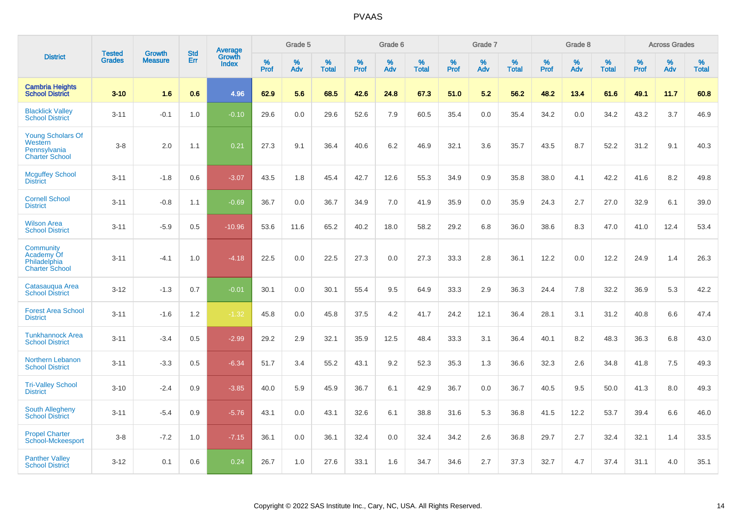|                                                                              | <b>Tested</b> | <b>Growth</b>  | <b>Std</b> | <b>Average</b>         |           | Grade 5  |                   |           | Grade 6  |                   |           | Grade 7  |                   |           | Grade 8  |                   |           | <b>Across Grades</b> |                   |
|------------------------------------------------------------------------------|---------------|----------------|------------|------------------------|-----------|----------|-------------------|-----------|----------|-------------------|-----------|----------|-------------------|-----------|----------|-------------------|-----------|----------------------|-------------------|
| <b>District</b>                                                              | <b>Grades</b> | <b>Measure</b> | Err        | Growth<br><b>Index</b> | %<br>Prof | %<br>Adv | %<br><b>Total</b> | %<br>Prof | %<br>Adv | %<br><b>Total</b> | %<br>Prof | %<br>Adv | %<br><b>Total</b> | %<br>Prof | %<br>Adv | %<br><b>Total</b> | %<br>Prof | %<br>Adv             | %<br><b>Total</b> |
| <b>Cambria Heights</b><br><b>School District</b>                             | $3 - 10$      | 1.6            | 0.6        | 4.96                   | 62.9      | 5.6      | 68.5              | 42.6      | 24.8     | 67.3              | 51.0      | 5.2      | 56.2              | 48.2      | 13.4     | 61.6              | 49.1      | 11.7                 | 60.8              |
| <b>Blacklick Valley</b><br><b>School District</b>                            | $3 - 11$      | $-0.1$         | 1.0        | $-0.10$                | 29.6      | 0.0      | 29.6              | 52.6      | 7.9      | 60.5              | 35.4      | 0.0      | 35.4              | 34.2      | 0.0      | 34.2              | 43.2      | 3.7                  | 46.9              |
| <b>Young Scholars Of</b><br>Western<br>Pennsylvania<br><b>Charter School</b> | $3 - 8$       | 2.0            | 1.1        | 0.21                   | 27.3      | 9.1      | 36.4              | 40.6      | 6.2      | 46.9              | 32.1      | 3.6      | 35.7              | 43.5      | 8.7      | 52.2              | 31.2      | 9.1                  | 40.3              |
| <b>Mcguffey School</b><br><b>District</b>                                    | $3 - 11$      | $-1.8$         | 0.6        | $-3.07$                | 43.5      | 1.8      | 45.4              | 42.7      | 12.6     | 55.3              | 34.9      | 0.9      | 35.8              | 38.0      | 4.1      | 42.2              | 41.6      | 8.2                  | 49.8              |
| <b>Cornell School</b><br><b>District</b>                                     | $3 - 11$      | $-0.8$         | 1.1        | $-0.69$                | 36.7      | 0.0      | 36.7              | 34.9      | 7.0      | 41.9              | 35.9      | 0.0      | 35.9              | 24.3      | 2.7      | 27.0              | 32.9      | 6.1                  | 39.0              |
| <b>Wilson Area</b><br><b>School District</b>                                 | $3 - 11$      | $-5.9$         | 0.5        | $-10.96$               | 53.6      | 11.6     | 65.2              | 40.2      | 18.0     | 58.2              | 29.2      | 6.8      | 36.0              | 38.6      | 8.3      | 47.0              | 41.0      | 12.4                 | 53.4              |
| Community<br>Academy Of<br>Philadelphia<br><b>Charter School</b>             | $3 - 11$      | $-4.1$         | 1.0        | $-4.18$                | 22.5      | 0.0      | 22.5              | 27.3      | 0.0      | 27.3              | 33.3      | 2.8      | 36.1              | 12.2      | 0.0      | 12.2              | 24.9      | 1.4                  | 26.3              |
| Catasauqua Area<br><b>School District</b>                                    | $3 - 12$      | $-1.3$         | 0.7        | $-0.01$                | 30.1      | 0.0      | 30.1              | 55.4      | 9.5      | 64.9              | 33.3      | 2.9      | 36.3              | 24.4      | 7.8      | 32.2              | 36.9      | 5.3                  | 42.2              |
| <b>Forest Area School</b><br><b>District</b>                                 | $3 - 11$      | $-1.6$         | 1.2        | $-1.32$                | 45.8      | 0.0      | 45.8              | 37.5      | 4.2      | 41.7              | 24.2      | 12.1     | 36.4              | 28.1      | 3.1      | 31.2              | 40.8      | 6.6                  | 47.4              |
| <b>Tunkhannock Area</b><br><b>School District</b>                            | $3 - 11$      | $-3.4$         | 0.5        | $-2.99$                | 29.2      | 2.9      | 32.1              | 35.9      | 12.5     | 48.4              | 33.3      | 3.1      | 36.4              | 40.1      | 8.2      | 48.3              | 36.3      | 6.8                  | 43.0              |
| Northern Lebanon<br><b>School District</b>                                   | $3 - 11$      | $-3.3$         | 0.5        | $-6.34$                | 51.7      | 3.4      | 55.2              | 43.1      | 9.2      | 52.3              | 35.3      | 1.3      | 36.6              | 32.3      | 2.6      | 34.8              | 41.8      | $7.5\,$              | 49.3              |
| <b>Tri-Valley School</b><br><b>District</b>                                  | $3 - 10$      | $-2.4$         | 0.9        | $-3.85$                | 40.0      | 5.9      | 45.9              | 36.7      | 6.1      | 42.9              | 36.7      | 0.0      | 36.7              | 40.5      | 9.5      | 50.0              | 41.3      | 8.0                  | 49.3              |
| <b>South Allegheny</b><br><b>School District</b>                             | $3 - 11$      | $-5.4$         | 0.9        | $-5.76$                | 43.1      | 0.0      | 43.1              | 32.6      | 6.1      | 38.8              | 31.6      | 5.3      | 36.8              | 41.5      | 12.2     | 53.7              | 39.4      | 6.6                  | 46.0              |
| <b>Propel Charter</b><br>School-Mckeesport                                   | $3 - 8$       | $-7.2$         | 1.0        | $-7.15$                | 36.1      | 0.0      | 36.1              | 32.4      | 0.0      | 32.4              | 34.2      | 2.6      | 36.8              | 29.7      | 2.7      | 32.4              | 32.1      | 1.4                  | 33.5              |
| <b>Panther Valley</b><br><b>School District</b>                              | $3 - 12$      | 0.1            | 0.6        | 0.24                   | 26.7      | 1.0      | 27.6              | 33.1      | 1.6      | 34.7              | 34.6      | 2.7      | 37.3              | 32.7      | 4.7      | 37.4              | 31.1      | 4.0                  | 35.1              |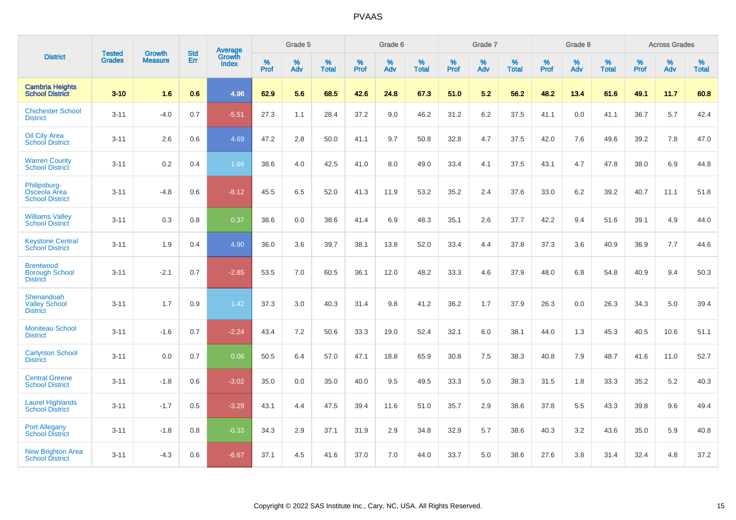|                                                              | <b>Tested</b> | <b>Growth</b>  | <b>Std</b> | <b>Average</b>         |           | Grade 5  |                   |           | Grade 6  |                   |           | Grade 7  |                   |           | Grade 8  |                   |           | <b>Across Grades</b> |                   |
|--------------------------------------------------------------|---------------|----------------|------------|------------------------|-----------|----------|-------------------|-----------|----------|-------------------|-----------|----------|-------------------|-----------|----------|-------------------|-----------|----------------------|-------------------|
| <b>District</b>                                              | <b>Grades</b> | <b>Measure</b> | Err        | Growth<br><b>Index</b> | %<br>Prof | %<br>Adv | %<br><b>Total</b> | %<br>Prof | %<br>Adv | %<br><b>Total</b> | %<br>Prof | %<br>Adv | %<br><b>Total</b> | %<br>Prof | %<br>Adv | %<br><b>Total</b> | %<br>Prof | %<br>Adv             | %<br><b>Total</b> |
| <b>Cambria Heights</b><br><b>School District</b>             | $3 - 10$      | 1.6            | 0.6        | 4.96                   | 62.9      | 5.6      | 68.5              | 42.6      | 24.8     | 67.3              | 51.0      | 5.2      | 56.2              | 48.2      | 13.4     | 61.6              | 49.1      | 11.7                 | 60.8              |
| <b>Chichester School</b><br><b>District</b>                  | $3 - 11$      | $-4.0$         | 0.7        | $-5.51$                | 27.3      | 1.1      | 28.4              | 37.2      | 9.0      | 46.2              | 31.2      | $6.2\,$  | 37.5              | 41.1      | 0.0      | 41.1              | 36.7      | 5.7                  | 42.4              |
| <b>Oil City Area</b><br><b>School District</b>               | $3 - 11$      | 2.6            | 0.6        | 4.69                   | 47.2      | 2.8      | 50.0              | 41.1      | 9.7      | 50.8              | 32.8      | 4.7      | 37.5              | 42.0      | 7.6      | 49.6              | 39.2      | 7.8                  | 47.0              |
| <b>Warren County</b><br><b>School District</b>               | $3 - 11$      | 0.2            | 0.4        | 1.66                   | 38.6      | 4.0      | 42.5              | 41.0      | 8.0      | 49.0              | 33.4      | 4.1      | 37.5              | 43.1      | 4.7      | 47.8              | 38.0      | 6.9                  | 44.8              |
| Philipsburg-<br>Osceola Area<br><b>School District</b>       | $3 - 11$      | $-4.8$         | 0.6        | $-8.12$                | 45.5      | 6.5      | 52.0              | 41.3      | 11.9     | 53.2              | 35.2      | 2.4      | 37.6              | 33.0      | 6.2      | 39.2              | 40.7      | 11.1                 | 51.8              |
| <b>Williams Valley</b><br><b>School District</b>             | $3 - 11$      | 0.3            | 0.8        | 0.37                   | 38.6      | 0.0      | 38.6              | 41.4      | 6.9      | 48.3              | 35.1      | 2.6      | 37.7              | 42.2      | 9.4      | 51.6              | 39.1      | 4.9                  | 44.0              |
| <b>Keystone Central</b><br><b>School District</b>            | $3 - 11$      | 1.9            | 0.4        | 4.90                   | 36.0      | 3.6      | 39.7              | 38.1      | 13.8     | 52.0              | 33.4      | 4.4      | 37.8              | 37.3      | 3.6      | 40.9              | 36.9      | 7.7                  | 44.6              |
| <b>Brentwood</b><br><b>Borough School</b><br><b>District</b> | $3 - 11$      | $-2.1$         | 0.7        | $-2.85$                | 53.5      | 7.0      | 60.5              | 36.1      | 12.0     | 48.2              | 33.3      | 4.6      | 37.9              | 48.0      | 6.8      | 54.8              | 40.9      | 9.4                  | 50.3              |
| Shenandoah<br><b>Valley School</b><br><b>District</b>        | $3 - 11$      | 1.7            | 0.9        | 1.42                   | 37.3      | 3.0      | 40.3              | 31.4      | 9.8      | 41.2              | 36.2      | 1.7      | 37.9              | 26.3      | 0.0      | 26.3              | 34.3      | 5.0                  | 39.4              |
| <b>Moniteau School</b><br><b>District</b>                    | $3 - 11$      | $-1.6$         | 0.7        | $-2.24$                | 43.4      | 7.2      | 50.6              | 33.3      | 19.0     | 52.4              | 32.1      | 6.0      | 38.1              | 44.0      | 1.3      | 45.3              | 40.5      | 10.6                 | 51.1              |
| <b>Carlynton School</b><br><b>District</b>                   | $3 - 11$      | 0.0            | 0.7        | 0.06                   | 50.5      | 6.4      | 57.0              | 47.1      | 18.8     | 65.9              | 30.8      | 7.5      | 38.3              | 40.8      | 7.9      | 48.7              | 41.6      | 11.0                 | 52.7              |
| <b>Central Greene</b><br><b>School District</b>              | $3 - 11$      | $-1.8$         | 0.6        | $-3.02$                | 35.0      | 0.0      | 35.0              | 40.0      | 9.5      | 49.5              | 33.3      | 5.0      | 38.3              | 31.5      | 1.8      | 33.3              | 35.2      | $5.2\,$              | 40.3              |
| <b>Laurel Highlands</b><br><b>School District</b>            | $3 - 11$      | $-1.7$         | 0.5        | $-3.29$                | 43.1      | 4.4      | 47.5              | 39.4      | 11.6     | 51.0              | 35.7      | 2.9      | 38.6              | 37.8      | 5.5      | 43.3              | 39.8      | 9.6                  | 49.4              |
| <b>Port Allegany</b><br><b>School District</b>               | $3 - 11$      | $-1.8$         | 0.8        | $-0.33$                | 34.3      | 2.9      | 37.1              | 31.9      | 2.9      | 34.8              | 32.9      | 5.7      | 38.6              | 40.3      | 3.2      | 43.6              | 35.0      | 5.9                  | 40.8              |
| <b>New Brighton Area</b><br><b>School District</b>           | $3 - 11$      | $-4.3$         | 0.6        | $-6.67$                | 37.1      | 4.5      | 41.6              | 37.0      | 7.0      | 44.0              | 33.7      | 5.0      | 38.6              | 27.6      | 3.8      | 31.4              | 32.4      | 4.8                  | 37.2              |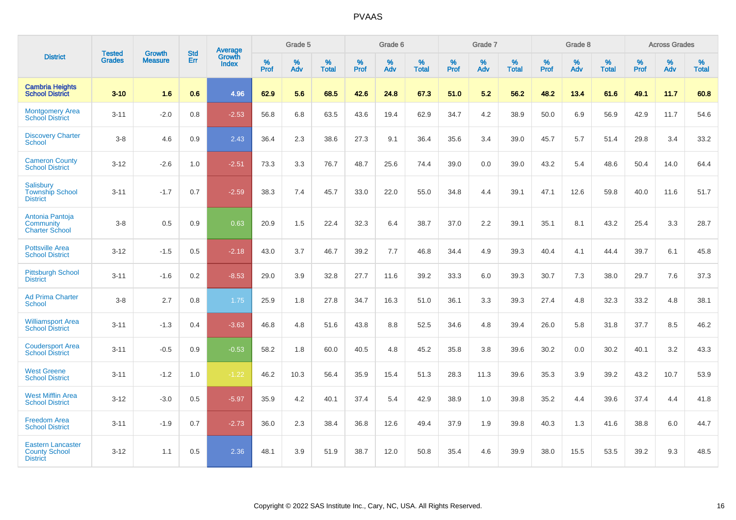|                                                                     | <b>Tested</b> | <b>Growth</b>  | <b>Std</b> | <b>Average</b>         |           | Grade 5  |                   |           | Grade 6  |                   |           | Grade 7  |                   |           | Grade 8  |                   |           | <b>Across Grades</b> |                   |
|---------------------------------------------------------------------|---------------|----------------|------------|------------------------|-----------|----------|-------------------|-----------|----------|-------------------|-----------|----------|-------------------|-----------|----------|-------------------|-----------|----------------------|-------------------|
| <b>District</b>                                                     | <b>Grades</b> | <b>Measure</b> | Err        | Growth<br><b>Index</b> | %<br>Prof | %<br>Adv | %<br><b>Total</b> | %<br>Prof | %<br>Adv | %<br><b>Total</b> | %<br>Prof | %<br>Adv | %<br><b>Total</b> | %<br>Prof | %<br>Adv | %<br><b>Total</b> | %<br>Prof | %<br>Adv             | %<br><b>Total</b> |
| <b>Cambria Heights</b><br><b>School District</b>                    | $3 - 10$      | 1.6            | 0.6        | 4.96                   | 62.9      | 5.6      | 68.5              | 42.6      | 24.8     | 67.3              | 51.0      | 5.2      | 56.2              | 48.2      | 13.4     | 61.6              | 49.1      | 11.7                 | 60.8              |
| <b>Montgomery Area</b><br><b>School District</b>                    | $3 - 11$      | $-2.0$         | 0.8        | $-2.53$                | 56.8      | 6.8      | 63.5              | 43.6      | 19.4     | 62.9              | 34.7      | 4.2      | 38.9              | 50.0      | 6.9      | 56.9              | 42.9      | 11.7                 | 54.6              |
| <b>Discovery Charter</b><br><b>School</b>                           | $3 - 8$       | 4.6            | 0.9        | 2.43                   | 36.4      | 2.3      | 38.6              | 27.3      | 9.1      | 36.4              | 35.6      | 3.4      | 39.0              | 45.7      | 5.7      | 51.4              | 29.8      | 3.4                  | 33.2              |
| <b>Cameron County</b><br><b>School District</b>                     | $3 - 12$      | $-2.6$         | 1.0        | $-2.51$                | 73.3      | 3.3      | 76.7              | 48.7      | 25.6     | 74.4              | 39.0      | 0.0      | 39.0              | 43.2      | 5.4      | 48.6              | 50.4      | 14.0                 | 64.4              |
| <b>Salisbury</b><br><b>Township School</b><br><b>District</b>       | $3 - 11$      | $-1.7$         | 0.7        | $-2.59$                | 38.3      | 7.4      | 45.7              | 33.0      | 22.0     | 55.0              | 34.8      | 4.4      | 39.1              | 47.1      | 12.6     | 59.8              | 40.0      | 11.6                 | 51.7              |
| Antonia Pantoja<br>Community<br><b>Charter School</b>               | $3 - 8$       | 0.5            | 0.9        | 0.63                   | 20.9      | 1.5      | 22.4              | 32.3      | 6.4      | 38.7              | 37.0      | 2.2      | 39.1              | 35.1      | 8.1      | 43.2              | 25.4      | 3.3                  | 28.7              |
| <b>Pottsville Area</b><br><b>School District</b>                    | $3 - 12$      | $-1.5$         | 0.5        | $-2.18$                | 43.0      | 3.7      | 46.7              | 39.2      | 7.7      | 46.8              | 34.4      | 4.9      | 39.3              | 40.4      | 4.1      | 44.4              | 39.7      | 6.1                  | 45.8              |
| <b>Pittsburgh School</b><br><b>District</b>                         | $3 - 11$      | $-1.6$         | 0.2        | $-8.53$                | 29.0      | 3.9      | 32.8              | 27.7      | 11.6     | 39.2              | 33.3      | 6.0      | 39.3              | 30.7      | 7.3      | 38.0              | 29.7      | 7.6                  | 37.3              |
| <b>Ad Prima Charter</b><br><b>School</b>                            | $3 - 8$       | 2.7            | 0.8        | 1.75                   | 25.9      | 1.8      | 27.8              | 34.7      | 16.3     | 51.0              | 36.1      | 3.3      | 39.3              | 27.4      | 4.8      | 32.3              | 33.2      | 4.8                  | 38.1              |
| <b>Williamsport Area</b><br><b>School District</b>                  | $3 - 11$      | $-1.3$         | 0.4        | $-3.63$                | 46.8      | 4.8      | 51.6              | 43.8      | 8.8      | 52.5              | 34.6      | 4.8      | 39.4              | 26.0      | 5.8      | 31.8              | 37.7      | 8.5                  | 46.2              |
| <b>Coudersport Area</b><br><b>School District</b>                   | $3 - 11$      | $-0.5$         | 0.9        | $-0.53$                | 58.2      | 1.8      | 60.0              | 40.5      | 4.8      | 45.2              | 35.8      | 3.8      | 39.6              | 30.2      | 0.0      | 30.2              | 40.1      | 3.2                  | 43.3              |
| <b>West Greene</b><br><b>School District</b>                        | $3 - 11$      | $-1.2$         | 1.0        | $-1.22$                | 46.2      | 10.3     | 56.4              | 35.9      | 15.4     | 51.3              | 28.3      | 11.3     | 39.6              | 35.3      | 3.9      | 39.2              | 43.2      | 10.7                 | 53.9              |
| <b>West Mifflin Area</b><br><b>School District</b>                  | $3 - 12$      | $-3.0$         | 0.5        | $-5.97$                | 35.9      | 4.2      | 40.1              | 37.4      | 5.4      | 42.9              | 38.9      | 1.0      | 39.8              | 35.2      | 4.4      | 39.6              | 37.4      | 4.4                  | 41.8              |
| <b>Freedom Area</b><br><b>School District</b>                       | $3 - 11$      | $-1.9$         | 0.7        | $-2.73$                | 36.0      | 2.3      | 38.4              | 36.8      | 12.6     | 49.4              | 37.9      | 1.9      | 39.8              | 40.3      | 1.3      | 41.6              | 38.8      | 6.0                  | 44.7              |
| <b>Eastern Lancaster</b><br><b>County School</b><br><b>District</b> | $3 - 12$      | 1.1            | 0.5        | 2.36                   | 48.1      | 3.9      | 51.9              | 38.7      | 12.0     | 50.8              | 35.4      | 4.6      | 39.9              | 38.0      | 15.5     | 53.5              | 39.2      | 9.3                  | 48.5              |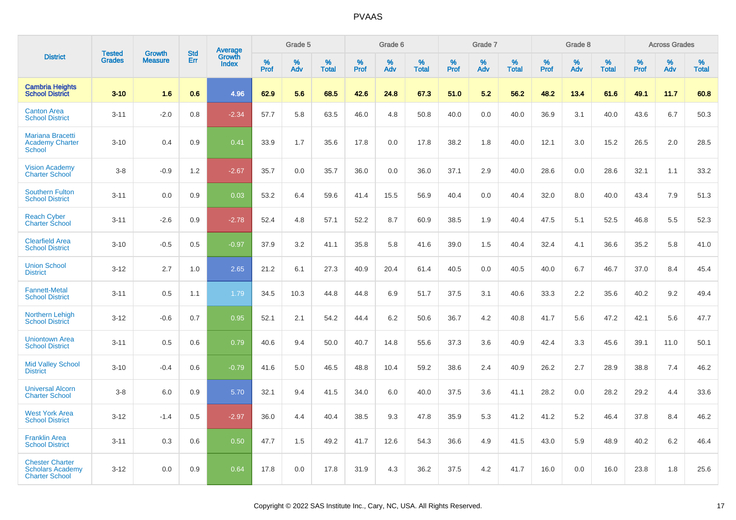|                                                                            |                                |                                 | <b>Std</b> | Average                |                     | Grade 5  |                   |                     | Grade 6  |                   |              | Grade 7  |                   |              | Grade 8  |                   |              | <b>Across Grades</b> |                   |
|----------------------------------------------------------------------------|--------------------------------|---------------------------------|------------|------------------------|---------------------|----------|-------------------|---------------------|----------|-------------------|--------------|----------|-------------------|--------------|----------|-------------------|--------------|----------------------|-------------------|
| <b>District</b>                                                            | <b>Tested</b><br><b>Grades</b> | <b>Growth</b><br><b>Measure</b> | Err        | Growth<br><b>Index</b> | $\%$<br><b>Prof</b> | %<br>Adv | %<br><b>Total</b> | $\%$<br><b>Prof</b> | %<br>Adv | %<br><b>Total</b> | $\%$<br>Prof | %<br>Adv | %<br><b>Total</b> | $\%$<br>Prof | %<br>Adv | %<br><b>Total</b> | $\%$<br>Prof | %<br>Adv             | %<br><b>Total</b> |
| <b>Cambria Heights</b><br><b>School District</b>                           | $3 - 10$                       | 1.6                             | 0.6        | 4.96                   | 62.9                | 5.6      | 68.5              | 42.6                | 24.8     | 67.3              | 51.0         | 5.2      | 56.2              | 48.2         | 13.4     | 61.6              | 49.1         | 11.7                 | 60.8              |
| <b>Canton Area</b><br><b>School District</b>                               | $3 - 11$                       | $-2.0$                          | 0.8        | $-2.34$                | 57.7                | 5.8      | 63.5              | 46.0                | 4.8      | 50.8              | 40.0         | 0.0      | 40.0              | 36.9         | 3.1      | 40.0              | 43.6         | 6.7                  | 50.3              |
| <b>Mariana Bracetti</b><br><b>Academy Charter</b><br><b>School</b>         | $3 - 10$                       | 0.4                             | 0.9        | 0.41                   | 33.9                | 1.7      | 35.6              | 17.8                | 0.0      | 17.8              | 38.2         | 1.8      | 40.0              | 12.1         | 3.0      | 15.2              | 26.5         | 2.0                  | 28.5              |
| <b>Vision Academy</b><br><b>Charter School</b>                             | $3-8$                          | $-0.9$                          | 1.2        | $-2.67$                | 35.7                | 0.0      | 35.7              | 36.0                | 0.0      | 36.0              | 37.1         | 2.9      | 40.0              | 28.6         | 0.0      | 28.6              | 32.1         | 1.1                  | 33.2              |
| <b>Southern Fulton</b><br><b>School District</b>                           | $3 - 11$                       | 0.0                             | 0.9        | 0.03                   | 53.2                | 6.4      | 59.6              | 41.4                | 15.5     | 56.9              | 40.4         | 0.0      | 40.4              | 32.0         | 8.0      | 40.0              | 43.4         | 7.9                  | 51.3              |
| <b>Reach Cyber</b><br><b>Charter School</b>                                | $3 - 11$                       | $-2.6$                          | 0.9        | $-2.78$                | 52.4                | 4.8      | 57.1              | 52.2                | 8.7      | 60.9              | 38.5         | 1.9      | 40.4              | 47.5         | 5.1      | 52.5              | 46.8         | 5.5                  | 52.3              |
| <b>Clearfield Area</b><br><b>School District</b>                           | $3 - 10$                       | $-0.5$                          | 0.5        | $-0.97$                | 37.9                | 3.2      | 41.1              | 35.8                | 5.8      | 41.6              | 39.0         | 1.5      | 40.4              | 32.4         | 4.1      | 36.6              | 35.2         | 5.8                  | 41.0              |
| <b>Union School</b><br><b>District</b>                                     | $3 - 12$                       | 2.7                             | 1.0        | 2.65                   | 21.2                | 6.1      | 27.3              | 40.9                | 20.4     | 61.4              | 40.5         | 0.0      | 40.5              | 40.0         | 6.7      | 46.7              | 37.0         | 8.4                  | 45.4              |
| <b>Fannett-Metal</b><br><b>School District</b>                             | $3 - 11$                       | 0.5                             | 1.1        | 1.79                   | 34.5                | 10.3     | 44.8              | 44.8                | 6.9      | 51.7              | 37.5         | 3.1      | 40.6              | 33.3         | 2.2      | 35.6              | 40.2         | 9.2                  | 49.4              |
| <b>Northern Lehigh</b><br><b>School District</b>                           | $3 - 12$                       | $-0.6$                          | 0.7        | 0.95                   | 52.1                | 2.1      | 54.2              | 44.4                | 6.2      | 50.6              | 36.7         | 4.2      | 40.8              | 41.7         | 5.6      | 47.2              | 42.1         | 5.6                  | 47.7              |
| <b>Uniontown Area</b><br><b>School District</b>                            | $3 - 11$                       | 0.5                             | 0.6        | 0.79                   | 40.6                | 9.4      | 50.0              | 40.7                | 14.8     | 55.6              | 37.3         | 3.6      | 40.9              | 42.4         | 3.3      | 45.6              | 39.1         | 11.0                 | 50.1              |
| <b>Mid Valley School</b><br><b>District</b>                                | $3 - 10$                       | $-0.4$                          | 0.6        | $-0.79$                | 41.6                | 5.0      | 46.5              | 48.8                | 10.4     | 59.2              | 38.6         | 2.4      | 40.9              | 26.2         | 2.7      | 28.9              | 38.8         | 7.4                  | 46.2              |
| <b>Universal Alcorn</b><br><b>Charter School</b>                           | $3 - 8$                        | 6.0                             | 0.9        | 5.70                   | 32.1                | 9.4      | 41.5              | 34.0                | 6.0      | 40.0              | 37.5         | 3.6      | 41.1              | 28.2         | 0.0      | 28.2              | 29.2         | 4.4                  | 33.6              |
| <b>West York Area</b><br><b>School District</b>                            | $3 - 12$                       | $-1.4$                          | 0.5        | $-2.97$                | 36.0                | 4.4      | 40.4              | 38.5                | 9.3      | 47.8              | 35.9         | 5.3      | 41.2              | 41.2         | 5.2      | 46.4              | 37.8         | 8.4                  | 46.2              |
| <b>Franklin Area</b><br><b>School District</b>                             | $3 - 11$                       | 0.3                             | 0.6        | 0.50                   | 47.7                | 1.5      | 49.2              | 41.7                | 12.6     | 54.3              | 36.6         | 4.9      | 41.5              | 43.0         | 5.9      | 48.9              | 40.2         | 6.2                  | 46.4              |
| <b>Chester Charter</b><br><b>Scholars Academy</b><br><b>Charter School</b> | $3 - 12$                       | 0.0                             | 0.9        | 0.64                   | 17.8                | 0.0      | 17.8              | 31.9                | 4.3      | 36.2              | 37.5         | 4.2      | 41.7              | 16.0         | 0.0      | 16.0              | 23.8         | 1.8                  | 25.6              |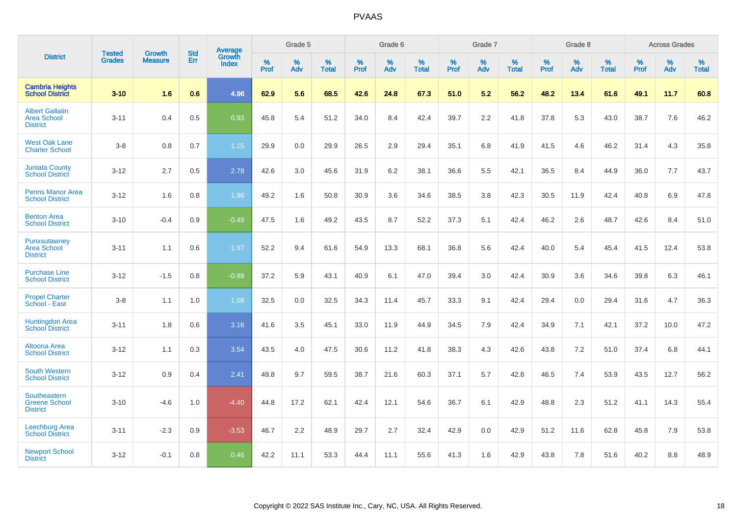|                                                                 | <b>Tested</b> | <b>Growth</b>  | <b>Std</b> | Average                       |           | Grade 5  |                   |           | Grade 6  |                   |           | Grade 7  |                   |           | Grade 8  |                   |           | <b>Across Grades</b> |                   |
|-----------------------------------------------------------------|---------------|----------------|------------|-------------------------------|-----------|----------|-------------------|-----------|----------|-------------------|-----------|----------|-------------------|-----------|----------|-------------------|-----------|----------------------|-------------------|
| <b>District</b>                                                 | <b>Grades</b> | <b>Measure</b> | <b>Err</b> | <b>Growth</b><br><b>Index</b> | %<br>Prof | %<br>Adv | %<br><b>Total</b> | %<br>Prof | %<br>Adv | %<br><b>Total</b> | %<br>Prof | %<br>Adv | %<br><b>Total</b> | %<br>Prof | %<br>Adv | %<br><b>Total</b> | %<br>Prof | %<br>Adv             | %<br><b>Total</b> |
| <b>Cambria Heights</b><br><b>School District</b>                | $3 - 10$      | 1.6            | 0.6        | 4.96                          | 62.9      | 5.6      | 68.5              | 42.6      | 24.8     | 67.3              | 51.0      | 5.2      | 56.2              | 48.2      | 13.4     | 61.6              | 49.1      | 11.7                 | 60.8              |
| <b>Albert Gallatin</b><br><b>Area School</b><br><b>District</b> | $3 - 11$      | 0.4            | 0.5        | 0.93                          | 45.8      | 5.4      | 51.2              | 34.0      | 8.4      | 42.4              | 39.7      | 2.2      | 41.8              | 37.8      | 5.3      | 43.0              | 38.7      | 7.6                  | 46.2              |
| <b>West Oak Lane</b><br><b>Charter School</b>                   | $3 - 8$       | 0.8            | 0.7        | 1.15                          | 29.9      | 0.0      | 29.9              | 26.5      | 2.9      | 29.4              | 35.1      | 6.8      | 41.9              | 41.5      | 4.6      | 46.2              | 31.4      | 4.3                  | 35.8              |
| <b>Juniata County</b><br><b>School District</b>                 | $3 - 12$      | 2.7            | 0.5        | 2.78                          | 42.6      | 3.0      | 45.6              | 31.9      | 6.2      | 38.1              | 36.6      | 5.5      | 42.1              | 36.5      | 8.4      | 44.9              | 36.0      | 7.7                  | 43.7              |
| <b>Penns Manor Area</b><br><b>School District</b>               | $3 - 12$      | 1.6            | 0.8        | 1.96                          | 49.2      | 1.6      | 50.8              | 30.9      | 3.6      | 34.6              | 38.5      | 3.8      | 42.3              | 30.5      | 11.9     | 42.4              | 40.8      | 6.9                  | 47.8              |
| <b>Benton Area</b><br><b>School District</b>                    | $3 - 10$      | $-0.4$         | 0.9        | $-0.49$                       | 47.5      | 1.6      | 49.2              | 43.5      | 8.7      | 52.2              | 37.3      | 5.1      | 42.4              | 46.2      | 2.6      | 48.7              | 42.6      | 8.4                  | 51.0              |
| Punxsutawney<br><b>Area School</b><br><b>District</b>           | $3 - 11$      | 1.1            | 0.6        | 1.97                          | 52.2      | 9.4      | 61.6              | 54.9      | 13.3     | 68.1              | 36.8      | 5.6      | 42.4              | 40.0      | 5.4      | 45.4              | 41.5      | 12.4                 | 53.8              |
| <b>Purchase Line</b><br><b>School District</b>                  | $3 - 12$      | $-1.5$         | 0.8        | $-0.88$                       | 37.2      | 5.9      | 43.1              | 40.9      | 6.1      | 47.0              | 39.4      | 3.0      | 42.4              | 30.9      | 3.6      | 34.6              | 39.8      | 6.3                  | 46.1              |
| <b>Propel Charter</b><br>School - East                          | $3 - 8$       | 1.1            | 1.0        | 1.08                          | 32.5      | 0.0      | 32.5              | 34.3      | 11.4     | 45.7              | 33.3      | 9.1      | 42.4              | 29.4      | 0.0      | 29.4              | 31.6      | 4.7                  | 36.3              |
| <b>Huntingdon Area</b><br><b>School District</b>                | $3 - 11$      | 1.8            | 0.6        | 3.16                          | 41.6      | 3.5      | 45.1              | 33.0      | 11.9     | 44.9              | 34.5      | 7.9      | 42.4              | 34.9      | 7.1      | 42.1              | 37.2      | 10.0                 | 47.2              |
| Altoona Area<br><b>School District</b>                          | $3 - 12$      | 1.1            | 0.3        | 3.54                          | 43.5      | 4.0      | 47.5              | 30.6      | 11.2     | 41.8              | 38.3      | 4.3      | 42.6              | 43.8      | 7.2      | 51.0              | 37.4      | 6.8                  | 44.1              |
| <b>South Western</b><br><b>School District</b>                  | $3 - 12$      | 0.9            | 0.4        | 2.41                          | 49.8      | 9.7      | 59.5              | 38.7      | 21.6     | 60.3              | 37.1      | 5.7      | 42.8              | 46.5      | 7.4      | 53.9              | 43.5      | 12.7                 | 56.2              |
| Southeastern<br><b>Greene School</b><br><b>District</b>         | $3 - 10$      | $-4.6$         | 1.0        | $-4.40$                       | 44.8      | 17.2     | 62.1              | 42.4      | 12.1     | 54.6              | 36.7      | 6.1      | 42.9              | 48.8      | 2.3      | 51.2              | 41.1      | 14.3                 | 55.4              |
| Leechburg Area<br><b>School District</b>                        | $3 - 11$      | $-2.3$         | 0.9        | $-3.53$                       | 46.7      | 2.2      | 48.9              | 29.7      | 2.7      | 32.4              | 42.9      | 0.0      | 42.9              | 51.2      | 11.6     | 62.8              | 45.8      | 7.9                  | 53.8              |
| <b>Newport School</b><br><b>District</b>                        | $3 - 12$      | $-0.1$         | 0.8        | 0.46                          | 42.2      | 11.1     | 53.3              | 44.4      | 11.1     | 55.6              | 41.3      | 1.6      | 42.9              | 43.8      | 7.8      | 51.6              | 40.2      | 8.8                  | 48.9              |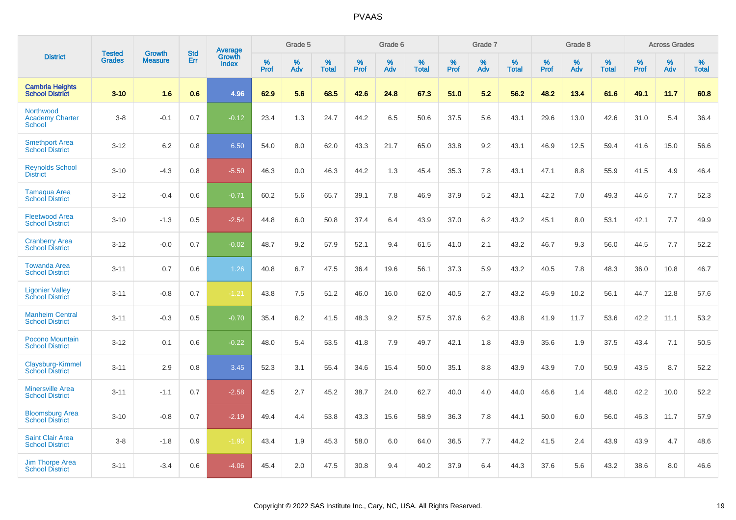|                                                      |                                | <b>Growth</b>  | <b>Std</b> | Average                |              | Grade 5     |                      |                  | Grade 6  |                      |              | Grade 7  |                      |              | Grade 8  |                      |              | <b>Across Grades</b> |                      |
|------------------------------------------------------|--------------------------------|----------------|------------|------------------------|--------------|-------------|----------------------|------------------|----------|----------------------|--------------|----------|----------------------|--------------|----------|----------------------|--------------|----------------------|----------------------|
| <b>District</b>                                      | <b>Tested</b><br><b>Grades</b> | <b>Measure</b> | Err        | Growth<br><b>Index</b> | $\%$<br>Prof | $\%$<br>Adv | $\%$<br><b>Total</b> | %<br><b>Prof</b> | %<br>Adv | $\%$<br><b>Total</b> | $\%$<br>Prof | %<br>Adv | $\%$<br><b>Total</b> | $\%$<br>Prof | %<br>Adv | $\%$<br><b>Total</b> | $\%$<br>Prof | %<br>Adv             | $\%$<br><b>Total</b> |
| <b>Cambria Heights</b><br><b>School District</b>     | $3 - 10$                       | 1.6            | 0.6        | 4.96                   | 62.9         | 5.6         | 68.5                 | 42.6             | 24.8     | 67.3                 | 51.0         | 5.2      | 56.2                 | 48.2         | 13.4     | 61.6                 | 49.1         | 11.7                 | 60.8                 |
| Northwood<br><b>Academy Charter</b><br><b>School</b> | $3-8$                          | $-0.1$         | 0.7        | $-0.12$                | 23.4         | 1.3         | 24.7                 | 44.2             | 6.5      | 50.6                 | 37.5         | 5.6      | 43.1                 | 29.6         | 13.0     | 42.6                 | 31.0         | 5.4                  | 36.4                 |
| <b>Smethport Area</b><br><b>School District</b>      | $3 - 12$                       | 6.2            | 0.8        | 6.50                   | 54.0         | 8.0         | 62.0                 | 43.3             | 21.7     | 65.0                 | 33.8         | 9.2      | 43.1                 | 46.9         | 12.5     | 59.4                 | 41.6         | 15.0                 | 56.6                 |
| <b>Reynolds School</b><br><b>District</b>            | $3 - 10$                       | $-4.3$         | 0.8        | $-5.50$                | 46.3         | 0.0         | 46.3                 | 44.2             | 1.3      | 45.4                 | 35.3         | 7.8      | 43.1                 | 47.1         | 8.8      | 55.9                 | 41.5         | 4.9                  | 46.4                 |
| <b>Tamaqua Area</b><br><b>School District</b>        | $3 - 12$                       | $-0.4$         | 0.6        | $-0.71$                | 60.2         | 5.6         | 65.7                 | 39.1             | 7.8      | 46.9                 | 37.9         | 5.2      | 43.1                 | 42.2         | 7.0      | 49.3                 | 44.6         | 7.7                  | 52.3                 |
| <b>Fleetwood Area</b><br><b>School District</b>      | $3 - 10$                       | $-1.3$         | 0.5        | $-2.54$                | 44.8         | 6.0         | 50.8                 | 37.4             | 6.4      | 43.9                 | 37.0         | 6.2      | 43.2                 | 45.1         | 8.0      | 53.1                 | 42.1         | 7.7                  | 49.9                 |
| <b>Cranberry Area</b><br><b>School District</b>      | $3 - 12$                       | $-0.0$         | 0.7        | $-0.02$                | 48.7         | 9.2         | 57.9                 | 52.1             | 9.4      | 61.5                 | 41.0         | 2.1      | 43.2                 | 46.7         | 9.3      | 56.0                 | 44.5         | 7.7                  | 52.2                 |
| <b>Towanda Area</b><br><b>School District</b>        | $3 - 11$                       | 0.7            | 0.6        | 1.26                   | 40.8         | 6.7         | 47.5                 | 36.4             | 19.6     | 56.1                 | 37.3         | 5.9      | 43.2                 | 40.5         | 7.8      | 48.3                 | 36.0         | 10.8                 | 46.7                 |
| <b>Ligonier Valley</b><br><b>School District</b>     | $3 - 11$                       | $-0.8$         | 0.7        | $-1.21$                | 43.8         | 7.5         | 51.2                 | 46.0             | 16.0     | 62.0                 | 40.5         | 2.7      | 43.2                 | 45.9         | 10.2     | 56.1                 | 44.7         | 12.8                 | 57.6                 |
| <b>Manheim Central</b><br><b>School District</b>     | $3 - 11$                       | $-0.3$         | 0.5        | $-0.70$                | 35.4         | 6.2         | 41.5                 | 48.3             | 9.2      | 57.5                 | 37.6         | 6.2      | 43.8                 | 41.9         | 11.7     | 53.6                 | 42.2         | 11.1                 | 53.2                 |
| Pocono Mountain<br><b>School District</b>            | $3 - 12$                       | 0.1            | 0.6        | $-0.22$                | 48.0         | 5.4         | 53.5                 | 41.8             | 7.9      | 49.7                 | 42.1         | 1.8      | 43.9                 | 35.6         | 1.9      | 37.5                 | 43.4         | 7.1                  | 50.5                 |
| Claysburg-Kimmel<br><b>School District</b>           | $3 - 11$                       | 2.9            | 0.8        | 3.45                   | 52.3         | 3.1         | 55.4                 | 34.6             | 15.4     | 50.0                 | 35.1         | 8.8      | 43.9                 | 43.9         | 7.0      | 50.9                 | 43.5         | 8.7                  | 52.2                 |
| <b>Minersville Area</b><br><b>School District</b>    | $3 - 11$                       | $-1.1$         | 0.7        | $-2.58$                | 42.5         | 2.7         | 45.2                 | 38.7             | 24.0     | 62.7                 | 40.0         | 4.0      | 44.0                 | 46.6         | 1.4      | 48.0                 | 42.2         | 10.0                 | 52.2                 |
| <b>Bloomsburg Area</b><br><b>School District</b>     | $3 - 10$                       | $-0.8$         | 0.7        | $-2.19$                | 49.4         | 4.4         | 53.8                 | 43.3             | 15.6     | 58.9                 | 36.3         | 7.8      | 44.1                 | 50.0         | 6.0      | 56.0                 | 46.3         | 11.7                 | 57.9                 |
| <b>Saint Clair Area</b><br><b>School District</b>    | $3-8$                          | $-1.8$         | 0.9        | $-1.95$                | 43.4         | 1.9         | 45.3                 | 58.0             | 6.0      | 64.0                 | 36.5         | 7.7      | 44.2                 | 41.5         | 2.4      | 43.9                 | 43.9         | 4.7                  | 48.6                 |
| Jim Thorpe Area<br><b>School District</b>            | $3 - 11$                       | $-3.4$         | 0.6        | $-4.06$                | 45.4         | 2.0         | 47.5                 | 30.8             | 9.4      | 40.2                 | 37.9         | 6.4      | 44.3                 | 37.6         | 5.6      | 43.2                 | 38.6         | 8.0                  | 46.6                 |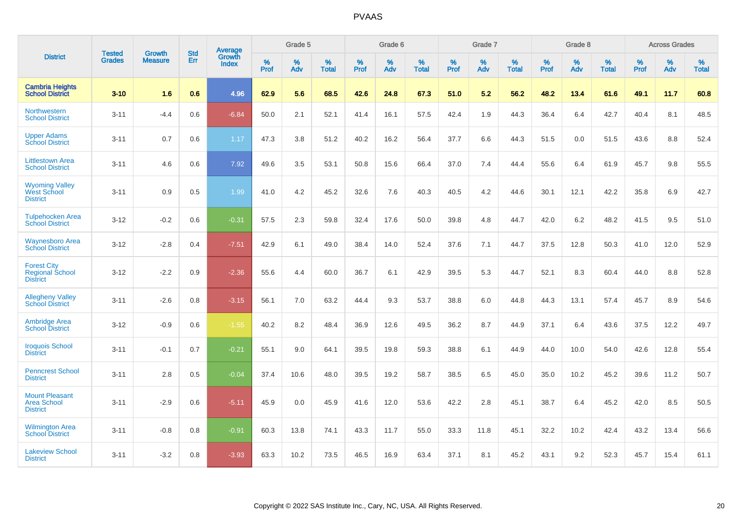|                                                                 |                                |                                 | <b>Std</b> | <b>Average</b>                |           | Grade 5  |                   |           | Grade 6  |                   |           | Grade 7  |                   |           | Grade 8  |                   |           | <b>Across Grades</b> |                   |
|-----------------------------------------------------------------|--------------------------------|---------------------------------|------------|-------------------------------|-----------|----------|-------------------|-----------|----------|-------------------|-----------|----------|-------------------|-----------|----------|-------------------|-----------|----------------------|-------------------|
| <b>District</b>                                                 | <b>Tested</b><br><b>Grades</b> | <b>Growth</b><br><b>Measure</b> | Err        | <b>Growth</b><br><b>Index</b> | %<br>Prof | %<br>Adv | %<br><b>Total</b> | %<br>Prof | %<br>Adv | %<br><b>Total</b> | %<br>Prof | %<br>Adv | %<br><b>Total</b> | %<br>Prof | %<br>Adv | %<br><b>Total</b> | %<br>Prof | %<br>Adv             | %<br><b>Total</b> |
| <b>Cambria Heights</b><br><b>School District</b>                | $3 - 10$                       | 1.6                             | 0.6        | 4.96                          | 62.9      | 5.6      | 68.5              | 42.6      | 24.8     | 67.3              | 51.0      | 5.2      | 56.2              | 48.2      | 13.4     | 61.6              | 49.1      | 11.7                 | 60.8              |
| Northwestern<br><b>School District</b>                          | $3 - 11$                       | $-4.4$                          | 0.6        | $-6.84$                       | 50.0      | 2.1      | 52.1              | 41.4      | 16.1     | 57.5              | 42.4      | 1.9      | 44.3              | 36.4      | 6.4      | 42.7              | 40.4      | 8.1                  | 48.5              |
| <b>Upper Adams</b><br><b>School District</b>                    | $3 - 11$                       | 0.7                             | 0.6        | 1.17                          | 47.3      | 3.8      | 51.2              | 40.2      | 16.2     | 56.4              | 37.7      | 6.6      | 44.3              | 51.5      | 0.0      | 51.5              | 43.6      | 8.8                  | 52.4              |
| <b>Littlestown Area</b><br><b>School District</b>               | $3 - 11$                       | 4.6                             | 0.6        | 7.92                          | 49.6      | 3.5      | 53.1              | 50.8      | 15.6     | 66.4              | 37.0      | 7.4      | 44.4              | 55.6      | 6.4      | 61.9              | 45.7      | 9.8                  | 55.5              |
| <b>Wyoming Valley</b><br><b>West School</b><br><b>District</b>  | $3 - 11$                       | 0.9                             | 0.5        | 1.99                          | 41.0      | 4.2      | 45.2              | 32.6      | 7.6      | 40.3              | 40.5      | 4.2      | 44.6              | 30.1      | 12.1     | 42.2              | 35.8      | 6.9                  | 42.7              |
| <b>Tulpehocken Area</b><br><b>School District</b>               | $3 - 12$                       | $-0.2$                          | 0.6        | $-0.31$                       | 57.5      | 2.3      | 59.8              | 32.4      | 17.6     | 50.0              | 39.8      | 4.8      | 44.7              | 42.0      | 6.2      | 48.2              | 41.5      | 9.5                  | 51.0              |
| <b>Waynesboro Area</b><br><b>School District</b>                | $3 - 12$                       | $-2.8$                          | 0.4        | $-7.51$                       | 42.9      | 6.1      | 49.0              | 38.4      | 14.0     | 52.4              | 37.6      | 7.1      | 44.7              | 37.5      | 12.8     | 50.3              | 41.0      | 12.0                 | 52.9              |
| <b>Forest City</b><br><b>Regional School</b><br><b>District</b> | $3 - 12$                       | $-2.2$                          | 0.9        | $-2.36$                       | 55.6      | 4.4      | 60.0              | 36.7      | 6.1      | 42.9              | 39.5      | 5.3      | 44.7              | 52.1      | 8.3      | 60.4              | 44.0      | 8.8                  | 52.8              |
| <b>Allegheny Valley</b><br><b>School District</b>               | $3 - 11$                       | $-2.6$                          | 0.8        | $-3.15$                       | 56.1      | 7.0      | 63.2              | 44.4      | 9.3      | 53.7              | 38.8      | 6.0      | 44.8              | 44.3      | 13.1     | 57.4              | 45.7      | 8.9                  | 54.6              |
| <b>Ambridge Area</b><br><b>School District</b>                  | $3 - 12$                       | $-0.9$                          | 0.6        | $-1.55$                       | 40.2      | 8.2      | 48.4              | 36.9      | 12.6     | 49.5              | 36.2      | 8.7      | 44.9              | 37.1      | 6.4      | 43.6              | 37.5      | 12.2                 | 49.7              |
| <b>Iroquois School</b><br><b>District</b>                       | $3 - 11$                       | $-0.1$                          | 0.7        | $-0.21$                       | 55.1      | 9.0      | 64.1              | 39.5      | 19.8     | 59.3              | 38.8      | 6.1      | 44.9              | 44.0      | 10.0     | 54.0              | 42.6      | 12.8                 | 55.4              |
| <b>Penncrest School</b><br><b>District</b>                      | $3 - 11$                       | 2.8                             | 0.5        | $-0.04$                       | 37.4      | 10.6     | 48.0              | 39.5      | 19.2     | 58.7              | 38.5      | 6.5      | 45.0              | 35.0      | 10.2     | 45.2              | 39.6      | 11.2                 | 50.7              |
| <b>Mount Pleasant</b><br><b>Area School</b><br><b>District</b>  | $3 - 11$                       | $-2.9$                          | 0.6        | $-5.11$                       | 45.9      | 0.0      | 45.9              | 41.6      | 12.0     | 53.6              | 42.2      | 2.8      | 45.1              | 38.7      | 6.4      | 45.2              | 42.0      | 8.5                  | 50.5              |
| <b>Wilmington Area</b><br><b>School District</b>                | $3 - 11$                       | $-0.8$                          | 0.8        | $-0.91$                       | 60.3      | 13.8     | 74.1              | 43.3      | 11.7     | 55.0              | 33.3      | 11.8     | 45.1              | 32.2      | 10.2     | 42.4              | 43.2      | 13.4                 | 56.6              |
| <b>Lakeview School</b><br><b>District</b>                       | $3 - 11$                       | $-3.2$                          | 0.8        | $-3.93$                       | 63.3      | 10.2     | 73.5              | 46.5      | 16.9     | 63.4              | 37.1      | 8.1      | 45.2              | 43.1      | 9.2      | 52.3              | 45.7      | 15.4                 | 61.1              |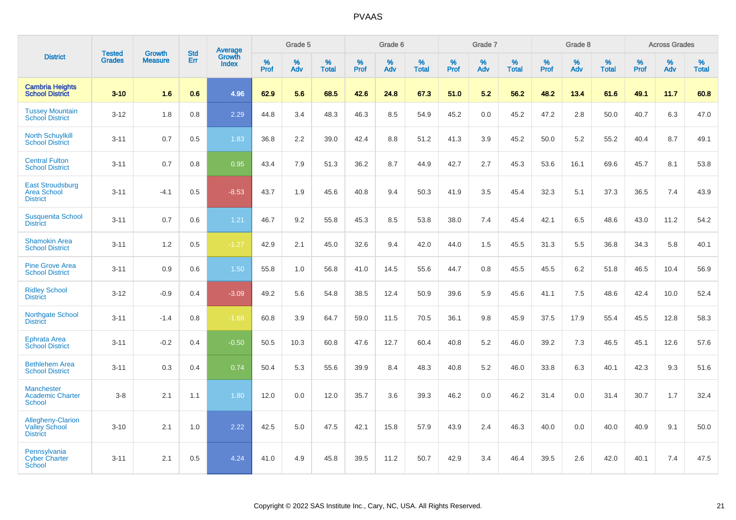|                                                                     |                                |                                 | <b>Std</b> | Average                       |              | Grade 5  |                   |           | Grade 6  |                   |           | Grade 7  |                   |           | Grade 8  |                   |           | <b>Across Grades</b> |                   |
|---------------------------------------------------------------------|--------------------------------|---------------------------------|------------|-------------------------------|--------------|----------|-------------------|-----------|----------|-------------------|-----------|----------|-------------------|-----------|----------|-------------------|-----------|----------------------|-------------------|
| <b>District</b>                                                     | <b>Tested</b><br><b>Grades</b> | <b>Growth</b><br><b>Measure</b> | Err        | <b>Growth</b><br><b>Index</b> | $\%$<br>Prof | %<br>Adv | %<br><b>Total</b> | %<br>Prof | %<br>Adv | %<br><b>Total</b> | %<br>Prof | %<br>Adv | %<br><b>Total</b> | %<br>Prof | %<br>Adv | %<br><b>Total</b> | %<br>Prof | %<br>Adv             | %<br><b>Total</b> |
| <b>Cambria Heights</b><br><b>School District</b>                    | $3 - 10$                       | 1.6                             | 0.6        | 4.96                          | 62.9         | 5.6      | 68.5              | 42.6      | 24.8     | 67.3              | 51.0      | 5.2      | 56.2              | 48.2      | 13.4     | 61.6              | 49.1      | 11.7                 | 60.8              |
| <b>Tussey Mountain</b><br><b>School District</b>                    | $3 - 12$                       | 1.8                             | 0.8        | 2.29                          | 44.8         | 3.4      | 48.3              | 46.3      | 8.5      | 54.9              | 45.2      | 0.0      | 45.2              | 47.2      | 2.8      | 50.0              | 40.7      | 6.3                  | 47.0              |
| <b>North Schuylkill</b><br><b>School District</b>                   | $3 - 11$                       | 0.7                             | 0.5        | 1.83                          | 36.8         | 2.2      | 39.0              | 42.4      | 8.8      | 51.2              | 41.3      | 3.9      | 45.2              | 50.0      | 5.2      | 55.2              | 40.4      | 8.7                  | 49.1              |
| <b>Central Fulton</b><br><b>School District</b>                     | $3 - 11$                       | 0.7                             | 0.8        | 0.95                          | 43.4         | 7.9      | 51.3              | 36.2      | 8.7      | 44.9              | 42.7      | 2.7      | 45.3              | 53.6      | 16.1     | 69.6              | 45.7      | 8.1                  | 53.8              |
| <b>East Stroudsburg</b><br><b>Area School</b><br><b>District</b>    | $3 - 11$                       | $-4.1$                          | 0.5        | $-8.53$                       | 43.7         | 1.9      | 45.6              | 40.8      | 9.4      | 50.3              | 41.9      | 3.5      | 45.4              | 32.3      | 5.1      | 37.3              | 36.5      | 7.4                  | 43.9              |
| <b>Susquenita School</b><br><b>District</b>                         | $3 - 11$                       | 0.7                             | 0.6        | 1.21                          | 46.7         | 9.2      | 55.8              | 45.3      | 8.5      | 53.8              | 38.0      | 7.4      | 45.4              | 42.1      | 6.5      | 48.6              | 43.0      | 11.2                 | 54.2              |
| <b>Shamokin Area</b><br><b>School District</b>                      | $3 - 11$                       | 1.2                             | 0.5        | $-1.27$                       | 42.9         | 2.1      | 45.0              | 32.6      | 9.4      | 42.0              | 44.0      | 1.5      | 45.5              | 31.3      | 5.5      | 36.8              | 34.3      | 5.8                  | 40.1              |
| <b>Pine Grove Area</b><br><b>School District</b>                    | $3 - 11$                       | 0.9                             | 0.6        | 1.50                          | 55.8         | 1.0      | 56.8              | 41.0      | 14.5     | 55.6              | 44.7      | 0.8      | 45.5              | 45.5      | $6.2\,$  | 51.8              | 46.5      | 10.4                 | 56.9              |
| <b>Ridley School</b><br><b>District</b>                             | $3 - 12$                       | $-0.9$                          | 0.4        | $-3.09$                       | 49.2         | 5.6      | 54.8              | 38.5      | 12.4     | 50.9              | 39.6      | 5.9      | 45.6              | 41.1      | 7.5      | 48.6              | 42.4      | 10.0                 | 52.4              |
| <b>Northgate School</b><br><b>District</b>                          | $3 - 11$                       | $-1.4$                          | 0.8        | $-1.68$                       | 60.8         | 3.9      | 64.7              | 59.0      | 11.5     | 70.5              | 36.1      | 9.8      | 45.9              | 37.5      | 17.9     | 55.4              | 45.5      | 12.8                 | 58.3              |
| <b>Ephrata Area</b><br><b>School District</b>                       | $3 - 11$                       | $-0.2$                          | 0.4        | $-0.50$                       | 50.5         | 10.3     | 60.8              | 47.6      | 12.7     | 60.4              | 40.8      | 5.2      | 46.0              | 39.2      | 7.3      | 46.5              | 45.1      | 12.6                 | 57.6              |
| <b>Bethlehem Area</b><br><b>School District</b>                     | $3 - 11$                       | 0.3                             | 0.4        | 0.74                          | 50.4         | 5.3      | 55.6              | 39.9      | 8.4      | 48.3              | 40.8      | 5.2      | 46.0              | 33.8      | 6.3      | 40.1              | 42.3      | 9.3                  | 51.6              |
| <b>Manchester</b><br><b>Academic Charter</b><br><b>School</b>       | $3-8$                          | 2.1                             | 1.1        | 1.80                          | 12.0         | 0.0      | 12.0              | 35.7      | 3.6      | 39.3              | 46.2      | 0.0      | 46.2              | 31.4      | 0.0      | 31.4              | 30.7      | 1.7                  | 32.4              |
| <b>Allegheny-Clarion</b><br><b>Valley School</b><br><b>District</b> | $3 - 10$                       | 2.1                             | 1.0        | 2.22                          | 42.5         | 5.0      | 47.5              | 42.1      | 15.8     | 57.9              | 43.9      | 2.4      | 46.3              | 40.0      | 0.0      | 40.0              | 40.9      | 9.1                  | 50.0              |
| Pennsylvania<br><b>Cyber Charter</b><br>School                      | $3 - 11$                       | 2.1                             | 0.5        | 4.24                          | 41.0         | 4.9      | 45.8              | 39.5      | 11.2     | 50.7              | 42.9      | 3.4      | 46.4              | 39.5      | 2.6      | 42.0              | 40.1      | 7.4                  | 47.5              |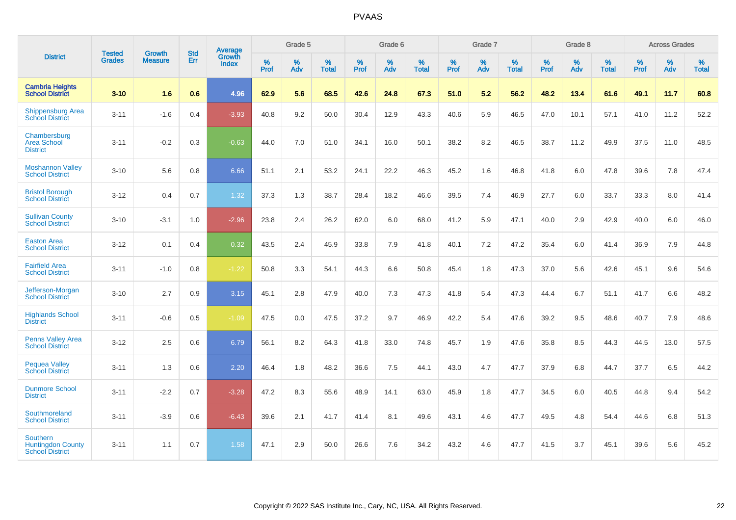|                                                                | <b>Tested</b> | <b>Growth</b>  | <b>Std</b> | Average                       |                  | Grade 5  |                   |                  | Grade 6  |                   |           | Grade 7  |                   |           | Grade 8  |                   |                  | <b>Across Grades</b> |                   |
|----------------------------------------------------------------|---------------|----------------|------------|-------------------------------|------------------|----------|-------------------|------------------|----------|-------------------|-----------|----------|-------------------|-----------|----------|-------------------|------------------|----------------------|-------------------|
| <b>District</b>                                                | <b>Grades</b> | <b>Measure</b> | Err        | <b>Growth</b><br><b>Index</b> | %<br><b>Prof</b> | %<br>Adv | %<br><b>Total</b> | %<br><b>Prof</b> | %<br>Adv | %<br><b>Total</b> | %<br>Prof | %<br>Adv | %<br><b>Total</b> | %<br>Prof | %<br>Adv | %<br><b>Total</b> | %<br><b>Prof</b> | %<br>Adv             | %<br><b>Total</b> |
| <b>Cambria Heights</b><br><b>School District</b>               | $3 - 10$      | 1.6            | 0.6        | 4.96                          | 62.9             | 5.6      | 68.5              | 42.6             | 24.8     | 67.3              | 51.0      | 5.2      | 56.2              | 48.2      | 13.4     | 61.6              | 49.1             | 11.7                 | 60.8              |
| <b>Shippensburg Area</b><br><b>School District</b>             | $3 - 11$      | $-1.6$         | 0.4        | $-3.93$                       | 40.8             | 9.2      | 50.0              | 30.4             | 12.9     | 43.3              | 40.6      | 5.9      | 46.5              | 47.0      | 10.1     | 57.1              | 41.0             | 11.2                 | 52.2              |
| Chambersburg<br><b>Area School</b><br><b>District</b>          | $3 - 11$      | $-0.2$         | 0.3        | $-0.63$                       | 44.0             | 7.0      | 51.0              | 34.1             | 16.0     | 50.1              | 38.2      | 8.2      | 46.5              | 38.7      | 11.2     | 49.9              | 37.5             | 11.0                 | 48.5              |
| <b>Moshannon Valley</b><br><b>School District</b>              | $3 - 10$      | 5.6            | 0.8        | 6.66                          | 51.1             | 2.1      | 53.2              | 24.1             | 22.2     | 46.3              | 45.2      | 1.6      | 46.8              | 41.8      | 6.0      | 47.8              | 39.6             | 7.8                  | 47.4              |
| <b>Bristol Borough</b><br><b>School District</b>               | $3 - 12$      | 0.4            | 0.7        | 1.32                          | 37.3             | 1.3      | 38.7              | 28.4             | 18.2     | 46.6              | 39.5      | 7.4      | 46.9              | 27.7      | 6.0      | 33.7              | 33.3             | 8.0                  | 41.4              |
| <b>Sullivan County</b><br><b>School District</b>               | $3 - 10$      | $-3.1$         | 1.0        | $-2.96$                       | 23.8             | 2.4      | 26.2              | 62.0             | 6.0      | 68.0              | 41.2      | 5.9      | 47.1              | 40.0      | 2.9      | 42.9              | 40.0             | 6.0                  | 46.0              |
| <b>Easton Area</b><br><b>School District</b>                   | $3 - 12$      | 0.1            | 0.4        | 0.32                          | 43.5             | 2.4      | 45.9              | 33.8             | 7.9      | 41.8              | 40.1      | 7.2      | 47.2              | 35.4      | 6.0      | 41.4              | 36.9             | 7.9                  | 44.8              |
| <b>Fairfield Area</b><br><b>School District</b>                | $3 - 11$      | $-1.0$         | 0.8        | $-1.22$                       | 50.8             | 3.3      | 54.1              | 44.3             | 6.6      | 50.8              | 45.4      | 1.8      | 47.3              | 37.0      | 5.6      | 42.6              | 45.1             | 9.6                  | 54.6              |
| Jefferson-Morgan<br><b>School District</b>                     | $3 - 10$      | 2.7            | 0.9        | 3.15                          | 45.1             | 2.8      | 47.9              | 40.0             | 7.3      | 47.3              | 41.8      | 5.4      | 47.3              | 44.4      | 6.7      | 51.1              | 41.7             | 6.6                  | 48.2              |
| <b>Highlands School</b><br><b>District</b>                     | $3 - 11$      | $-0.6$         | 0.5        | $-1.09$                       | 47.5             | 0.0      | 47.5              | 37.2             | 9.7      | 46.9              | 42.2      | 5.4      | 47.6              | 39.2      | 9.5      | 48.6              | 40.7             | 7.9                  | 48.6              |
| <b>Penns Valley Area</b><br><b>School District</b>             | $3 - 12$      | 2.5            | 0.6        | 6.79                          | 56.1             | 8.2      | 64.3              | 41.8             | 33.0     | 74.8              | 45.7      | 1.9      | 47.6              | 35.8      | 8.5      | 44.3              | 44.5             | 13.0                 | 57.5              |
| <b>Pequea Valley</b><br><b>School District</b>                 | $3 - 11$      | 1.3            | 0.6        | 2.20                          | 46.4             | 1.8      | 48.2              | 36.6             | 7.5      | 44.1              | 43.0      | 4.7      | 47.7              | 37.9      | 6.8      | 44.7              | 37.7             | 6.5                  | 44.2              |
| <b>Dunmore School</b><br><b>District</b>                       | $3 - 11$      | $-2.2$         | 0.7        | $-3.28$                       | 47.2             | 8.3      | 55.6              | 48.9             | 14.1     | 63.0              | 45.9      | 1.8      | 47.7              | 34.5      | 6.0      | 40.5              | 44.8             | 9.4                  | 54.2              |
| Southmoreland<br><b>School District</b>                        | $3 - 11$      | $-3.9$         | 0.6        | $-6.43$                       | 39.6             | 2.1      | 41.7              | 41.4             | 8.1      | 49.6              | 43.1      | 4.6      | 47.7              | 49.5      | 4.8      | 54.4              | 44.6             | 6.8                  | 51.3              |
| Southern<br><b>Huntingdon County</b><br><b>School District</b> | $3 - 11$      | 1.1            | 0.7        | 1.58                          | 47.1             | 2.9      | 50.0              | 26.6             | 7.6      | 34.2              | 43.2      | 4.6      | 47.7              | 41.5      | 3.7      | 45.1              | 39.6             | 5.6                  | 45.2              |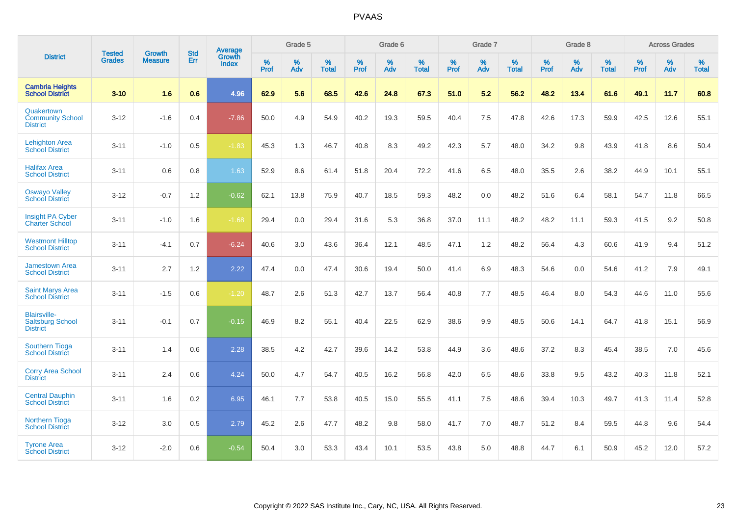|                                                                   | <b>Tested</b> | <b>Growth</b>  | <b>Std</b> | <b>Average</b>         |           | Grade 5  |                   |           | Grade 6  |                   |           | Grade 7  |                   |           | Grade 8  |                   |           | <b>Across Grades</b> |                   |
|-------------------------------------------------------------------|---------------|----------------|------------|------------------------|-----------|----------|-------------------|-----------|----------|-------------------|-----------|----------|-------------------|-----------|----------|-------------------|-----------|----------------------|-------------------|
| <b>District</b>                                                   | <b>Grades</b> | <b>Measure</b> | Err        | Growth<br><b>Index</b> | %<br>Prof | %<br>Adv | %<br><b>Total</b> | %<br>Prof | %<br>Adv | %<br><b>Total</b> | %<br>Prof | %<br>Adv | %<br><b>Total</b> | %<br>Prof | %<br>Adv | %<br><b>Total</b> | %<br>Prof | %<br>Adv             | %<br><b>Total</b> |
| <b>Cambria Heights</b><br><b>School District</b>                  | $3 - 10$      | 1.6            | 0.6        | 4.96                   | 62.9      | 5.6      | 68.5              | 42.6      | 24.8     | 67.3              | 51.0      | 5.2      | 56.2              | 48.2      | 13.4     | 61.6              | 49.1      | 11.7                 | 60.8              |
| Quakertown<br><b>Community School</b><br><b>District</b>          | $3 - 12$      | $-1.6$         | 0.4        | $-7.86$                | 50.0      | 4.9      | 54.9              | 40.2      | 19.3     | 59.5              | 40.4      | 7.5      | 47.8              | 42.6      | 17.3     | 59.9              | 42.5      | 12.6                 | 55.1              |
| <b>Lehighton Area</b><br><b>School District</b>                   | $3 - 11$      | $-1.0$         | 0.5        | $-1.83$                | 45.3      | 1.3      | 46.7              | 40.8      | 8.3      | 49.2              | 42.3      | 5.7      | 48.0              | 34.2      | 9.8      | 43.9              | 41.8      | 8.6                  | 50.4              |
| <b>Halifax Area</b><br><b>School District</b>                     | $3 - 11$      | 0.6            | 0.8        | 1.63                   | 52.9      | 8.6      | 61.4              | 51.8      | 20.4     | 72.2              | 41.6      | 6.5      | 48.0              | 35.5      | 2.6      | 38.2              | 44.9      | 10.1                 | 55.1              |
| <b>Oswayo Valley</b><br><b>School District</b>                    | $3 - 12$      | $-0.7$         | 1.2        | $-0.62$                | 62.1      | 13.8     | 75.9              | 40.7      | 18.5     | 59.3              | 48.2      | 0.0      | 48.2              | 51.6      | 6.4      | 58.1              | 54.7      | 11.8                 | 66.5              |
| <b>Insight PA Cyber</b><br><b>Charter School</b>                  | $3 - 11$      | $-1.0$         | 1.6        | $-1.68$                | 29.4      | 0.0      | 29.4              | 31.6      | 5.3      | 36.8              | 37.0      | 11.1     | 48.2              | 48.2      | 11.1     | 59.3              | 41.5      | 9.2                  | 50.8              |
| <b>Westmont Hilltop</b><br><b>School District</b>                 | $3 - 11$      | $-4.1$         | 0.7        | $-6.24$                | 40.6      | 3.0      | 43.6              | 36.4      | 12.1     | 48.5              | 47.1      | 1.2      | 48.2              | 56.4      | 4.3      | 60.6              | 41.9      | 9.4                  | 51.2              |
| <b>Jamestown Area</b><br><b>School District</b>                   | $3 - 11$      | 2.7            | 1.2        | 2.22                   | 47.4      | 0.0      | 47.4              | 30.6      | 19.4     | 50.0              | 41.4      | 6.9      | 48.3              | 54.6      | 0.0      | 54.6              | 41.2      | 7.9                  | 49.1              |
| <b>Saint Marys Area</b><br><b>School District</b>                 | $3 - 11$      | $-1.5$         | 0.6        | $-1.20$                | 48.7      | 2.6      | 51.3              | 42.7      | 13.7     | 56.4              | 40.8      | 7.7      | 48.5              | 46.4      | 8.0      | 54.3              | 44.6      | 11.0                 | 55.6              |
| <b>Blairsville-</b><br><b>Saltsburg School</b><br><b>District</b> | $3 - 11$      | $-0.1$         | 0.7        | $-0.15$                | 46.9      | 8.2      | 55.1              | 40.4      | 22.5     | 62.9              | 38.6      | 9.9      | 48.5              | 50.6      | 14.1     | 64.7              | 41.8      | 15.1                 | 56.9              |
| Southern Tioga<br><b>School District</b>                          | $3 - 11$      | 1.4            | 0.6        | 2.28                   | 38.5      | 4.2      | 42.7              | 39.6      | 14.2     | 53.8              | 44.9      | 3.6      | 48.6              | 37.2      | 8.3      | 45.4              | 38.5      | 7.0                  | 45.6              |
| <b>Corry Area School</b><br><b>District</b>                       | $3 - 11$      | 2.4            | 0.6        | 4.24                   | 50.0      | 4.7      | 54.7              | 40.5      | 16.2     | 56.8              | 42.0      | 6.5      | 48.6              | 33.8      | 9.5      | 43.2              | 40.3      | 11.8                 | 52.1              |
| <b>Central Dauphin</b><br><b>School District</b>                  | $3 - 11$      | 1.6            | 0.2        | 6.95                   | 46.1      | 7.7      | 53.8              | 40.5      | 15.0     | 55.5              | 41.1      | 7.5      | 48.6              | 39.4      | 10.3     | 49.7              | 41.3      | 11.4                 | 52.8              |
| Northern Tioga<br><b>School District</b>                          | $3 - 12$      | 3.0            | 0.5        | 2.79                   | 45.2      | 2.6      | 47.7              | 48.2      | 9.8      | 58.0              | 41.7      | 7.0      | 48.7              | 51.2      | 8.4      | 59.5              | 44.8      | 9.6                  | 54.4              |
| <b>Tyrone Area</b><br><b>School District</b>                      | $3 - 12$      | $-2.0$         | 0.6        | $-0.54$                | 50.4      | 3.0      | 53.3              | 43.4      | 10.1     | 53.5              | 43.8      | 5.0      | 48.8              | 44.7      | 6.1      | 50.9              | 45.2      | 12.0                 | 57.2              |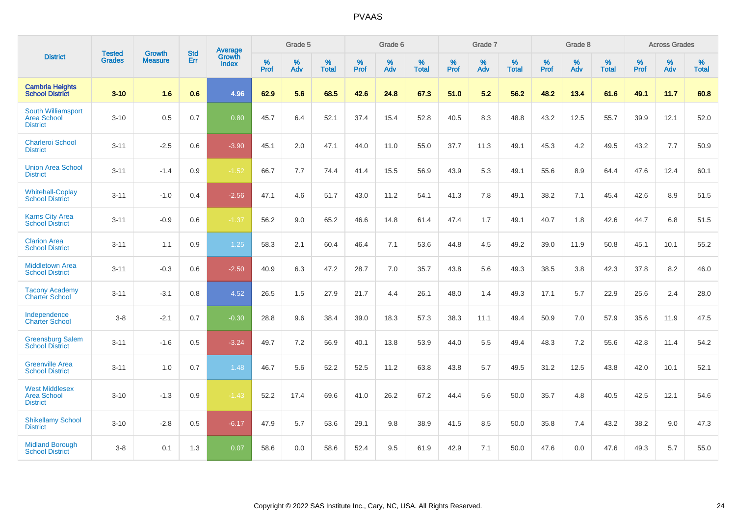|                                                                | <b>Tested</b> | <b>Growth</b>  | <b>Std</b> | Average                |                  | Grade 5  |                   |           | Grade 6  |                   |           | Grade 7  |                   |           | Grade 8  |                   |           | <b>Across Grades</b> |                   |
|----------------------------------------------------------------|---------------|----------------|------------|------------------------|------------------|----------|-------------------|-----------|----------|-------------------|-----------|----------|-------------------|-----------|----------|-------------------|-----------|----------------------|-------------------|
| <b>District</b>                                                | <b>Grades</b> | <b>Measure</b> | Err        | Growth<br><b>Index</b> | %<br><b>Prof</b> | %<br>Adv | %<br><b>Total</b> | %<br>Prof | %<br>Adv | %<br><b>Total</b> | %<br>Prof | %<br>Adv | %<br><b>Total</b> | %<br>Prof | %<br>Adv | %<br><b>Total</b> | %<br>Prof | %<br>Adv             | %<br><b>Total</b> |
| <b>Cambria Heights</b><br><b>School District</b>               | $3 - 10$      | 1.6            | 0.6        | 4.96                   | 62.9             | 5.6      | 68.5              | 42.6      | 24.8     | 67.3              | 51.0      | 5.2      | 56.2              | 48.2      | 13.4     | 61.6              | 49.1      | 11.7                 | 60.8              |
| South Williamsport<br><b>Area School</b><br><b>District</b>    | $3 - 10$      | 0.5            | 0.7        | 0.80                   | 45.7             | 6.4      | 52.1              | 37.4      | 15.4     | 52.8              | 40.5      | 8.3      | 48.8              | 43.2      | 12.5     | 55.7              | 39.9      | 12.1                 | 52.0              |
| <b>Charleroi School</b><br><b>District</b>                     | $3 - 11$      | $-2.5$         | 0.6        | $-3.90$                | 45.1             | 2.0      | 47.1              | 44.0      | 11.0     | 55.0              | 37.7      | 11.3     | 49.1              | 45.3      | 4.2      | 49.5              | 43.2      | 7.7                  | 50.9              |
| <b>Union Area School</b><br><b>District</b>                    | $3 - 11$      | $-1.4$         | 0.9        | $-1.52$                | 66.7             | 7.7      | 74.4              | 41.4      | 15.5     | 56.9              | 43.9      | 5.3      | 49.1              | 55.6      | 8.9      | 64.4              | 47.6      | 12.4                 | 60.1              |
| <b>Whitehall-Coplay</b><br><b>School District</b>              | $3 - 11$      | $-1.0$         | 0.4        | $-2.56$                | 47.1             | 4.6      | 51.7              | 43.0      | 11.2     | 54.1              | 41.3      | 7.8      | 49.1              | 38.2      | 7.1      | 45.4              | 42.6      | 8.9                  | 51.5              |
| <b>Karns City Area</b><br><b>School District</b>               | $3 - 11$      | $-0.9$         | 0.6        | $-1.37$                | 56.2             | 9.0      | 65.2              | 46.6      | 14.8     | 61.4              | 47.4      | 1.7      | 49.1              | 40.7      | 1.8      | 42.6              | 44.7      | 6.8                  | 51.5              |
| <b>Clarion Area</b><br><b>School District</b>                  | $3 - 11$      | 1.1            | 0.9        | 1.25                   | 58.3             | 2.1      | 60.4              | 46.4      | 7.1      | 53.6              | 44.8      | 4.5      | 49.2              | 39.0      | 11.9     | 50.8              | 45.1      | 10.1                 | 55.2              |
| <b>Middletown Area</b><br><b>School District</b>               | $3 - 11$      | $-0.3$         | 0.6        | $-2.50$                | 40.9             | 6.3      | 47.2              | 28.7      | 7.0      | 35.7              | 43.8      | 5.6      | 49.3              | 38.5      | 3.8      | 42.3              | 37.8      | 8.2                  | 46.0              |
| <b>Tacony Academy</b><br><b>Charter School</b>                 | $3 - 11$      | $-3.1$         | 0.8        | 4.52                   | 26.5             | 1.5      | 27.9              | 21.7      | 4.4      | 26.1              | 48.0      | 1.4      | 49.3              | 17.1      | 5.7      | 22.9              | 25.6      | 2.4                  | 28.0              |
| Independence<br><b>Charter School</b>                          | $3 - 8$       | $-2.1$         | 0.7        | $-0.30$                | 28.8             | 9.6      | 38.4              | 39.0      | 18.3     | 57.3              | 38.3      | 11.1     | 49.4              | 50.9      | 7.0      | 57.9              | 35.6      | 11.9                 | 47.5              |
| <b>Greensburg Salem</b><br><b>School District</b>              | $3 - 11$      | $-1.6$         | 0.5        | $-3.24$                | 49.7             | 7.2      | 56.9              | 40.1      | 13.8     | 53.9              | 44.0      | 5.5      | 49.4              | 48.3      | 7.2      | 55.6              | 42.8      | 11.4                 | 54.2              |
| <b>Greenville Area</b><br><b>School District</b>               | $3 - 11$      | 1.0            | 0.7        | 1.48                   | 46.7             | 5.6      | 52.2              | 52.5      | 11.2     | 63.8              | 43.8      | 5.7      | 49.5              | 31.2      | 12.5     | 43.8              | 42.0      | 10.1                 | 52.1              |
| <b>West Middlesex</b><br><b>Area School</b><br><b>District</b> | $3 - 10$      | $-1.3$         | 0.9        | $-1.43$                | 52.2             | 17.4     | 69.6              | 41.0      | 26.2     | 67.2              | 44.4      | 5.6      | 50.0              | 35.7      | 4.8      | 40.5              | 42.5      | 12.1                 | 54.6              |
| <b>Shikellamy School</b><br><b>District</b>                    | $3 - 10$      | $-2.8$         | 0.5        | $-6.17$                | 47.9             | 5.7      | 53.6              | 29.1      | 9.8      | 38.9              | 41.5      | 8.5      | 50.0              | 35.8      | 7.4      | 43.2              | 38.2      | 9.0                  | 47.3              |
| <b>Midland Borough</b><br><b>School District</b>               | $3 - 8$       | 0.1            | 1.3        | 0.07                   | 58.6             | 0.0      | 58.6              | 52.4      | 9.5      | 61.9              | 42.9      | 7.1      | 50.0              | 47.6      | 0.0      | 47.6              | 49.3      | 5.7                  | 55.0              |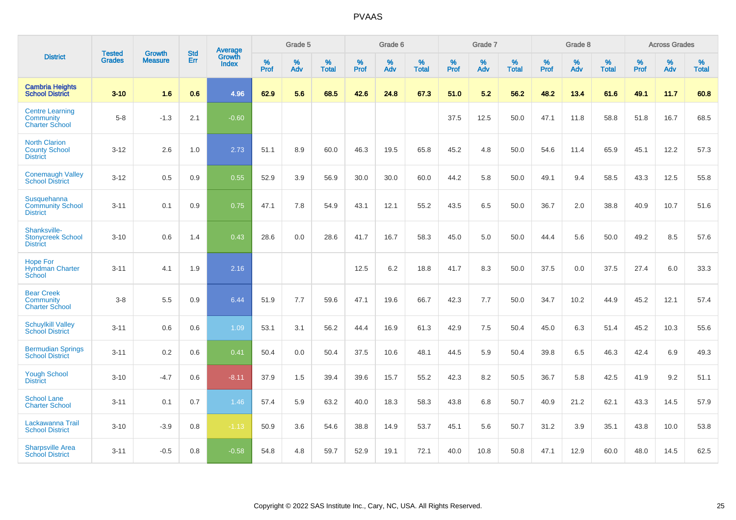|                                                                 | <b>Tested</b> | <b>Growth</b>  | <b>Std</b> | Average                |                     | Grade 5  |                   |                     | Grade 6  |                   |              | Grade 7  |                   |              | Grade 8  |                   |           | <b>Across Grades</b> |                   |
|-----------------------------------------------------------------|---------------|----------------|------------|------------------------|---------------------|----------|-------------------|---------------------|----------|-------------------|--------------|----------|-------------------|--------------|----------|-------------------|-----------|----------------------|-------------------|
| <b>District</b>                                                 | <b>Grades</b> | <b>Measure</b> | Err        | Growth<br><b>Index</b> | $\%$<br><b>Prof</b> | %<br>Adv | %<br><b>Total</b> | $\%$<br><b>Prof</b> | %<br>Adv | %<br><b>Total</b> | $\%$<br>Prof | %<br>Adv | %<br><b>Total</b> | $\%$<br>Prof | %<br>Adv | %<br><b>Total</b> | %<br>Prof | %<br>Adv             | %<br><b>Total</b> |
| <b>Cambria Heights</b><br><b>School District</b>                | $3 - 10$      | 1.6            | 0.6        | 4.96                   | 62.9                | 5.6      | 68.5              | 42.6                | 24.8     | 67.3              | 51.0         | 5.2      | 56.2              | 48.2         | 13.4     | 61.6              | 49.1      | 11.7                 | 60.8              |
| <b>Centre Learning</b><br>Community<br><b>Charter School</b>    | $5 - 8$       | $-1.3$         | 2.1        | $-0.60$                |                     |          |                   |                     |          |                   | 37.5         | 12.5     | 50.0              | 47.1         | 11.8     | 58.8              | 51.8      | 16.7                 | 68.5              |
| <b>North Clarion</b><br><b>County School</b><br><b>District</b> | $3 - 12$      | 2.6            | 1.0        | 2.73                   | 51.1                | 8.9      | 60.0              | 46.3                | 19.5     | 65.8              | 45.2         | 4.8      | 50.0              | 54.6         | 11.4     | 65.9              | 45.1      | 12.2                 | 57.3              |
| <b>Conemaugh Valley</b><br><b>School District</b>               | $3 - 12$      | 0.5            | 0.9        | 0.55                   | 52.9                | 3.9      | 56.9              | 30.0                | 30.0     | 60.0              | 44.2         | 5.8      | 50.0              | 49.1         | 9.4      | 58.5              | 43.3      | 12.5                 | 55.8              |
| Susquehanna<br><b>Community School</b><br><b>District</b>       | $3 - 11$      | 0.1            | 0.9        | 0.75                   | 47.1                | 7.8      | 54.9              | 43.1                | 12.1     | 55.2              | 43.5         | 6.5      | 50.0              | 36.7         | 2.0      | 38.8              | 40.9      | 10.7                 | 51.6              |
| Shanksville-<br><b>Stonycreek School</b><br><b>District</b>     | $3 - 10$      | 0.6            | 1.4        | 0.43                   | 28.6                | 0.0      | 28.6              | 41.7                | 16.7     | 58.3              | 45.0         | 5.0      | 50.0              | 44.4         | 5.6      | 50.0              | 49.2      | 8.5                  | 57.6              |
| <b>Hope For</b><br>Hyndman Charter<br>School                    | $3 - 11$      | 4.1            | 1.9        | 2.16                   |                     |          |                   | 12.5                | 6.2      | 18.8              | 41.7         | 8.3      | 50.0              | 37.5         | 0.0      | 37.5              | 27.4      | 6.0                  | 33.3              |
| <b>Bear Creek</b><br>Community<br><b>Charter School</b>         | $3 - 8$       | 5.5            | 0.9        | 6.44                   | 51.9                | 7.7      | 59.6              | 47.1                | 19.6     | 66.7              | 42.3         | 7.7      | 50.0              | 34.7         | 10.2     | 44.9              | 45.2      | 12.1                 | 57.4              |
| <b>Schuylkill Valley</b><br><b>School District</b>              | $3 - 11$      | 0.6            | 0.6        | 1.09                   | 53.1                | 3.1      | 56.2              | 44.4                | 16.9     | 61.3              | 42.9         | 7.5      | 50.4              | 45.0         | 6.3      | 51.4              | 45.2      | 10.3                 | 55.6              |
| <b>Bermudian Springs</b><br><b>School District</b>              | $3 - 11$      | 0.2            | 0.6        | 0.41                   | 50.4                | 0.0      | 50.4              | 37.5                | 10.6     | 48.1              | 44.5         | 5.9      | 50.4              | 39.8         | 6.5      | 46.3              | 42.4      | 6.9                  | 49.3              |
| <b>Yough School</b><br><b>District</b>                          | $3 - 10$      | $-4.7$         | 0.6        | $-8.11$                | 37.9                | 1.5      | 39.4              | 39.6                | 15.7     | 55.2              | 42.3         | 8.2      | 50.5              | 36.7         | 5.8      | 42.5              | 41.9      | 9.2                  | 51.1              |
| <b>School Lane</b><br><b>Charter School</b>                     | $3 - 11$      | 0.1            | 0.7        | 1.46                   | 57.4                | 5.9      | 63.2              | 40.0                | 18.3     | 58.3              | 43.8         | 6.8      | 50.7              | 40.9         | 21.2     | 62.1              | 43.3      | 14.5                 | 57.9              |
| Lackawanna Trail<br><b>School District</b>                      | $3 - 10$      | $-3.9$         | 0.8        | $-1.13$                | 50.9                | 3.6      | 54.6              | 38.8                | 14.9     | 53.7              | 45.1         | 5.6      | 50.7              | 31.2         | 3.9      | 35.1              | 43.8      | 10.0                 | 53.8              |
| <b>Sharpsville Area</b><br><b>School District</b>               | $3 - 11$      | $-0.5$         | 0.8        | $-0.58$                | 54.8                | 4.8      | 59.7              | 52.9                | 19.1     | 72.1              | 40.0         | 10.8     | 50.8              | 47.1         | 12.9     | 60.0              | 48.0      | 14.5                 | 62.5              |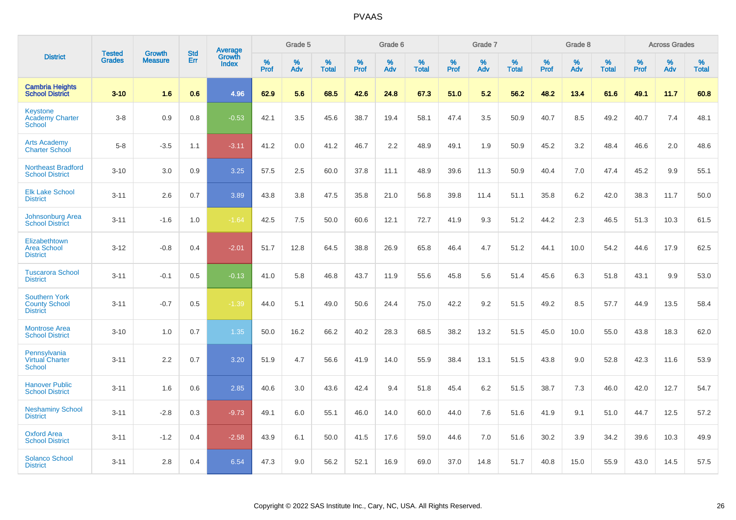|                                                                 | <b>Tested</b> | <b>Growth</b>  | <b>Std</b> | Average                |                  | Grade 5  |                   |           | Grade 6  |                   |           | Grade 7  |                   |           | Grade 8  |                   |                  | <b>Across Grades</b> |                   |
|-----------------------------------------------------------------|---------------|----------------|------------|------------------------|------------------|----------|-------------------|-----------|----------|-------------------|-----------|----------|-------------------|-----------|----------|-------------------|------------------|----------------------|-------------------|
| <b>District</b>                                                 | <b>Grades</b> | <b>Measure</b> | <b>Err</b> | Growth<br><b>Index</b> | %<br><b>Prof</b> | %<br>Adv | %<br><b>Total</b> | %<br>Prof | %<br>Adv | %<br><b>Total</b> | %<br>Prof | %<br>Adv | %<br><b>Total</b> | %<br>Prof | %<br>Adv | %<br><b>Total</b> | %<br><b>Prof</b> | %<br>Adv             | %<br><b>Total</b> |
| <b>Cambria Heights</b><br><b>School District</b>                | $3 - 10$      | 1.6            | 0.6        | 4.96                   | 62.9             | 5.6      | 68.5              | 42.6      | 24.8     | 67.3              | 51.0      | 5.2      | 56.2              | 48.2      | 13.4     | 61.6              | 49.1             | 11.7                 | 60.8              |
| <b>Keystone</b><br><b>Academy Charter</b><br>School             | $3 - 8$       | 0.9            | 0.8        | $-0.53$                | 42.1             | 3.5      | 45.6              | 38.7      | 19.4     | 58.1              | 47.4      | 3.5      | 50.9              | 40.7      | 8.5      | 49.2              | 40.7             | 7.4                  | 48.1              |
| <b>Arts Academy</b><br><b>Charter School</b>                    | $5 - 8$       | $-3.5$         | 1.1        | $-3.11$                | 41.2             | 0.0      | 41.2              | 46.7      | 2.2      | 48.9              | 49.1      | 1.9      | 50.9              | 45.2      | 3.2      | 48.4              | 46.6             | 2.0                  | 48.6              |
| <b>Northeast Bradford</b><br><b>School District</b>             | $3 - 10$      | 3.0            | 0.9        | 3.25                   | 57.5             | 2.5      | 60.0              | 37.8      | 11.1     | 48.9              | 39.6      | 11.3     | 50.9              | 40.4      | 7.0      | 47.4              | 45.2             | 9.9                  | 55.1              |
| <b>Elk Lake School</b><br><b>District</b>                       | $3 - 11$      | 2.6            | 0.7        | 3.89                   | 43.8             | 3.8      | 47.5              | 35.8      | 21.0     | 56.8              | 39.8      | 11.4     | 51.1              | 35.8      | 6.2      | 42.0              | 38.3             | 11.7                 | 50.0              |
| <b>Johnsonburg Area</b><br><b>School District</b>               | $3 - 11$      | $-1.6$         | 1.0        | $-1.64$                | 42.5             | 7.5      | 50.0              | 60.6      | 12.1     | 72.7              | 41.9      | 9.3      | 51.2              | 44.2      | 2.3      | 46.5              | 51.3             | 10.3                 | 61.5              |
| Elizabethtown<br><b>Area School</b><br><b>District</b>          | $3 - 12$      | $-0.8$         | 0.4        | $-2.01$                | 51.7             | 12.8     | 64.5              | 38.8      | 26.9     | 65.8              | 46.4      | 4.7      | 51.2              | 44.1      | 10.0     | 54.2              | 44.6             | 17.9                 | 62.5              |
| <b>Tuscarora School</b><br><b>District</b>                      | $3 - 11$      | $-0.1$         | 0.5        | $-0.13$                | 41.0             | 5.8      | 46.8              | 43.7      | 11.9     | 55.6              | 45.8      | 5.6      | 51.4              | 45.6      | 6.3      | 51.8              | 43.1             | 9.9                  | 53.0              |
| <b>Southern York</b><br><b>County School</b><br><b>District</b> | $3 - 11$      | $-0.7$         | 0.5        | $-1.39$                | 44.0             | 5.1      | 49.0              | 50.6      | 24.4     | 75.0              | 42.2      | 9.2      | 51.5              | 49.2      | 8.5      | 57.7              | 44.9             | 13.5                 | 58.4              |
| <b>Montrose Area</b><br><b>School District</b>                  | $3 - 10$      | 1.0            | 0.7        | 1.35                   | 50.0             | 16.2     | 66.2              | 40.2      | 28.3     | 68.5              | 38.2      | 13.2     | 51.5              | 45.0      | 10.0     | 55.0              | 43.8             | 18.3                 | 62.0              |
| Pennsylvania<br><b>Virtual Charter</b><br><b>School</b>         | $3 - 11$      | 2.2            | 0.7        | 3.20                   | 51.9             | 4.7      | 56.6              | 41.9      | 14.0     | 55.9              | 38.4      | 13.1     | 51.5              | 43.8      | 9.0      | 52.8              | 42.3             | 11.6                 | 53.9              |
| <b>Hanover Public</b><br><b>School District</b>                 | $3 - 11$      | 1.6            | 0.6        | 2.85                   | 40.6             | 3.0      | 43.6              | 42.4      | 9.4      | 51.8              | 45.4      | 6.2      | 51.5              | 38.7      | 7.3      | 46.0              | 42.0             | 12.7                 | 54.7              |
| <b>Neshaminy School</b><br><b>District</b>                      | $3 - 11$      | $-2.8$         | 0.3        | $-9.73$                | 49.1             | 6.0      | 55.1              | 46.0      | 14.0     | 60.0              | 44.0      | 7.6      | 51.6              | 41.9      | 9.1      | 51.0              | 44.7             | 12.5                 | 57.2              |
| <b>Oxford Area</b><br><b>School District</b>                    | $3 - 11$      | $-1.2$         | 0.4        | $-2.58$                | 43.9             | 6.1      | 50.0              | 41.5      | 17.6     | 59.0              | 44.6      | 7.0      | 51.6              | 30.2      | 3.9      | 34.2              | 39.6             | 10.3                 | 49.9              |
| <b>Solanco School</b><br><b>District</b>                        | $3 - 11$      | 2.8            | 0.4        | 6.54                   | 47.3             | 9.0      | 56.2              | 52.1      | 16.9     | 69.0              | 37.0      | 14.8     | 51.7              | 40.8      | 15.0     | 55.9              | 43.0             | 14.5                 | 57.5              |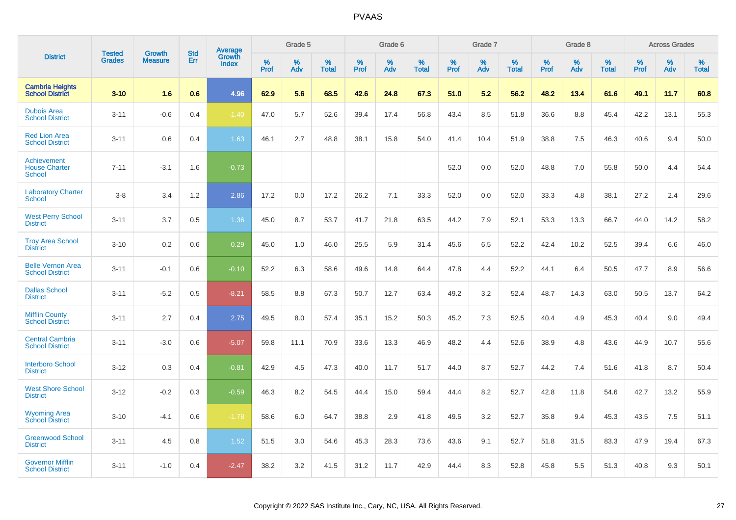|                                                             |                                |                          | <b>Std</b> | <b>Average</b>         |           | Grade 5  |                   |           | Grade 6  |                   |           | Grade 7  |                   |           | Grade 8  |                   |           | <b>Across Grades</b> |                   |
|-------------------------------------------------------------|--------------------------------|--------------------------|------------|------------------------|-----------|----------|-------------------|-----------|----------|-------------------|-----------|----------|-------------------|-----------|----------|-------------------|-----------|----------------------|-------------------|
| <b>District</b>                                             | <b>Tested</b><br><b>Grades</b> | Growth<br><b>Measure</b> | Err        | Growth<br><b>Index</b> | %<br>Prof | %<br>Adv | %<br><b>Total</b> | %<br>Prof | %<br>Adv | %<br><b>Total</b> | %<br>Prof | %<br>Adv | %<br><b>Total</b> | %<br>Prof | %<br>Adv | %<br><b>Total</b> | %<br>Prof | %<br>Adv             | %<br><b>Total</b> |
| <b>Cambria Heights</b><br><b>School District</b>            | $3 - 10$                       | 1.6                      | 0.6        | 4.96                   | 62.9      | 5.6      | 68.5              | 42.6      | 24.8     | 67.3              | 51.0      | 5.2      | 56.2              | 48.2      | 13.4     | 61.6              | 49.1      | 11.7                 | 60.8              |
| <b>Dubois Area</b><br><b>School District</b>                | $3 - 11$                       | $-0.6$                   | 0.4        | $-1.40$                | 47.0      | 5.7      | 52.6              | 39.4      | 17.4     | 56.8              | 43.4      | 8.5      | 51.8              | 36.6      | 8.8      | 45.4              | 42.2      | 13.1                 | 55.3              |
| <b>Red Lion Area</b><br><b>School District</b>              | $3 - 11$                       | 0.6                      | 0.4        | 1.63                   | 46.1      | 2.7      | 48.8              | 38.1      | 15.8     | 54.0              | 41.4      | 10.4     | 51.9              | 38.8      | 7.5      | 46.3              | 40.6      | 9.4                  | 50.0              |
| <b>Achievement</b><br><b>House Charter</b><br><b>School</b> | $7 - 11$                       | $-3.1$                   | 1.6        | $-0.73$                |           |          |                   |           |          |                   | 52.0      | 0.0      | 52.0              | 48.8      | 7.0      | 55.8              | 50.0      | 4.4                  | 54.4              |
| <b>Laboratory Charter</b><br><b>School</b>                  | $3 - 8$                        | 3.4                      | 1.2        | 2.86                   | 17.2      | 0.0      | 17.2              | 26.2      | 7.1      | 33.3              | 52.0      | 0.0      | 52.0              | 33.3      | 4.8      | 38.1              | 27.2      | 2.4                  | 29.6              |
| <b>West Perry School</b><br><b>District</b>                 | $3 - 11$                       | 3.7                      | 0.5        | 1.36                   | 45.0      | 8.7      | 53.7              | 41.7      | 21.8     | 63.5              | 44.2      | 7.9      | 52.1              | 53.3      | 13.3     | 66.7              | 44.0      | 14.2                 | 58.2              |
| <b>Troy Area School</b><br><b>District</b>                  | $3 - 10$                       | 0.2                      | 0.6        | 0.29                   | 45.0      | 1.0      | 46.0              | 25.5      | 5.9      | 31.4              | 45.6      | 6.5      | 52.2              | 42.4      | 10.2     | 52.5              | 39.4      | 6.6                  | 46.0              |
| <b>Belle Vernon Area</b><br><b>School District</b>          | $3 - 11$                       | $-0.1$                   | 0.6        | $-0.10$                | 52.2      | 6.3      | 58.6              | 49.6      | 14.8     | 64.4              | 47.8      | 4.4      | 52.2              | 44.1      | 6.4      | 50.5              | 47.7      | 8.9                  | 56.6              |
| <b>Dallas School</b><br><b>District</b>                     | $3 - 11$                       | $-5.2$                   | 0.5        | $-8.21$                | 58.5      | 8.8      | 67.3              | 50.7      | 12.7     | 63.4              | 49.2      | 3.2      | 52.4              | 48.7      | 14.3     | 63.0              | 50.5      | 13.7                 | 64.2              |
| <b>Mifflin County</b><br><b>School District</b>             | $3 - 11$                       | 2.7                      | 0.4        | 2.75                   | 49.5      | 8.0      | 57.4              | 35.1      | 15.2     | 50.3              | 45.2      | 7.3      | 52.5              | 40.4      | 4.9      | 45.3              | 40.4      | 9.0                  | 49.4              |
| <b>Central Cambria</b><br><b>School District</b>            | $3 - 11$                       | $-3.0$                   | 0.6        | $-5.07$                | 59.8      | 11.1     | 70.9              | 33.6      | 13.3     | 46.9              | 48.2      | 4.4      | 52.6              | 38.9      | 4.8      | 43.6              | 44.9      | 10.7                 | 55.6              |
| <b>Interboro School</b><br><b>District</b>                  | $3 - 12$                       | 0.3                      | 0.4        | $-0.81$                | 42.9      | 4.5      | 47.3              | 40.0      | 11.7     | 51.7              | 44.0      | 8.7      | 52.7              | 44.2      | 7.4      | 51.6              | 41.8      | 8.7                  | 50.4              |
| <b>West Shore School</b><br><b>District</b>                 | $3 - 12$                       | $-0.2$                   | 0.3        | $-0.59$                | 46.3      | 8.2      | 54.5              | 44.4      | 15.0     | 59.4              | 44.4      | 8.2      | 52.7              | 42.8      | 11.8     | 54.6              | 42.7      | 13.2                 | 55.9              |
| <b>Wyoming Area</b><br><b>School District</b>               | $3 - 10$                       | $-4.1$                   | 0.6        | $-1.78$                | 58.6      | 6.0      | 64.7              | 38.8      | 2.9      | 41.8              | 49.5      | 3.2      | 52.7              | 35.8      | 9.4      | 45.3              | 43.5      | 7.5                  | 51.1              |
| <b>Greenwood School</b><br><b>District</b>                  | $3 - 11$                       | 4.5                      | 0.8        | 1.52                   | 51.5      | 3.0      | 54.6              | 45.3      | 28.3     | 73.6              | 43.6      | 9.1      | 52.7              | 51.8      | 31.5     | 83.3              | 47.9      | 19.4                 | 67.3              |
| <b>Governor Mifflin</b><br><b>School District</b>           | $3 - 11$                       | $-1.0$                   | 0.4        | $-2.47$                | 38.2      | 3.2      | 41.5              | 31.2      | 11.7     | 42.9              | 44.4      | 8.3      | 52.8              | 45.8      | 5.5      | 51.3              | 40.8      | 9.3                  | 50.1              |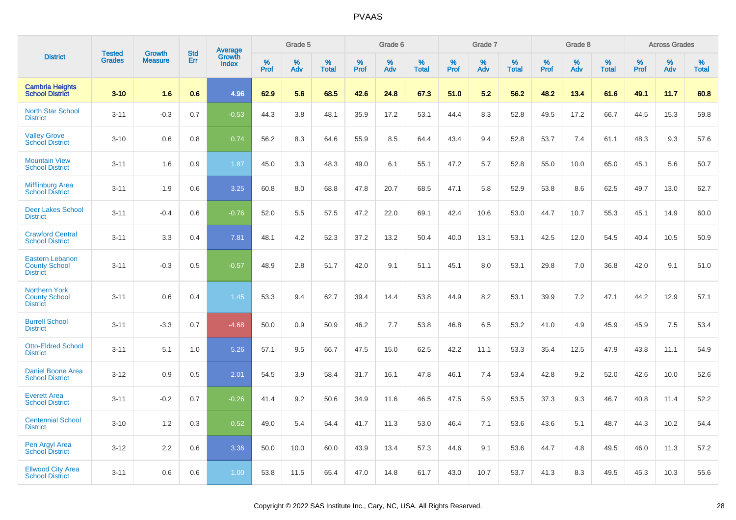|                                                                   | <b>Tested</b> | <b>Growth</b>  | <b>Std</b> | Average                |              | Grade 5  |                   |              | Grade 6  |                   |              | Grade 7  |                   |              | Grade 8  |                   |              | <b>Across Grades</b> |                   |
|-------------------------------------------------------------------|---------------|----------------|------------|------------------------|--------------|----------|-------------------|--------------|----------|-------------------|--------------|----------|-------------------|--------------|----------|-------------------|--------------|----------------------|-------------------|
| <b>District</b>                                                   | <b>Grades</b> | <b>Measure</b> | Err        | Growth<br><b>Index</b> | $\%$<br>Prof | %<br>Adv | %<br><b>Total</b> | $\%$<br>Prof | %<br>Adv | %<br><b>Total</b> | $\%$<br>Prof | %<br>Adv | %<br><b>Total</b> | $\%$<br>Prof | %<br>Adv | %<br><b>Total</b> | $\%$<br>Prof | %<br>Adv             | %<br><b>Total</b> |
| <b>Cambria Heights</b><br><b>School District</b>                  | $3 - 10$      | 1.6            | 0.6        | 4.96                   | 62.9         | 5.6      | 68.5              | 42.6         | 24.8     | 67.3              | 51.0         | 5.2      | 56.2              | 48.2         | 13.4     | 61.6              | 49.1         | 11.7                 | 60.8              |
| <b>North Star School</b><br><b>District</b>                       | $3 - 11$      | $-0.3$         | 0.7        | $-0.53$                | 44.3         | 3.8      | 48.1              | 35.9         | 17.2     | 53.1              | 44.4         | 8.3      | 52.8              | 49.5         | 17.2     | 66.7              | 44.5         | 15.3                 | 59.8              |
| <b>Valley Grove</b><br><b>School District</b>                     | $3 - 10$      | 0.6            | 0.8        | 0.74                   | 56.2         | 8.3      | 64.6              | 55.9         | 8.5      | 64.4              | 43.4         | 9.4      | 52.8              | 53.7         | 7.4      | 61.1              | 48.3         | 9.3                  | 57.6              |
| <b>Mountain View</b><br><b>School District</b>                    | $3 - 11$      | 1.6            | 0.9        | 1.87                   | 45.0         | 3.3      | 48.3              | 49.0         | 6.1      | 55.1              | 47.2         | 5.7      | 52.8              | 55.0         | 10.0     | 65.0              | 45.1         | 5.6                  | 50.7              |
| <b>Mifflinburg Area</b><br><b>School District</b>                 | $3 - 11$      | 1.9            | 0.6        | 3.25                   | 60.8         | 8.0      | 68.8              | 47.8         | 20.7     | 68.5              | 47.1         | 5.8      | 52.9              | 53.8         | 8.6      | 62.5              | 49.7         | 13.0                 | 62.7              |
| <b>Deer Lakes School</b><br><b>District</b>                       | $3 - 11$      | $-0.4$         | 0.6        | $-0.76$                | 52.0         | 5.5      | 57.5              | 47.2         | 22.0     | 69.1              | 42.4         | 10.6     | 53.0              | 44.7         | 10.7     | 55.3              | 45.1         | 14.9                 | 60.0              |
| <b>Crawford Central</b><br><b>School District</b>                 | $3 - 11$      | 3.3            | 0.4        | 7.81                   | 48.1         | 4.2      | 52.3              | 37.2         | 13.2     | 50.4              | 40.0         | 13.1     | 53.1              | 42.5         | 12.0     | 54.5              | 40.4         | 10.5                 | 50.9              |
| <b>Eastern Lebanon</b><br><b>County School</b><br><b>District</b> | $3 - 11$      | $-0.3$         | 0.5        | $-0.57$                | 48.9         | 2.8      | 51.7              | 42.0         | 9.1      | 51.1              | 45.1         | 8.0      | 53.1              | 29.8         | 7.0      | 36.8              | 42.0         | 9.1                  | 51.0              |
| <b>Northern York</b><br><b>County School</b><br><b>District</b>   | $3 - 11$      | 0.6            | 0.4        | 1.45                   | 53.3         | 9.4      | 62.7              | 39.4         | 14.4     | 53.8              | 44.9         | 8.2      | 53.1              | 39.9         | 7.2      | 47.1              | 44.2         | 12.9                 | 57.1              |
| <b>Burrell School</b><br><b>District</b>                          | $3 - 11$      | $-3.3$         | 0.7        | $-4.68$                | 50.0         | 0.9      | 50.9              | 46.2         | 7.7      | 53.8              | 46.8         | 6.5      | 53.2              | 41.0         | 4.9      | 45.9              | 45.9         | 7.5                  | 53.4              |
| <b>Otto-Eldred School</b><br><b>District</b>                      | $3 - 11$      | 5.1            | 1.0        | 5.26                   | 57.1         | 9.5      | 66.7              | 47.5         | 15.0     | 62.5              | 42.2         | 11.1     | 53.3              | 35.4         | 12.5     | 47.9              | 43.8         | 11.1                 | 54.9              |
| <b>Daniel Boone Area</b><br><b>School District</b>                | $3 - 12$      | 0.9            | 0.5        | 2.01                   | 54.5         | 3.9      | 58.4              | 31.7         | 16.1     | 47.8              | 46.1         | 7.4      | 53.4              | 42.8         | 9.2      | 52.0              | 42.6         | 10.0                 | 52.6              |
| <b>Everett Area</b><br><b>School District</b>                     | $3 - 11$      | $-0.2$         | 0.7        | $-0.26$                | 41.4         | 9.2      | 50.6              | 34.9         | 11.6     | 46.5              | 47.5         | 5.9      | 53.5              | 37.3         | 9.3      | 46.7              | 40.8         | 11.4                 | 52.2              |
| <b>Centennial School</b><br><b>District</b>                       | $3 - 10$      | 1.2            | 0.3        | 0.52                   | 49.0         | 5.4      | 54.4              | 41.7         | 11.3     | 53.0              | 46.4         | 7.1      | 53.6              | 43.6         | 5.1      | 48.7              | 44.3         | 10.2                 | 54.4              |
| Pen Argyl Area<br><b>School District</b>                          | $3 - 12$      | 2.2            | 0.6        | 3.36                   | 50.0         | 10.0     | 60.0              | 43.9         | 13.4     | 57.3              | 44.6         | 9.1      | 53.6              | 44.7         | 4.8      | 49.5              | 46.0         | 11.3                 | 57.2              |
| <b>Ellwood City Area</b><br><b>School District</b>                | $3 - 11$      | 0.6            | 0.6        | 1.00                   | 53.8         | 11.5     | 65.4              | 47.0         | 14.8     | 61.7              | 43.0         | 10.7     | 53.7              | 41.3         | 8.3      | 49.5              | 45.3         | 10.3                 | 55.6              |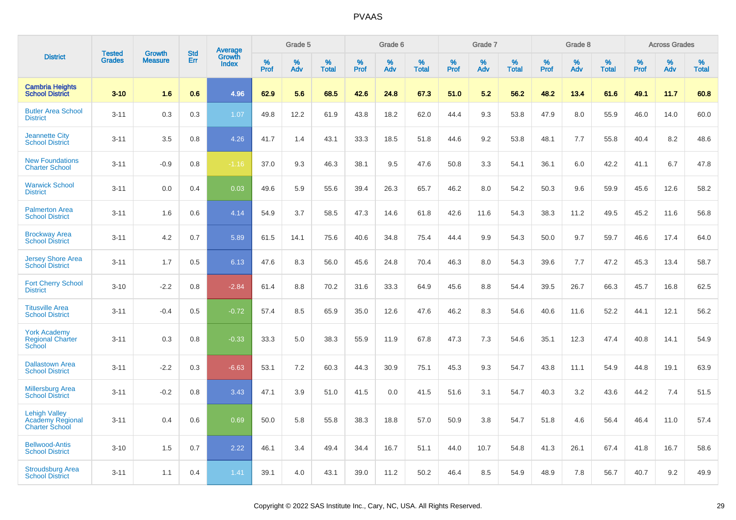|                                                                          |                                |                                 | <b>Std</b> | Average                |           | Grade 5  |                   |           | Grade 6  |                   |           | Grade 7  |                   |           | Grade 8  |                   |           | <b>Across Grades</b> |                   |
|--------------------------------------------------------------------------|--------------------------------|---------------------------------|------------|------------------------|-----------|----------|-------------------|-----------|----------|-------------------|-----------|----------|-------------------|-----------|----------|-------------------|-----------|----------------------|-------------------|
| <b>District</b>                                                          | <b>Tested</b><br><b>Grades</b> | <b>Growth</b><br><b>Measure</b> | Err        | Growth<br><b>Index</b> | %<br>Prof | %<br>Adv | %<br><b>Total</b> | %<br>Prof | %<br>Adv | %<br><b>Total</b> | %<br>Prof | %<br>Adv | %<br><b>Total</b> | %<br>Prof | %<br>Adv | %<br><b>Total</b> | %<br>Prof | %<br>Adv             | %<br><b>Total</b> |
| <b>Cambria Heights</b><br><b>School District</b>                         | $3 - 10$                       | 1.6                             | 0.6        | 4.96                   | 62.9      | 5.6      | 68.5              | 42.6      | 24.8     | 67.3              | 51.0      | 5.2      | 56.2              | 48.2      | 13.4     | 61.6              | 49.1      | 11.7                 | 60.8              |
| <b>Butler Area School</b><br><b>District</b>                             | $3 - 11$                       | 0.3                             | 0.3        | 1.07                   | 49.8      | 12.2     | 61.9              | 43.8      | 18.2     | 62.0              | 44.4      | 9.3      | 53.8              | 47.9      | 8.0      | 55.9              | 46.0      | 14.0                 | 60.0              |
| <b>Jeannette City</b><br><b>School District</b>                          | $3 - 11$                       | 3.5                             | 0.8        | 4.26                   | 41.7      | 1.4      | 43.1              | 33.3      | 18.5     | 51.8              | 44.6      | 9.2      | 53.8              | 48.1      | 7.7      | 55.8              | 40.4      | 8.2                  | 48.6              |
| <b>New Foundations</b><br><b>Charter School</b>                          | $3 - 11$                       | $-0.9$                          | 0.8        | $-1.16$                | 37.0      | 9.3      | 46.3              | 38.1      | 9.5      | 47.6              | 50.8      | 3.3      | 54.1              | 36.1      | 6.0      | 42.2              | 41.1      | 6.7                  | 47.8              |
| <b>Warwick School</b><br><b>District</b>                                 | $3 - 11$                       | 0.0                             | 0.4        | 0.03                   | 49.6      | 5.9      | 55.6              | 39.4      | 26.3     | 65.7              | 46.2      | 8.0      | 54.2              | 50.3      | 9.6      | 59.9              | 45.6      | 12.6                 | 58.2              |
| <b>Palmerton Area</b><br><b>School District</b>                          | $3 - 11$                       | 1.6                             | 0.6        | 4.14                   | 54.9      | 3.7      | 58.5              | 47.3      | 14.6     | 61.8              | 42.6      | 11.6     | 54.3              | 38.3      | 11.2     | 49.5              | 45.2      | 11.6                 | 56.8              |
| <b>Brockway Area</b><br><b>School District</b>                           | $3 - 11$                       | 4.2                             | 0.7        | 5.89                   | 61.5      | 14.1     | 75.6              | 40.6      | 34.8     | 75.4              | 44.4      | 9.9      | 54.3              | 50.0      | 9.7      | 59.7              | 46.6      | 17.4                 | 64.0              |
| <b>Jersey Shore Area</b><br><b>School District</b>                       | $3 - 11$                       | 1.7                             | 0.5        | 6.13                   | 47.6      | 8.3      | 56.0              | 45.6      | 24.8     | 70.4              | 46.3      | 8.0      | 54.3              | 39.6      | 7.7      | 47.2              | 45.3      | 13.4                 | 58.7              |
| <b>Fort Cherry School</b><br><b>District</b>                             | $3 - 10$                       | $-2.2$                          | 0.8        | $-2.84$                | 61.4      | 8.8      | 70.2              | 31.6      | 33.3     | 64.9              | 45.6      | 8.8      | 54.4              | 39.5      | 26.7     | 66.3              | 45.7      | 16.8                 | 62.5              |
| <b>Titusville Area</b><br><b>School District</b>                         | $3 - 11$                       | $-0.4$                          | 0.5        | $-0.72$                | 57.4      | 8.5      | 65.9              | 35.0      | 12.6     | 47.6              | 46.2      | 8.3      | 54.6              | 40.6      | 11.6     | 52.2              | 44.1      | 12.1                 | 56.2              |
| <b>York Academy</b><br><b>Regional Charter</b><br>School                 | $3 - 11$                       | 0.3                             | 0.8        | $-0.33$                | 33.3      | 5.0      | 38.3              | 55.9      | 11.9     | 67.8              | 47.3      | 7.3      | 54.6              | 35.1      | 12.3     | 47.4              | 40.8      | 14.1                 | 54.9              |
| <b>Dallastown Area</b><br><b>School District</b>                         | $3 - 11$                       | $-2.2$                          | 0.3        | $-6.63$                | 53.1      | 7.2      | 60.3              | 44.3      | 30.9     | 75.1              | 45.3      | 9.3      | 54.7              | 43.8      | 11.1     | 54.9              | 44.8      | 19.1                 | 63.9              |
| <b>Millersburg Area</b><br><b>School District</b>                        | $3 - 11$                       | $-0.2$                          | 0.8        | 3.43                   | 47.1      | 3.9      | 51.0              | 41.5      | 0.0      | 41.5              | 51.6      | 3.1      | 54.7              | 40.3      | 3.2      | 43.6              | 44.2      | 7.4                  | 51.5              |
| <b>Lehigh Valley</b><br><b>Academy Regional</b><br><b>Charter School</b> | $3 - 11$                       | 0.4                             | 0.6        | 0.69                   | 50.0      | 5.8      | 55.8              | 38.3      | 18.8     | 57.0              | 50.9      | 3.8      | 54.7              | 51.8      | 4.6      | 56.4              | 46.4      | 11.0                 | 57.4              |
| <b>Bellwood-Antis</b><br><b>School District</b>                          | $3 - 10$                       | 1.5                             | 0.7        | 2.22                   | 46.1      | 3.4      | 49.4              | 34.4      | 16.7     | 51.1              | 44.0      | 10.7     | 54.8              | 41.3      | 26.1     | 67.4              | 41.8      | 16.7                 | 58.6              |
| <b>Stroudsburg Area</b><br><b>School District</b>                        | $3 - 11$                       | 1.1                             | 0.4        | 1.41                   | 39.1      | 4.0      | 43.1              | 39.0      | 11.2     | 50.2              | 46.4      | 8.5      | 54.9              | 48.9      | 7.8      | 56.7              | 40.7      | 9.2                  | 49.9              |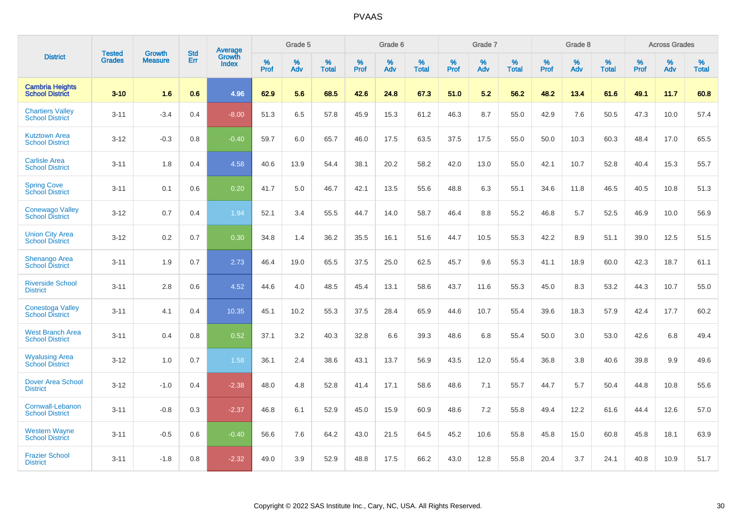|                                                   |                                |                                 |     | Grade 5<br>Grade 6<br>Grade 7<br>Average<br><b>Std</b><br>Growth |           |          |                   | Grade 8      |          |                   | <b>Across Grades</b> |          |                   |           |          |                   |              |          |                   |
|---------------------------------------------------|--------------------------------|---------------------------------|-----|------------------------------------------------------------------|-----------|----------|-------------------|--------------|----------|-------------------|----------------------|----------|-------------------|-----------|----------|-------------------|--------------|----------|-------------------|
| <b>District</b>                                   | <b>Tested</b><br><b>Grades</b> | <b>Growth</b><br><b>Measure</b> | Err | <b>Index</b>                                                     | %<br>Prof | %<br>Adv | %<br><b>Total</b> | $\%$<br>Prof | %<br>Adv | %<br><b>Total</b> | %<br>Prof            | %<br>Adv | %<br><b>Total</b> | %<br>Prof | %<br>Adv | %<br><b>Total</b> | $\%$<br>Prof | %<br>Adv | %<br><b>Total</b> |
| <b>Cambria Heights</b><br><b>School District</b>  | $3 - 10$                       | 1.6                             | 0.6 | 4.96                                                             | 62.9      | 5.6      | 68.5              | 42.6         | 24.8     | 67.3              | 51.0                 | 5.2      | 56.2              | 48.2      | 13.4     | 61.6              | 49.1         | 11.7     | 60.8              |
| <b>Chartiers Valley</b><br><b>School District</b> | $3 - 11$                       | $-3.4$                          | 0.4 | $-8.00$                                                          | 51.3      | 6.5      | 57.8              | 45.9         | 15.3     | 61.2              | 46.3                 | 8.7      | 55.0              | 42.9      | 7.6      | 50.5              | 47.3         | 10.0     | 57.4              |
| <b>Kutztown Area</b><br><b>School District</b>    | $3 - 12$                       | $-0.3$                          | 0.8 | $-0.40$                                                          | 59.7      | 6.0      | 65.7              | 46.0         | 17.5     | 63.5              | 37.5                 | 17.5     | 55.0              | 50.0      | 10.3     | 60.3              | 48.4         | 17.0     | 65.5              |
| <b>Carlisle Area</b><br><b>School District</b>    | $3 - 11$                       | 1.8                             | 0.4 | 4.58                                                             | 40.6      | 13.9     | 54.4              | 38.1         | 20.2     | 58.2              | 42.0                 | 13.0     | 55.0              | 42.1      | 10.7     | 52.8              | 40.4         | 15.3     | 55.7              |
| <b>Spring Cove</b><br><b>School District</b>      | $3 - 11$                       | 0.1                             | 0.6 | 0.20                                                             | 41.7      | 5.0      | 46.7              | 42.1         | 13.5     | 55.6              | 48.8                 | 6.3      | 55.1              | 34.6      | 11.8     | 46.5              | 40.5         | 10.8     | 51.3              |
| <b>Conewago Valley</b><br><b>School District</b>  | $3 - 12$                       | 0.7                             | 0.4 | 1.94                                                             | 52.1      | 3.4      | 55.5              | 44.7         | 14.0     | 58.7              | 46.4                 | 8.8      | 55.2              | 46.8      | 5.7      | 52.5              | 46.9         | 10.0     | 56.9              |
| <b>Union City Area</b><br><b>School District</b>  | $3 - 12$                       | 0.2                             | 0.7 | 0.30                                                             | 34.8      | 1.4      | 36.2              | 35.5         | 16.1     | 51.6              | 44.7                 | 10.5     | 55.3              | 42.2      | 8.9      | 51.1              | 39.0         | 12.5     | 51.5              |
| Shenango Area<br><b>School District</b>           | $3 - 11$                       | 1.9                             | 0.7 | 2.73                                                             | 46.4      | 19.0     | 65.5              | 37.5         | 25.0     | 62.5              | 45.7                 | 9.6      | 55.3              | 41.1      | 18.9     | 60.0              | 42.3         | 18.7     | 61.1              |
| <b>Riverside School</b><br><b>District</b>        | $3 - 11$                       | 2.8                             | 0.6 | 4.52                                                             | 44.6      | 4.0      | 48.5              | 45.4         | 13.1     | 58.6              | 43.7                 | 11.6     | 55.3              | 45.0      | 8.3      | 53.2              | 44.3         | 10.7     | 55.0              |
| <b>Conestoga Valley</b><br><b>School District</b> | $3 - 11$                       | 4.1                             | 0.4 | 10.35                                                            | 45.1      | 10.2     | 55.3              | 37.5         | 28.4     | 65.9              | 44.6                 | 10.7     | 55.4              | 39.6      | 18.3     | 57.9              | 42.4         | 17.7     | 60.2              |
| <b>West Branch Area</b><br><b>School District</b> | $3 - 11$                       | 0.4                             | 0.8 | 0.52                                                             | 37.1      | 3.2      | 40.3              | 32.8         | 6.6      | 39.3              | 48.6                 | 6.8      | 55.4              | 50.0      | 3.0      | 53.0              | 42.6         | 6.8      | 49.4              |
| <b>Wyalusing Area</b><br><b>School District</b>   | $3 - 12$                       | 1.0                             | 0.7 | 1.58                                                             | 36.1      | 2.4      | 38.6              | 43.1         | 13.7     | 56.9              | 43.5                 | 12.0     | 55.4              | 36.8      | 3.8      | 40.6              | 39.8         | 9.9      | 49.6              |
| <b>Dover Area School</b><br><b>District</b>       | $3 - 12$                       | $-1.0$                          | 0.4 | $-2.38$                                                          | 48.0      | 4.8      | 52.8              | 41.4         | 17.1     | 58.6              | 48.6                 | 7.1      | 55.7              | 44.7      | 5.7      | 50.4              | 44.8         | 10.8     | 55.6              |
| Cornwall-Lebanon<br><b>School District</b>        | $3 - 11$                       | $-0.8$                          | 0.3 | $-2.37$                                                          | 46.8      | 6.1      | 52.9              | 45.0         | 15.9     | 60.9              | 48.6                 | 7.2      | 55.8              | 49.4      | 12.2     | 61.6              | 44.4         | 12.6     | 57.0              |
| <b>Western Wayne</b><br><b>School District</b>    | $3 - 11$                       | $-0.5$                          | 0.6 | $-0.40$                                                          | 56.6      | 7.6      | 64.2              | 43.0         | 21.5     | 64.5              | 45.2                 | 10.6     | 55.8              | 45.8      | 15.0     | 60.8              | 45.8         | 18.1     | 63.9              |
| <b>Frazier School</b><br><b>District</b>          | $3 - 11$                       | $-1.8$                          | 0.8 | $-2.32$                                                          | 49.0      | 3.9      | 52.9              | 48.8         | 17.5     | 66.2              | 43.0                 | 12.8     | 55.8              | 20.4      | 3.7      | 24.1              | 40.8         | 10.9     | 51.7              |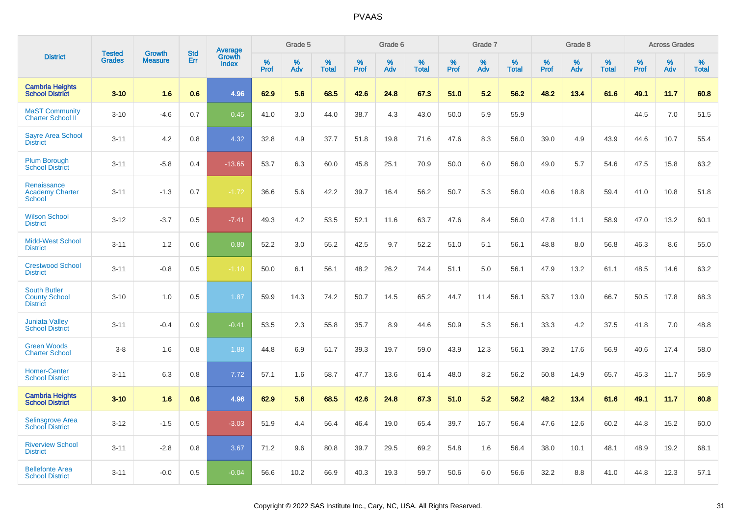|                                                                | <b>Tested</b> | <b>Growth</b>  | <b>Std</b> | Average                |              | Grade 5  |                   |              | Grade 6  |                   |              | Grade 7  |                   |           | Grade 8  |                   |           | <b>Across Grades</b> |                   |
|----------------------------------------------------------------|---------------|----------------|------------|------------------------|--------------|----------|-------------------|--------------|----------|-------------------|--------------|----------|-------------------|-----------|----------|-------------------|-----------|----------------------|-------------------|
| <b>District</b>                                                | <b>Grades</b> | <b>Measure</b> | Err        | Growth<br><b>Index</b> | $\%$<br>Prof | %<br>Adv | %<br><b>Total</b> | $\%$<br>Prof | %<br>Adv | %<br><b>Total</b> | $\%$<br>Prof | %<br>Adv | %<br><b>Total</b> | %<br>Prof | %<br>Adv | %<br><b>Total</b> | %<br>Prof | $\%$<br>Adv          | %<br><b>Total</b> |
| <b>Cambria Heights</b><br><b>School District</b>               | $3 - 10$      | 1.6            | 0.6        | 4.96                   | 62.9         | 5.6      | 68.5              | 42.6         | 24.8     | 67.3              | 51.0         | 5.2      | 56.2              | 48.2      | 13.4     | 61.6              | 49.1      | 11.7                 | 60.8              |
| <b>MaST Community</b><br><b>Charter School II</b>              | $3 - 10$      | $-4.6$         | 0.7        | 0.45                   | 41.0         | 3.0      | 44.0              | 38.7         | 4.3      | 43.0              | 50.0         | 5.9      | 55.9              |           |          |                   | 44.5      | 7.0                  | 51.5              |
| <b>Sayre Area School</b><br><b>District</b>                    | $3 - 11$      | 4.2            | 0.8        | 4.32                   | 32.8         | 4.9      | 37.7              | 51.8         | 19.8     | 71.6              | 47.6         | 8.3      | 56.0              | 39.0      | 4.9      | 43.9              | 44.6      | 10.7                 | 55.4              |
| <b>Plum Borough</b><br><b>School District</b>                  | $3 - 11$      | $-5.8$         | 0.4        | $-13.65$               | 53.7         | 6.3      | 60.0              | 45.8         | 25.1     | 70.9              | 50.0         | 6.0      | 56.0              | 49.0      | 5.7      | 54.6              | 47.5      | 15.8                 | 63.2              |
| Renaissance<br><b>Academy Charter</b><br><b>School</b>         | $3 - 11$      | $-1.3$         | 0.7        | $-1.72$                | 36.6         | 5.6      | 42.2              | 39.7         | 16.4     | 56.2              | 50.7         | 5.3      | 56.0              | 40.6      | 18.8     | 59.4              | 41.0      | 10.8                 | 51.8              |
| <b>Wilson School</b><br><b>District</b>                        | $3 - 12$      | $-3.7$         | 0.5        | $-7.41$                | 49.3         | 4.2      | 53.5              | 52.1         | 11.6     | 63.7              | 47.6         | 8.4      | 56.0              | 47.8      | 11.1     | 58.9              | 47.0      | 13.2                 | 60.1              |
| <b>Midd-West School</b><br><b>District</b>                     | $3 - 11$      | 1.2            | 0.6        | 0.80                   | 52.2         | 3.0      | 55.2              | 42.5         | 9.7      | 52.2              | 51.0         | 5.1      | 56.1              | 48.8      | 8.0      | 56.8              | 46.3      | 8.6                  | 55.0              |
| <b>Crestwood School</b><br><b>District</b>                     | $3 - 11$      | $-0.8$         | 0.5        | $-1.10$                | 50.0         | 6.1      | 56.1              | 48.2         | 26.2     | 74.4              | 51.1         | 5.0      | 56.1              | 47.9      | 13.2     | 61.1              | 48.5      | 14.6                 | 63.2              |
| <b>South Butler</b><br><b>County School</b><br><b>District</b> | $3 - 10$      | 1.0            | 0.5        | 1.87                   | 59.9         | 14.3     | 74.2              | 50.7         | 14.5     | 65.2              | 44.7         | 11.4     | 56.1              | 53.7      | 13.0     | 66.7              | 50.5      | 17.8                 | 68.3              |
| <b>Juniata Valley</b><br><b>School District</b>                | $3 - 11$      | $-0.4$         | 0.9        | $-0.41$                | 53.5         | 2.3      | 55.8              | 35.7         | 8.9      | 44.6              | 50.9         | 5.3      | 56.1              | 33.3      | 4.2      | 37.5              | 41.8      | 7.0                  | 48.8              |
| <b>Green Woods</b><br><b>Charter School</b>                    | $3 - 8$       | 1.6            | 0.8        | 1.88                   | 44.8         | 6.9      | 51.7              | 39.3         | 19.7     | 59.0              | 43.9         | 12.3     | 56.1              | 39.2      | 17.6     | 56.9              | 40.6      | 17.4                 | 58.0              |
| <b>Homer-Center</b><br><b>School District</b>                  | $3 - 11$      | 6.3            | 0.8        | 7.72                   | 57.1         | 1.6      | 58.7              | 47.7         | 13.6     | 61.4              | 48.0         | 8.2      | 56.2              | 50.8      | 14.9     | 65.7              | 45.3      | 11.7                 | 56.9              |
| <b>Cambria Heights</b><br><b>School District</b>               | $3 - 10$      | 1.6            | 0.6        | 4.96                   | 62.9         | 5.6      | 68.5              | 42.6         | 24.8     | 67.3              | 51.0         | 5.2      | 56.2              | 48.2      | 13.4     | 61.6              | 49.1      | 11.7                 | 60.8              |
| Selinsgrove Area<br><b>School District</b>                     | $3 - 12$      | $-1.5$         | 0.5        | $-3.03$                | 51.9         | 4.4      | 56.4              | 46.4         | 19.0     | 65.4              | 39.7         | 16.7     | 56.4              | 47.6      | 12.6     | 60.2              | 44.8      | 15.2                 | 60.0              |
| <b>Riverview School</b><br><b>District</b>                     | $3 - 11$      | $-2.8$         | 0.8        | 3.67                   | 71.2         | 9.6      | 80.8              | 39.7         | 29.5     | 69.2              | 54.8         | 1.6      | 56.4              | 38.0      | 10.1     | 48.1              | 48.9      | 19.2                 | 68.1              |
| <b>Bellefonte Area</b><br><b>School District</b>               | $3 - 11$      | $-0.0$         | 0.5        | $-0.04$                | 56.6         | 10.2     | 66.9              | 40.3         | 19.3     | 59.7              | 50.6         | 6.0      | 56.6              | 32.2      | 8.8      | 41.0              | 44.8      | 12.3                 | 57.1              |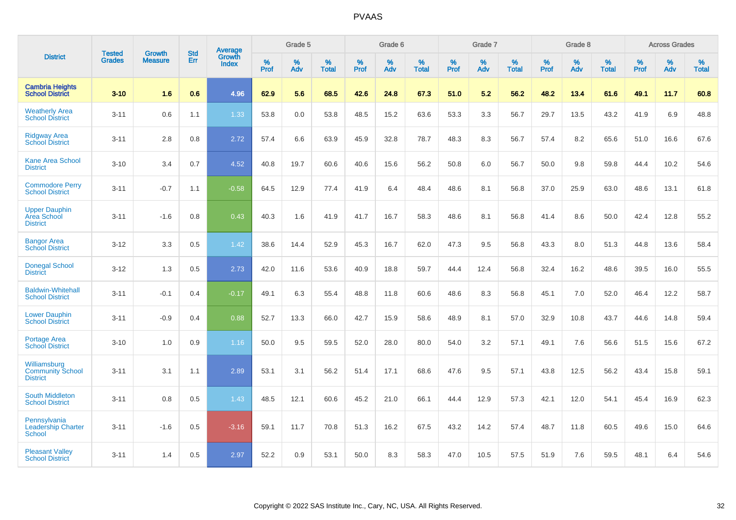|                                                            |                                |                                 | <b>Std</b> | Average                       |           | Grade 5  |                   |           | Grade 6  |                   |           | Grade 7  |                   |           | Grade 8  |                   |           | <b>Across Grades</b> |                   |
|------------------------------------------------------------|--------------------------------|---------------------------------|------------|-------------------------------|-----------|----------|-------------------|-----------|----------|-------------------|-----------|----------|-------------------|-----------|----------|-------------------|-----------|----------------------|-------------------|
| <b>District</b>                                            | <b>Tested</b><br><b>Grades</b> | <b>Growth</b><br><b>Measure</b> | Err        | <b>Growth</b><br><b>Index</b> | %<br>Prof | %<br>Adv | %<br><b>Total</b> | %<br>Prof | %<br>Adv | %<br><b>Total</b> | %<br>Prof | %<br>Adv | %<br><b>Total</b> | %<br>Prof | %<br>Adv | %<br><b>Total</b> | %<br>Prof | %<br>Adv             | %<br><b>Total</b> |
| <b>Cambria Heights</b><br><b>School District</b>           | $3 - 10$                       | 1.6                             | 0.6        | 4.96                          | 62.9      | 5.6      | 68.5              | 42.6      | 24.8     | 67.3              | 51.0      | 5.2      | 56.2              | 48.2      | 13.4     | 61.6              | 49.1      | 11.7                 | 60.8              |
| <b>Weatherly Area</b><br><b>School District</b>            | $3 - 11$                       | 0.6                             | 1.1        | 1.33                          | 53.8      | 0.0      | 53.8              | 48.5      | 15.2     | 63.6              | 53.3      | 3.3      | 56.7              | 29.7      | 13.5     | 43.2              | 41.9      | 6.9                  | 48.8              |
| <b>Ridgway Area</b><br><b>School District</b>              | $3 - 11$                       | 2.8                             | 0.8        | 2.72                          | 57.4      | 6.6      | 63.9              | 45.9      | 32.8     | 78.7              | 48.3      | 8.3      | 56.7              | 57.4      | 8.2      | 65.6              | 51.0      | 16.6                 | 67.6              |
| <b>Kane Area School</b><br><b>District</b>                 | $3 - 10$                       | 3.4                             | 0.7        | 4.52                          | 40.8      | 19.7     | 60.6              | 40.6      | 15.6     | 56.2              | 50.8      | 6.0      | 56.7              | 50.0      | 9.8      | 59.8              | 44.4      | 10.2                 | 54.6              |
| <b>Commodore Perry</b><br><b>School District</b>           | $3 - 11$                       | $-0.7$                          | 1.1        | $-0.58$                       | 64.5      | 12.9     | 77.4              | 41.9      | 6.4      | 48.4              | 48.6      | 8.1      | 56.8              | 37.0      | 25.9     | 63.0              | 48.6      | 13.1                 | 61.8              |
| <b>Upper Dauphin</b><br>Area School<br><b>District</b>     | $3 - 11$                       | $-1.6$                          | 0.8        | 0.43                          | 40.3      | 1.6      | 41.9              | 41.7      | 16.7     | 58.3              | 48.6      | 8.1      | 56.8              | 41.4      | 8.6      | 50.0              | 42.4      | 12.8                 | 55.2              |
| <b>Bangor Area</b><br><b>School District</b>               | $3 - 12$                       | 3.3                             | 0.5        | 1.42                          | 38.6      | 14.4     | 52.9              | 45.3      | 16.7     | 62.0              | 47.3      | 9.5      | 56.8              | 43.3      | 8.0      | 51.3              | 44.8      | 13.6                 | 58.4              |
| <b>Donegal School</b><br><b>District</b>                   | $3 - 12$                       | 1.3                             | 0.5        | 2.73                          | 42.0      | 11.6     | 53.6              | 40.9      | 18.8     | 59.7              | 44.4      | 12.4     | 56.8              | 32.4      | 16.2     | 48.6              | 39.5      | 16.0                 | 55.5              |
| <b>Baldwin-Whitehall</b><br><b>School District</b>         | $3 - 11$                       | $-0.1$                          | 0.4        | $-0.17$                       | 49.1      | 6.3      | 55.4              | 48.8      | 11.8     | 60.6              | 48.6      | 8.3      | 56.8              | 45.1      | 7.0      | 52.0              | 46.4      | 12.2                 | 58.7              |
| <b>Lower Dauphin</b><br><b>School District</b>             | $3 - 11$                       | $-0.9$                          | 0.4        | 0.88                          | 52.7      | 13.3     | 66.0              | 42.7      | 15.9     | 58.6              | 48.9      | 8.1      | 57.0              | 32.9      | 10.8     | 43.7              | 44.6      | 14.8                 | 59.4              |
| <b>Portage Area</b><br><b>School District</b>              | $3 - 10$                       | 1.0                             | 0.9        | 1.16                          | 50.0      | 9.5      | 59.5              | 52.0      | 28.0     | 80.0              | 54.0      | 3.2      | 57.1              | 49.1      | 7.6      | 56.6              | 51.5      | 15.6                 | 67.2              |
| Williamsburg<br><b>Community School</b><br><b>District</b> | $3 - 11$                       | 3.1                             | 1.1        | 2.89                          | 53.1      | 3.1      | 56.2              | 51.4      | 17.1     | 68.6              | 47.6      | 9.5      | 57.1              | 43.8      | 12.5     | 56.2              | 43.4      | 15.8                 | 59.1              |
| <b>South Middleton</b><br><b>School District</b>           | $3 - 11$                       | 0.8                             | 0.5        | 1.43                          | 48.5      | 12.1     | 60.6              | 45.2      | 21.0     | 66.1              | 44.4      | 12.9     | 57.3              | 42.1      | 12.0     | 54.1              | 45.4      | 16.9                 | 62.3              |
| Pennsylvania<br><b>Leadership Charter</b><br><b>School</b> | $3 - 11$                       | $-1.6$                          | 0.5        | $-3.16$                       | 59.1      | 11.7     | 70.8              | 51.3      | 16.2     | 67.5              | 43.2      | 14.2     | 57.4              | 48.7      | 11.8     | 60.5              | 49.6      | 15.0                 | 64.6              |
| <b>Pleasant Valley</b><br><b>School District</b>           | $3 - 11$                       | 1.4                             | 0.5        | 2.97                          | 52.2      | 0.9      | 53.1              | 50.0      | 8.3      | 58.3              | 47.0      | 10.5     | 57.5              | 51.9      | 7.6      | 59.5              | 48.1      | 6.4                  | 54.6              |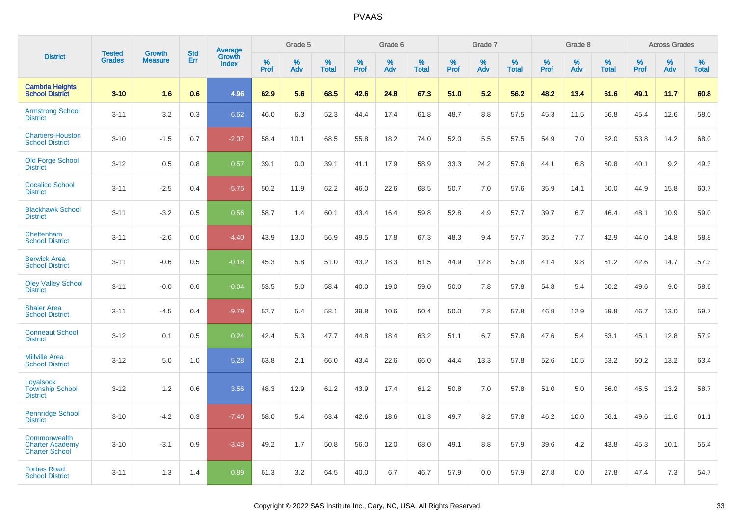|                                                                 | <b>Tested</b> | <b>Growth</b>  | <b>Std</b> | Average         |              | Grade 5  |                   |              | Grade 6  |                   |              | Grade 7  |                   |              | Grade 8  |                   |              | <b>Across Grades</b> |                   |
|-----------------------------------------------------------------|---------------|----------------|------------|-----------------|--------------|----------|-------------------|--------------|----------|-------------------|--------------|----------|-------------------|--------------|----------|-------------------|--------------|----------------------|-------------------|
| <b>District</b>                                                 | <b>Grades</b> | <b>Measure</b> | Err        | Growth<br>Index | $\%$<br>Prof | %<br>Adv | %<br><b>Total</b> | $\%$<br>Prof | %<br>Adv | %<br><b>Total</b> | $\%$<br>Prof | %<br>Adv | %<br><b>Total</b> | $\%$<br>Prof | %<br>Adv | %<br><b>Total</b> | $\%$<br>Prof | %<br>Adv             | %<br><b>Total</b> |
| <b>Cambria Heights</b><br><b>School District</b>                | $3 - 10$      | 1.6            | 0.6        | 4.96            | 62.9         | 5.6      | 68.5              | 42.6         | 24.8     | 67.3              | 51.0         | 5.2      | 56.2              | 48.2         | 13.4     | 61.6              | 49.1         | 11.7                 | 60.8              |
| <b>Armstrong School</b><br><b>District</b>                      | $3 - 11$      | 3.2            | 0.3        | 6.62            | 46.0         | 6.3      | 52.3              | 44.4         | 17.4     | 61.8              | 48.7         | 8.8      | 57.5              | 45.3         | 11.5     | 56.8              | 45.4         | 12.6                 | 58.0              |
| <b>Chartiers-Houston</b><br><b>School District</b>              | $3 - 10$      | $-1.5$         | 0.7        | $-2.07$         | 58.4         | 10.1     | 68.5              | 55.8         | 18.2     | 74.0              | 52.0         | 5.5      | 57.5              | 54.9         | 7.0      | 62.0              | 53.8         | 14.2                 | 68.0              |
| <b>Old Forge School</b><br><b>District</b>                      | $3 - 12$      | 0.5            | 0.8        | 0.57            | 39.1         | 0.0      | 39.1              | 41.1         | 17.9     | 58.9              | 33.3         | 24.2     | 57.6              | 44.1         | 6.8      | 50.8              | 40.1         | 9.2                  | 49.3              |
| <b>Cocalico School</b><br><b>District</b>                       | $3 - 11$      | $-2.5$         | 0.4        | $-5.75$         | 50.2         | 11.9     | 62.2              | 46.0         | 22.6     | 68.5              | 50.7         | 7.0      | 57.6              | 35.9         | 14.1     | 50.0              | 44.9         | 15.8                 | 60.7              |
| <b>Blackhawk School</b><br><b>District</b>                      | $3 - 11$      | $-3.2$         | 0.5        | 0.56            | 58.7         | 1.4      | 60.1              | 43.4         | 16.4     | 59.8              | 52.8         | 4.9      | 57.7              | 39.7         | 6.7      | 46.4              | 48.1         | 10.9                 | 59.0              |
| Cheltenham<br><b>School District</b>                            | $3 - 11$      | $-2.6$         | 0.6        | $-4.40$         | 43.9         | 13.0     | 56.9              | 49.5         | 17.8     | 67.3              | 48.3         | 9.4      | 57.7              | 35.2         | 7.7      | 42.9              | 44.0         | 14.8                 | 58.8              |
| <b>Berwick Area</b><br><b>School District</b>                   | $3 - 11$      | $-0.6$         | 0.5        | $-0.18$         | 45.3         | 5.8      | 51.0              | 43.2         | 18.3     | 61.5              | 44.9         | 12.8     | 57.8              | 41.4         | 9.8      | 51.2              | 42.6         | 14.7                 | 57.3              |
| <b>Oley Valley School</b><br><b>District</b>                    | $3 - 11$      | $-0.0$         | 0.6        | $-0.04$         | 53.5         | 5.0      | 58.4              | 40.0         | 19.0     | 59.0              | 50.0         | 7.8      | 57.8              | 54.8         | 5.4      | 60.2              | 49.6         | 9.0                  | 58.6              |
| <b>Shaler Area</b><br><b>School District</b>                    | $3 - 11$      | $-4.5$         | 0.4        | $-9.79$         | 52.7         | 5.4      | 58.1              | 39.8         | 10.6     | 50.4              | 50.0         | 7.8      | 57.8              | 46.9         | 12.9     | 59.8              | 46.7         | 13.0                 | 59.7              |
| <b>Conneaut School</b><br><b>District</b>                       | $3 - 12$      | 0.1            | 0.5        | 0.24            | 42.4         | 5.3      | 47.7              | 44.8         | 18.4     | 63.2              | 51.1         | 6.7      | 57.8              | 47.6         | 5.4      | 53.1              | 45.1         | 12.8                 | 57.9              |
| <b>Millville Area</b><br><b>School District</b>                 | $3 - 12$      | 5.0            | 1.0        | 5.28            | 63.8         | 2.1      | 66.0              | 43.4         | 22.6     | 66.0              | 44.4         | 13.3     | 57.8              | 52.6         | 10.5     | 63.2              | 50.2         | 13.2                 | 63.4              |
| Loyalsock<br><b>Township School</b><br><b>District</b>          | $3 - 12$      | 1.2            | 0.6        | 3.56            | 48.3         | 12.9     | 61.2              | 43.9         | 17.4     | 61.2              | 50.8         | 7.0      | 57.8              | 51.0         | 5.0      | 56.0              | 45.5         | 13.2                 | 58.7              |
| <b>Pennridge School</b><br><b>District</b>                      | $3 - 10$      | $-4.2$         | 0.3        | $-7.40$         | 58.0         | 5.4      | 63.4              | 42.6         | 18.6     | 61.3              | 49.7         | 8.2      | 57.8              | 46.2         | 10.0     | 56.1              | 49.6         | 11.6                 | 61.1              |
| Commonwealth<br><b>Charter Academy</b><br><b>Charter School</b> | $3 - 10$      | $-3.1$         | 0.9        | $-3.43$         | 49.2         | 1.7      | 50.8              | 56.0         | 12.0     | 68.0              | 49.1         | 8.8      | 57.9              | 39.6         | 4.2      | 43.8              | 45.3         | 10.1                 | 55.4              |
| <b>Forbes Road</b><br><b>School District</b>                    | $3 - 11$      | 1.3            | 1.4        | 0.89            | 61.3         | 3.2      | 64.5              | 40.0         | 6.7      | 46.7              | 57.9         | 0.0      | 57.9              | 27.8         | 0.0      | 27.8              | 47.4         | 7.3                  | 54.7              |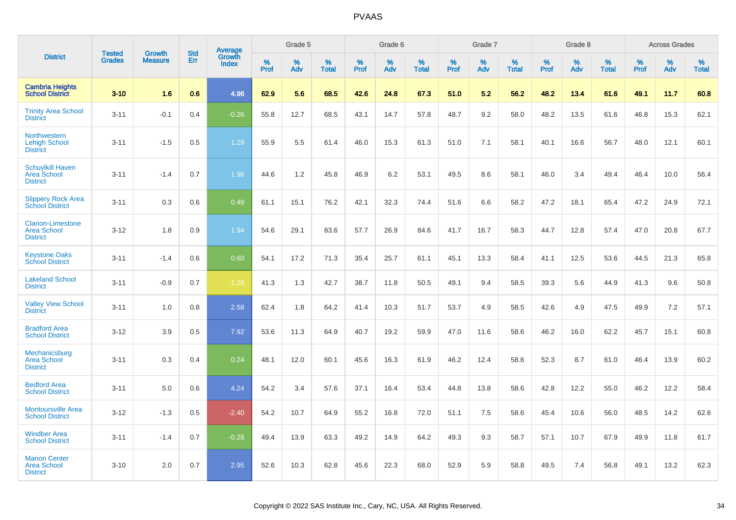|                                                                   | <b>Tested</b> | <b>Growth</b>  | <b>Std</b> |                                          |           | Grade 5  |                   |           | Grade 6  |                   |           | Grade 7  |                   |           | Grade 8  |                   |           | <b>Across Grades</b> |                   |
|-------------------------------------------------------------------|---------------|----------------|------------|------------------------------------------|-----------|----------|-------------------|-----------|----------|-------------------|-----------|----------|-------------------|-----------|----------|-------------------|-----------|----------------------|-------------------|
| <b>District</b>                                                   | <b>Grades</b> | <b>Measure</b> | <b>Err</b> | <b>Average</b><br>Growth<br><b>Index</b> | %<br>Prof | %<br>Adv | %<br><b>Total</b> | %<br>Prof | %<br>Adv | %<br><b>Total</b> | %<br>Prof | %<br>Adv | %<br><b>Total</b> | %<br>Prof | %<br>Adv | %<br><b>Total</b> | %<br>Prof | %<br>Adv             | %<br><b>Total</b> |
| <b>Cambria Heights</b><br><b>School District</b>                  | $3 - 10$      | 1.6            | 0.6        | 4.96                                     | 62.9      | 5.6      | 68.5              | 42.6      | 24.8     | 67.3              | 51.0      | 5.2      | 56.2              | 48.2      | 13.4     | 61.6              | 49.1      | 11.7                 | 60.8              |
| <b>Trinity Area School</b><br><b>District</b>                     | $3 - 11$      | $-0.1$         | 0.4        | $-0.26$                                  | 55.8      | 12.7     | 68.5              | 43.1      | 14.7     | 57.8              | 48.7      | 9.2      | 58.0              | 48.2      | 13.5     | 61.6              | 46.8      | 15.3                 | 62.1              |
| Northwestern<br><b>Lehigh School</b><br><b>District</b>           | $3 - 11$      | $-1.5$         | 0.5        | 1.29                                     | 55.9      | 5.5      | 61.4              | 46.0      | 15.3     | 61.3              | 51.0      | 7.1      | 58.1              | 40.1      | 16.6     | 56.7              | 48.0      | 12.1                 | 60.1              |
| <b>Schuylkill Haven</b><br><b>Area School</b><br><b>District</b>  | $3 - 11$      | $-1.4$         | 0.7        | 1.96                                     | 44.6      | 1.2      | 45.8              | 46.9      | 6.2      | 53.1              | 49.5      | 8.6      | 58.1              | 46.0      | 3.4      | 49.4              | 46.4      | 10.0                 | 56.4              |
| <b>Slippery Rock Area</b><br><b>School District</b>               | $3 - 11$      | 0.3            | 0.6        | 0.49                                     | 61.1      | 15.1     | 76.2              | 42.1      | 32.3     | 74.4              | 51.6      | 6.6      | 58.2              | 47.2      | 18.1     | 65.4              | 47.2      | 24.9                 | 72.1              |
| <b>Clarion-Limestone</b><br><b>Area School</b><br><b>District</b> | $3 - 12$      | 1.8            | 0.9        | 1.94                                     | 54.6      | 29.1     | 83.6              | 57.7      | 26.9     | 84.6              | 41.7      | 16.7     | 58.3              | 44.7      | 12.8     | 57.4              | 47.0      | 20.8                 | 67.7              |
| <b>Keystone Oaks</b><br><b>School District</b>                    | $3 - 11$      | $-1.4$         | 0.6        | 0.60                                     | 54.1      | 17.2     | 71.3              | 35.4      | 25.7     | 61.1              | 45.1      | 13.3     | 58.4              | 41.1      | 12.5     | 53.6              | 44.5      | 21.3                 | 65.8              |
| <b>Lakeland School</b><br><b>District</b>                         | $3 - 11$      | $-0.9$         | 0.7        | $-1.28$                                  | 41.3      | 1.3      | 42.7              | 38.7      | 11.8     | 50.5              | 49.1      | 9.4      | 58.5              | 39.3      | 5.6      | 44.9              | 41.3      | 9.6                  | 50.8              |
| <b>Valley View School</b><br><b>District</b>                      | $3 - 11$      | 1.0            | 0.8        | 2.58                                     | 62.4      | 1.8      | 64.2              | 41.4      | 10.3     | 51.7              | 53.7      | 4.9      | 58.5              | 42.6      | 4.9      | 47.5              | 49.9      | 7.2                  | 57.1              |
| <b>Bradford Area</b><br><b>School District</b>                    | $3 - 12$      | 3.9            | 0.5        | 7.92                                     | 53.6      | 11.3     | 64.9              | 40.7      | 19.2     | 59.9              | 47.0      | 11.6     | 58.6              | 46.2      | 16.0     | 62.2              | 45.7      | 15.1                 | 60.8              |
| Mechanicsburg<br><b>Area School</b><br><b>District</b>            | $3 - 11$      | 0.3            | 0.4        | 0.24                                     | 48.1      | 12.0     | 60.1              | 45.6      | 16.3     | 61.9              | 46.2      | 12.4     | 58.6              | 52.3      | 8.7      | 61.0              | 46.4      | 13.9                 | 60.2              |
| <b>Bedford Area</b><br><b>School District</b>                     | $3 - 11$      | 5.0            | 0.6        | 4.24                                     | 54.2      | 3.4      | 57.6              | 37.1      | 16.4     | 53.4              | 44.8      | 13.8     | 58.6              | 42.8      | 12.2     | 55.0              | 46.2      | 12.2                 | 58.4              |
| <b>Montoursville Area</b><br><b>School District</b>               | $3 - 12$      | $-1.3$         | 0.5        | $-2.40$                                  | 54.2      | 10.7     | 64.9              | 55.2      | 16.8     | 72.0              | 51.1      | 7.5      | 58.6              | 45.4      | 10.6     | 56.0              | 48.5      | 14.2                 | 62.6              |
| <b>Windber Area</b><br><b>School District</b>                     | $3 - 11$      | $-1.4$         | 0.7        | $-0.28$                                  | 49.4      | 13.9     | 63.3              | 49.2      | 14.9     | 64.2              | 49.3      | 9.3      | 58.7              | 57.1      | 10.7     | 67.9              | 49.9      | 11.8                 | 61.7              |
| <b>Marion Center</b><br><b>Area School</b><br><b>District</b>     | $3 - 10$      | 2.0            | 0.7        | 2.95                                     | 52.6      | 10.3     | 62.8              | 45.6      | 22.3     | 68.0              | 52.9      | 5.9      | 58.8              | 49.5      | 7.4      | 56.8              | 49.1      | 13.2                 | 62.3              |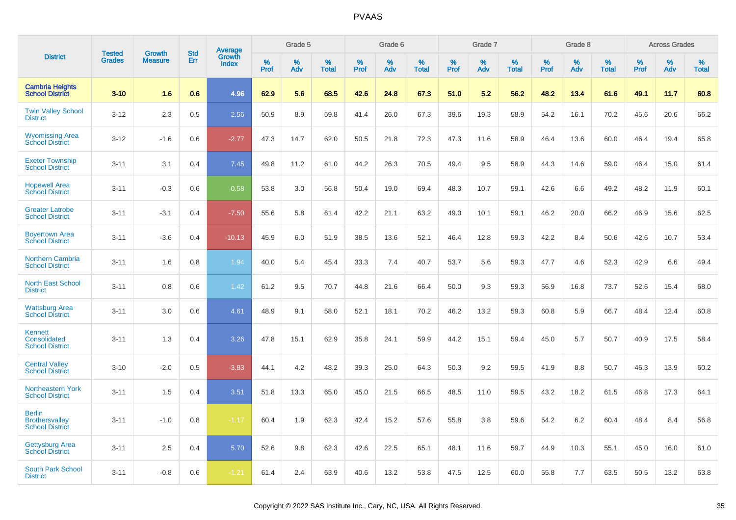|                                                                  | <b>Tested</b> | <b>Growth</b>  | <b>Std</b> | Average                |              | Grade 5  |                   |              | Grade 6  |                   |              | Grade 7  |                   |              | Grade 8  |                   |           | <b>Across Grades</b> |                   |
|------------------------------------------------------------------|---------------|----------------|------------|------------------------|--------------|----------|-------------------|--------------|----------|-------------------|--------------|----------|-------------------|--------------|----------|-------------------|-----------|----------------------|-------------------|
| <b>District</b>                                                  | <b>Grades</b> | <b>Measure</b> | Err        | Growth<br><b>Index</b> | $\%$<br>Prof | %<br>Adv | %<br><b>Total</b> | $\%$<br>Prof | %<br>Adv | %<br><b>Total</b> | $\%$<br>Prof | %<br>Adv | %<br><b>Total</b> | $\%$<br>Prof | %<br>Adv | %<br><b>Total</b> | %<br>Prof | $\%$<br>Adv          | %<br><b>Total</b> |
| <b>Cambria Heights</b><br><b>School District</b>                 | $3 - 10$      | 1.6            | 0.6        | 4.96                   | 62.9         | 5.6      | 68.5              | 42.6         | 24.8     | 67.3              | 51.0         | 5.2      | 56.2              | 48.2         | 13.4     | 61.6              | 49.1      | 11.7                 | 60.8              |
| <b>Twin Valley School</b><br><b>District</b>                     | $3 - 12$      | 2.3            | 0.5        | 2.56                   | 50.9         | 8.9      | 59.8              | 41.4         | 26.0     | 67.3              | 39.6         | 19.3     | 58.9              | 54.2         | 16.1     | 70.2              | 45.6      | 20.6                 | 66.2              |
| <b>Wyomissing Area</b><br><b>School District</b>                 | $3 - 12$      | $-1.6$         | 0.6        | $-2.77$                | 47.3         | 14.7     | 62.0              | 50.5         | 21.8     | 72.3              | 47.3         | 11.6     | 58.9              | 46.4         | 13.6     | 60.0              | 46.4      | 19.4                 | 65.8              |
| <b>Exeter Township</b><br><b>School District</b>                 | $3 - 11$      | 3.1            | 0.4        | 7.45                   | 49.8         | 11.2     | 61.0              | 44.2         | 26.3     | 70.5              | 49.4         | 9.5      | 58.9              | 44.3         | 14.6     | 59.0              | 46.4      | 15.0                 | 61.4              |
| <b>Hopewell Area</b><br><b>School District</b>                   | $3 - 11$      | $-0.3$         | 0.6        | $-0.58$                | 53.8         | 3.0      | 56.8              | 50.4         | 19.0     | 69.4              | 48.3         | 10.7     | 59.1              | 42.6         | 6.6      | 49.2              | 48.2      | 11.9                 | 60.1              |
| <b>Greater Latrobe</b><br><b>School District</b>                 | $3 - 11$      | $-3.1$         | 0.4        | $-7.50$                | 55.6         | 5.8      | 61.4              | 42.2         | 21.1     | 63.2              | 49.0         | 10.1     | 59.1              | 46.2         | 20.0     | 66.2              | 46.9      | 15.6                 | 62.5              |
| <b>Boyertown Area</b><br><b>School District</b>                  | $3 - 11$      | $-3.6$         | 0.4        | $-10.13$               | 45.9         | 6.0      | 51.9              | 38.5         | 13.6     | 52.1              | 46.4         | 12.8     | 59.3              | 42.2         | 8.4      | 50.6              | 42.6      | 10.7                 | 53.4              |
| Northern Cambria<br><b>School District</b>                       | $3 - 11$      | 1.6            | 0.8        | 1.94                   | 40.0         | 5.4      | 45.4              | 33.3         | 7.4      | 40.7              | 53.7         | 5.6      | 59.3              | 47.7         | 4.6      | 52.3              | 42.9      | 6.6                  | 49.4              |
| <b>North East School</b><br><b>District</b>                      | $3 - 11$      | 0.8            | 0.6        | 1.42                   | 61.2         | 9.5      | 70.7              | 44.8         | 21.6     | 66.4              | 50.0         | 9.3      | 59.3              | 56.9         | 16.8     | 73.7              | 52.6      | 15.4                 | 68.0              |
| <b>Wattsburg Area</b><br><b>School District</b>                  | $3 - 11$      | 3.0            | 0.6        | 4.61                   | 48.9         | 9.1      | 58.0              | 52.1         | 18.1     | 70.2              | 46.2         | 13.2     | 59.3              | 60.8         | 5.9      | 66.7              | 48.4      | 12.4                 | 60.8              |
| Kennett<br>Consolidated<br><b>School District</b>                | $3 - 11$      | 1.3            | 0.4        | 3.26                   | 47.8         | 15.1     | 62.9              | 35.8         | 24.1     | 59.9              | 44.2         | 15.1     | 59.4              | 45.0         | 5.7      | 50.7              | 40.9      | 17.5                 | 58.4              |
| <b>Central Valley</b><br><b>School District</b>                  | $3 - 10$      | $-2.0$         | 0.5        | $-3.83$                | 44.1         | 4.2      | 48.2              | 39.3         | 25.0     | 64.3              | 50.3         | 9.2      | 59.5              | 41.9         | 8.8      | 50.7              | 46.3      | 13.9                 | 60.2              |
| <b>Northeastern York</b><br><b>School District</b>               | $3 - 11$      | 1.5            | 0.4        | 3.51                   | 51.8         | 13.3     | 65.0              | 45.0         | 21.5     | 66.5              | 48.5         | 11.0     | 59.5              | 43.2         | 18.2     | 61.5              | 46.8      | 17.3                 | 64.1              |
| <b>Berlin</b><br><b>Brothersvalley</b><br><b>School District</b> | $3 - 11$      | $-1.0$         | 0.8        | $-1.17$                | 60.4         | 1.9      | 62.3              | 42.4         | 15.2     | 57.6              | 55.8         | 3.8      | 59.6              | 54.2         | 6.2      | 60.4              | 48.4      | 8.4                  | 56.8              |
| <b>Gettysburg Area</b><br><b>School District</b>                 | $3 - 11$      | 2.5            | 0.4        | 5.70                   | 52.6         | 9.8      | 62.3              | 42.6         | 22.5     | 65.1              | 48.1         | 11.6     | 59.7              | 44.9         | 10.3     | 55.1              | 45.0      | 16.0                 | 61.0              |
| <b>South Park School</b><br><b>District</b>                      | $3 - 11$      | $-0.8$         | 0.6        | $-1.21$                | 61.4         | 2.4      | 63.9              | 40.6         | 13.2     | 53.8              | 47.5         | 12.5     | 60.0              | 55.8         | 7.7      | 63.5              | 50.5      | 13.2                 | 63.8              |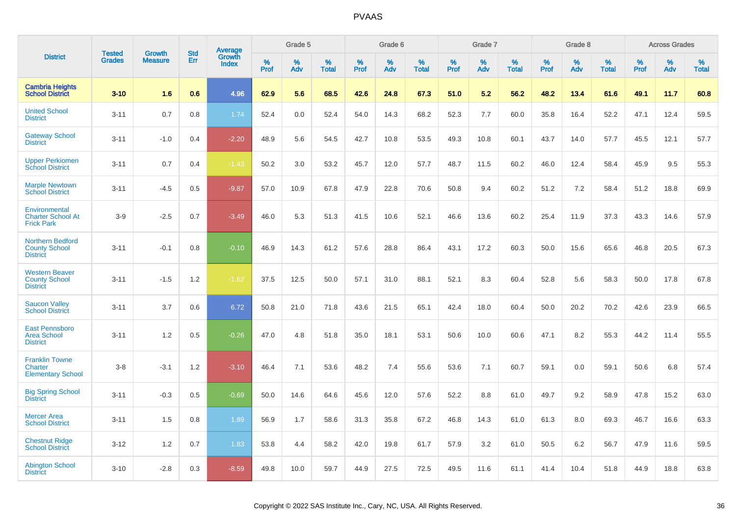|                                                                    | <b>Tested</b> | <b>Growth</b>  | <b>Std</b> | Average         |           | Grade 5  |                   |           | Grade 6  |                   |           | Grade 7  |                   |           | Grade 8  |                   |           | <b>Across Grades</b> |                   |
|--------------------------------------------------------------------|---------------|----------------|------------|-----------------|-----------|----------|-------------------|-----------|----------|-------------------|-----------|----------|-------------------|-----------|----------|-------------------|-----------|----------------------|-------------------|
| <b>District</b>                                                    | <b>Grades</b> | <b>Measure</b> | Err        | Growth<br>Index | %<br>Prof | %<br>Adv | %<br><b>Total</b> | %<br>Prof | %<br>Adv | %<br><b>Total</b> | %<br>Prof | %<br>Adv | %<br><b>Total</b> | %<br>Prof | %<br>Adv | %<br><b>Total</b> | %<br>Prof | %<br>Adv             | %<br><b>Total</b> |
| <b>Cambria Heights</b><br><b>School District</b>                   | $3 - 10$      | 1.6            | 0.6        | 4.96            | 62.9      | 5.6      | 68.5              | 42.6      | 24.8     | 67.3              | 51.0      | 5.2      | 56.2              | 48.2      | 13.4     | 61.6              | 49.1      | 11.7                 | 60.8              |
| <b>United School</b><br><b>District</b>                            | $3 - 11$      | 0.7            | 0.8        | 1.74            | 52.4      | 0.0      | 52.4              | 54.0      | 14.3     | 68.2              | 52.3      | 7.7      | 60.0              | 35.8      | 16.4     | 52.2              | 47.1      | 12.4                 | 59.5              |
| <b>Gateway School</b><br><b>District</b>                           | $3 - 11$      | $-1.0$         | 0.4        | $-2.20$         | 48.9      | 5.6      | 54.5              | 42.7      | 10.8     | 53.5              | 49.3      | 10.8     | 60.1              | 43.7      | 14.0     | 57.7              | 45.5      | 12.1                 | 57.7              |
| <b>Upper Perkiomen</b><br><b>School District</b>                   | $3 - 11$      | 0.7            | 0.4        | $-1.43$         | 50.2      | 3.0      | 53.2              | 45.7      | 12.0     | 57.7              | 48.7      | 11.5     | 60.2              | 46.0      | 12.4     | 58.4              | 45.9      | 9.5                  | 55.3              |
| <b>Marple Newtown</b><br><b>School District</b>                    | $3 - 11$      | $-4.5$         | 0.5        | $-9.87$         | 57.0      | 10.9     | 67.8              | 47.9      | 22.8     | 70.6              | 50.8      | 9.4      | 60.2              | 51.2      | 7.2      | 58.4              | 51.2      | 18.8                 | 69.9              |
| Environmental<br><b>Charter School At</b><br><b>Frick Park</b>     | $3-9$         | $-2.5$         | 0.7        | $-3.49$         | 46.0      | 5.3      | 51.3              | 41.5      | 10.6     | 52.1              | 46.6      | 13.6     | 60.2              | 25.4      | 11.9     | 37.3              | 43.3      | 14.6                 | 57.9              |
| <b>Northern Bedford</b><br><b>County School</b><br><b>District</b> | $3 - 11$      | $-0.1$         | 0.8        | $-0.10$         | 46.9      | 14.3     | 61.2              | 57.6      | 28.8     | 86.4              | 43.1      | 17.2     | 60.3              | 50.0      | 15.6     | 65.6              | 46.8      | 20.5                 | 67.3              |
| <b>Western Beaver</b><br><b>County School</b><br><b>District</b>   | $3 - 11$      | $-1.5$         | 1.2        | $-1.62$         | 37.5      | 12.5     | 50.0              | 57.1      | 31.0     | 88.1              | 52.1      | 8.3      | 60.4              | 52.8      | 5.6      | 58.3              | 50.0      | 17.8                 | 67.8              |
| <b>Saucon Valley</b><br><b>School District</b>                     | $3 - 11$      | 3.7            | 0.6        | 6.72            | 50.8      | 21.0     | 71.8              | 43.6      | 21.5     | 65.1              | 42.4      | 18.0     | 60.4              | 50.0      | 20.2     | 70.2              | 42.6      | 23.9                 | 66.5              |
| <b>East Pennsboro</b><br><b>Area School</b><br><b>District</b>     | $3 - 11$      | 1.2            | 0.5        | $-0.26$         | 47.0      | 4.8      | 51.8              | 35.0      | 18.1     | 53.1              | 50.6      | 10.0     | 60.6              | 47.1      | 8.2      | 55.3              | 44.2      | 11.4                 | 55.5              |
| <b>Franklin Towne</b><br>Charter<br><b>Elementary School</b>       | $3 - 8$       | $-3.1$         | 1.2        | $-3.10$         | 46.4      | 7.1      | 53.6              | 48.2      | 7.4      | 55.6              | 53.6      | 7.1      | 60.7              | 59.1      | 0.0      | 59.1              | 50.6      | 6.8                  | 57.4              |
| <b>Big Spring School</b><br><b>District</b>                        | $3 - 11$      | $-0.3$         | 0.5        | $-0.69$         | 50.0      | 14.6     | 64.6              | 45.6      | 12.0     | 57.6              | 52.2      | 8.8      | 61.0              | 49.7      | 9.2      | 58.9              | 47.8      | 15.2                 | 63.0              |
| <b>Mercer Area</b><br><b>School District</b>                       | $3 - 11$      | 1.5            | 0.8        | 1.89            | 56.9      | 1.7      | 58.6              | 31.3      | 35.8     | 67.2              | 46.8      | 14.3     | 61.0              | 61.3      | 8.0      | 69.3              | 46.7      | 16.6                 | 63.3              |
| <b>Chestnut Ridge</b><br><b>School District</b>                    | $3 - 12$      | 1.2            | 0.7        | 1.83            | 53.8      | 4.4      | 58.2              | 42.0      | 19.8     | 61.7              | 57.9      | 3.2      | 61.0              | 50.5      | 6.2      | 56.7              | 47.9      | 11.6                 | 59.5              |
| <b>Abington School</b><br><b>District</b>                          | $3 - 10$      | $-2.8$         | 0.3        | $-8.59$         | 49.8      | 10.0     | 59.7              | 44.9      | 27.5     | 72.5              | 49.5      | 11.6     | 61.1              | 41.4      | 10.4     | 51.8              | 44.9      | 18.8                 | 63.8              |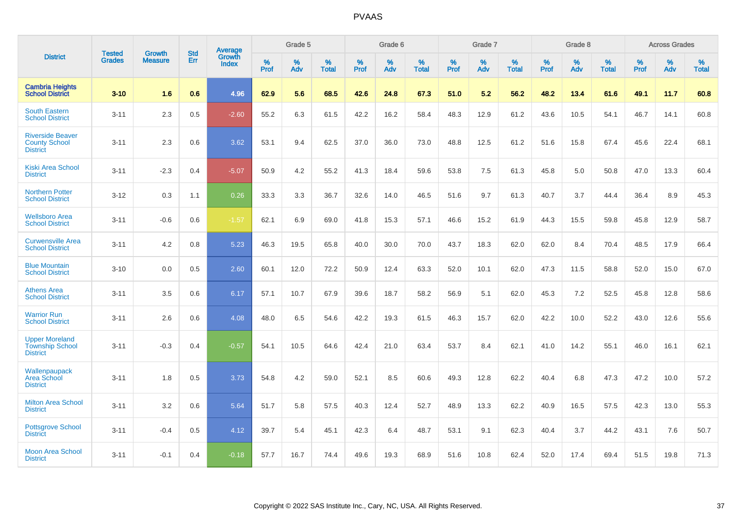|                                                                    | <b>Tested</b> | <b>Growth</b>  | <b>Std</b> | <b>Average</b>         |           | Grade 5  |                   |           | Grade 6  |                   |           | Grade 7  |                   |           | Grade 8  |                   |           | <b>Across Grades</b> |                   |
|--------------------------------------------------------------------|---------------|----------------|------------|------------------------|-----------|----------|-------------------|-----------|----------|-------------------|-----------|----------|-------------------|-----------|----------|-------------------|-----------|----------------------|-------------------|
| <b>District</b>                                                    | <b>Grades</b> | <b>Measure</b> | Err        | Growth<br><b>Index</b> | %<br>Prof | %<br>Adv | %<br><b>Total</b> | %<br>Prof | %<br>Adv | %<br><b>Total</b> | %<br>Prof | %<br>Adv | %<br><b>Total</b> | %<br>Prof | %<br>Adv | %<br><b>Total</b> | %<br>Prof | %<br>Adv             | %<br><b>Total</b> |
| <b>Cambria Heights</b><br><b>School District</b>                   | $3 - 10$      | 1.6            | 0.6        | 4.96                   | 62.9      | 5.6      | 68.5              | 42.6      | 24.8     | 67.3              | 51.0      | 5.2      | 56.2              | 48.2      | 13.4     | 61.6              | 49.1      | 11.7                 | 60.8              |
| <b>South Eastern</b><br><b>School District</b>                     | $3 - 11$      | 2.3            | 0.5        | $-2.60$                | 55.2      | 6.3      | 61.5              | 42.2      | 16.2     | 58.4              | 48.3      | 12.9     | 61.2              | 43.6      | 10.5     | 54.1              | 46.7      | 14.1                 | 60.8              |
| <b>Riverside Beaver</b><br><b>County School</b><br><b>District</b> | $3 - 11$      | 2.3            | 0.6        | 3.62                   | 53.1      | 9.4      | 62.5              | 37.0      | 36.0     | 73.0              | 48.8      | 12.5     | 61.2              | 51.6      | 15.8     | 67.4              | 45.6      | 22.4                 | 68.1              |
| <b>Kiski Area School</b><br><b>District</b>                        | $3 - 11$      | $-2.3$         | 0.4        | $-5.07$                | 50.9      | 4.2      | 55.2              | 41.3      | 18.4     | 59.6              | 53.8      | 7.5      | 61.3              | 45.8      | 5.0      | 50.8              | 47.0      | 13.3                 | 60.4              |
| <b>Northern Potter</b><br><b>School District</b>                   | $3 - 12$      | 0.3            | 1.1        | 0.26                   | 33.3      | 3.3      | 36.7              | 32.6      | 14.0     | 46.5              | 51.6      | 9.7      | 61.3              | 40.7      | 3.7      | 44.4              | 36.4      | 8.9                  | 45.3              |
| <b>Wellsboro Area</b><br><b>School District</b>                    | $3 - 11$      | $-0.6$         | 0.6        | $-1.57$                | 62.1      | 6.9      | 69.0              | 41.8      | 15.3     | 57.1              | 46.6      | 15.2     | 61.9              | 44.3      | 15.5     | 59.8              | 45.8      | 12.9                 | 58.7              |
| <b>Curwensville Area</b><br><b>School District</b>                 | $3 - 11$      | 4.2            | 0.8        | 5.23                   | 46.3      | 19.5     | 65.8              | 40.0      | 30.0     | 70.0              | 43.7      | 18.3     | 62.0              | 62.0      | 8.4      | 70.4              | 48.5      | 17.9                 | 66.4              |
| <b>Blue Mountain</b><br><b>School District</b>                     | $3 - 10$      | 0.0            | 0.5        | 2.60                   | 60.1      | 12.0     | 72.2              | 50.9      | 12.4     | 63.3              | 52.0      | 10.1     | 62.0              | 47.3      | 11.5     | 58.8              | 52.0      | 15.0                 | 67.0              |
| <b>Athens Area</b><br><b>School District</b>                       | $3 - 11$      | 3.5            | 0.6        | 6.17                   | 57.1      | 10.7     | 67.9              | 39.6      | 18.7     | 58.2              | 56.9      | 5.1      | 62.0              | 45.3      | 7.2      | 52.5              | 45.8      | 12.8                 | 58.6              |
| <b>Warrior Run</b><br><b>School District</b>                       | $3 - 11$      | 2.6            | 0.6        | 4.08                   | 48.0      | 6.5      | 54.6              | 42.2      | 19.3     | 61.5              | 46.3      | 15.7     | 62.0              | 42.2      | 10.0     | 52.2              | 43.0      | 12.6                 | 55.6              |
| <b>Upper Moreland</b><br><b>Township School</b><br><b>District</b> | $3 - 11$      | $-0.3$         | 0.4        | $-0.57$                | 54.1      | 10.5     | 64.6              | 42.4      | 21.0     | 63.4              | 53.7      | 8.4      | 62.1              | 41.0      | 14.2     | 55.1              | 46.0      | 16.1                 | 62.1              |
| Wallenpaupack<br>Area School<br><b>District</b>                    | $3 - 11$      | 1.8            | 0.5        | 3.73                   | 54.8      | 4.2      | 59.0              | 52.1      | 8.5      | 60.6              | 49.3      | 12.8     | 62.2              | 40.4      | 6.8      | 47.3              | 47.2      | 10.0                 | 57.2              |
| <b>Milton Area School</b><br><b>District</b>                       | $3 - 11$      | 3.2            | 0.6        | 5.64                   | 51.7      | 5.8      | 57.5              | 40.3      | 12.4     | 52.7              | 48.9      | 13.3     | 62.2              | 40.9      | 16.5     | 57.5              | 42.3      | 13.0                 | 55.3              |
| <b>Pottsgrove School</b><br><b>District</b>                        | $3 - 11$      | $-0.4$         | 0.5        | 4.12                   | 39.7      | 5.4      | 45.1              | 42.3      | 6.4      | 48.7              | 53.1      | 9.1      | 62.3              | 40.4      | 3.7      | 44.2              | 43.1      | 7.6                  | 50.7              |
| <b>Moon Area School</b><br><b>District</b>                         | $3 - 11$      | $-0.1$         | 0.4        | $-0.18$                | 57.7      | 16.7     | 74.4              | 49.6      | 19.3     | 68.9              | 51.6      | 10.8     | 62.4              | 52.0      | 17.4     | 69.4              | 51.5      | 19.8                 | 71.3              |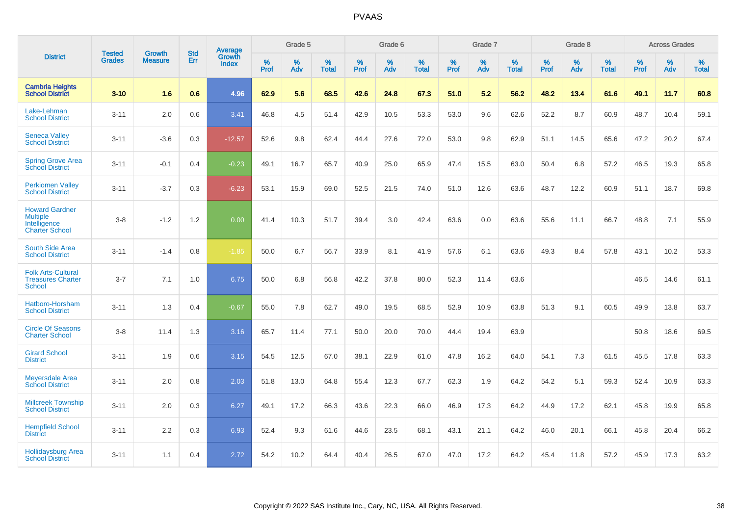|                                                                                   | <b>Tested</b> | Growth         | <b>Std</b> | <b>Average</b>         |           | Grade 5  |                   |           | Grade 6  |                   |           | Grade 7  |                   |           | Grade 8  |                   |           | <b>Across Grades</b> |                   |
|-----------------------------------------------------------------------------------|---------------|----------------|------------|------------------------|-----------|----------|-------------------|-----------|----------|-------------------|-----------|----------|-------------------|-----------|----------|-------------------|-----------|----------------------|-------------------|
| <b>District</b>                                                                   | <b>Grades</b> | <b>Measure</b> | Err        | Growth<br><b>Index</b> | %<br>Prof | %<br>Adv | %<br><b>Total</b> | %<br>Prof | %<br>Adv | %<br><b>Total</b> | %<br>Prof | %<br>Adv | %<br><b>Total</b> | %<br>Prof | %<br>Adv | %<br><b>Total</b> | %<br>Prof | %<br>Adv             | %<br><b>Total</b> |
| <b>Cambria Heights</b><br><b>School District</b>                                  | $3 - 10$      | 1.6            | 0.6        | 4.96                   | 62.9      | 5.6      | 68.5              | 42.6      | 24.8     | 67.3              | 51.0      | 5.2      | 56.2              | 48.2      | 13.4     | 61.6              | 49.1      | 11.7                 | 60.8              |
| Lake-Lehman<br><b>School District</b>                                             | $3 - 11$      | 2.0            | 0.6        | 3.41                   | 46.8      | 4.5      | 51.4              | 42.9      | 10.5     | 53.3              | 53.0      | 9.6      | 62.6              | 52.2      | 8.7      | 60.9              | 48.7      | 10.4                 | 59.1              |
| <b>Seneca Valley</b><br><b>School District</b>                                    | $3 - 11$      | $-3.6$         | 0.3        | $-12.57$               | 52.6      | 9.8      | 62.4              | 44.4      | 27.6     | 72.0              | 53.0      | 9.8      | 62.9              | 51.1      | 14.5     | 65.6              | 47.2      | 20.2                 | 67.4              |
| <b>Spring Grove Area</b><br><b>School District</b>                                | $3 - 11$      | $-0.1$         | 0.4        | $-0.23$                | 49.1      | 16.7     | 65.7              | 40.9      | 25.0     | 65.9              | 47.4      | 15.5     | 63.0              | 50.4      | 6.8      | 57.2              | 46.5      | 19.3                 | 65.8              |
| <b>Perkiomen Valley</b><br><b>School District</b>                                 | $3 - 11$      | $-3.7$         | 0.3        | $-6.23$                | 53.1      | 15.9     | 69.0              | 52.5      | 21.5     | 74.0              | 51.0      | 12.6     | 63.6              | 48.7      | 12.2     | 60.9              | 51.1      | 18.7                 | 69.8              |
| <b>Howard Gardner</b><br><b>Multiple</b><br>Intelligence<br><b>Charter School</b> | $3 - 8$       | $-1.2$         | 1.2        | 0.00                   | 41.4      | 10.3     | 51.7              | 39.4      | 3.0      | 42.4              | 63.6      | 0.0      | 63.6              | 55.6      | 11.1     | 66.7              | 48.8      | 7.1                  | 55.9              |
| <b>South Side Area</b><br><b>School District</b>                                  | $3 - 11$      | $-1.4$         | 0.8        | $-1.85$                | 50.0      | 6.7      | 56.7              | 33.9      | 8.1      | 41.9              | 57.6      | 6.1      | 63.6              | 49.3      | 8.4      | 57.8              | 43.1      | 10.2                 | 53.3              |
| <b>Folk Arts-Cultural</b><br><b>Treasures Charter</b><br><b>School</b>            | $3 - 7$       | 7.1            | 1.0        | 6.75                   | 50.0      | 6.8      | 56.8              | 42.2      | 37.8     | 80.0              | 52.3      | 11.4     | 63.6              |           |          |                   | 46.5      | 14.6                 | 61.1              |
| Hatboro-Horsham<br><b>School District</b>                                         | $3 - 11$      | 1.3            | 0.4        | $-0.67$                | 55.0      | 7.8      | 62.7              | 49.0      | 19.5     | 68.5              | 52.9      | 10.9     | 63.8              | 51.3      | 9.1      | 60.5              | 49.9      | 13.8                 | 63.7              |
| <b>Circle Of Seasons</b><br><b>Charter School</b>                                 | $3 - 8$       | 11.4           | 1.3        | 3.16                   | 65.7      | 11.4     | 77.1              | 50.0      | 20.0     | 70.0              | 44.4      | 19.4     | 63.9              |           |          |                   | 50.8      | 18.6                 | 69.5              |
| <b>Girard School</b><br><b>District</b>                                           | $3 - 11$      | 1.9            | 0.6        | 3.15                   | 54.5      | 12.5     | 67.0              | 38.1      | 22.9     | 61.0              | 47.8      | 16.2     | 64.0              | 54.1      | 7.3      | 61.5              | 45.5      | 17.8                 | 63.3              |
| <b>Meyersdale Area</b><br><b>School District</b>                                  | $3 - 11$      | 2.0            | 0.8        | 2.03                   | 51.8      | 13.0     | 64.8              | 55.4      | 12.3     | 67.7              | 62.3      | 1.9      | 64.2              | 54.2      | 5.1      | 59.3              | 52.4      | 10.9                 | 63.3              |
| <b>Millcreek Township</b><br><b>School District</b>                               | $3 - 11$      | 2.0            | 0.3        | 6.27                   | 49.1      | 17.2     | 66.3              | 43.6      | 22.3     | 66.0              | 46.9      | 17.3     | 64.2              | 44.9      | 17.2     | 62.1              | 45.8      | 19.9                 | 65.8              |
| <b>Hempfield School</b><br><b>District</b>                                        | $3 - 11$      | 2.2            | 0.3        | 6.93                   | 52.4      | 9.3      | 61.6              | 44.6      | 23.5     | 68.1              | 43.1      | 21.1     | 64.2              | 46.0      | 20.1     | 66.1              | 45.8      | 20.4                 | 66.2              |
| <b>Hollidaysburg Area</b><br><b>School District</b>                               | $3 - 11$      | 1.1            | 0.4        | 2.72                   | 54.2      | 10.2     | 64.4              | 40.4      | 26.5     | 67.0              | 47.0      | 17.2     | 64.2              | 45.4      | 11.8     | 57.2              | 45.9      | 17.3                 | 63.2              |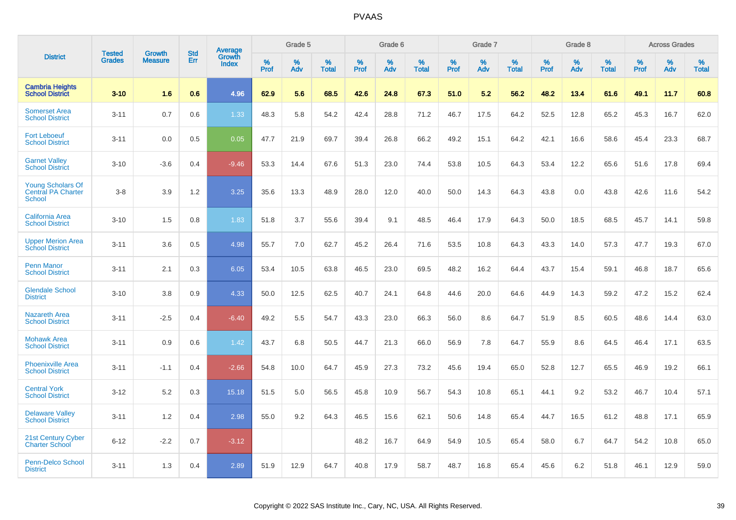|                                                                        | <b>Tested</b> | <b>Growth</b>  | <b>Std</b> | Average                |                     | Grade 5  |                      |                     | Grade 6     |                      |              | Grade 7     |                   |              | Grade 8     |                   |                     | <b>Across Grades</b> |                   |
|------------------------------------------------------------------------|---------------|----------------|------------|------------------------|---------------------|----------|----------------------|---------------------|-------------|----------------------|--------------|-------------|-------------------|--------------|-------------|-------------------|---------------------|----------------------|-------------------|
| <b>District</b>                                                        | <b>Grades</b> | <b>Measure</b> | Err        | Growth<br><b>Index</b> | $\%$<br><b>Prof</b> | %<br>Adv | $\%$<br><b>Total</b> | $\%$<br><b>Prof</b> | $\%$<br>Adv | $\%$<br><b>Total</b> | $\%$<br>Prof | $\%$<br>Adv | %<br><b>Total</b> | $\%$<br>Prof | $\%$<br>Adv | %<br><b>Total</b> | $\%$<br><b>Prof</b> | $\%$<br>Adv          | %<br><b>Total</b> |
| <b>Cambria Heights</b><br><b>School District</b>                       | $3 - 10$      | 1.6            | 0.6        | 4.96                   | 62.9                | 5.6      | 68.5                 | 42.6                | 24.8        | 67.3                 | 51.0         | 5.2         | 56.2              | 48.2         | 13.4        | 61.6              | 49.1                | 11.7                 | 60.8              |
| <b>Somerset Area</b><br><b>School District</b>                         | $3 - 11$      | 0.7            | 0.6        | 1.33                   | 48.3                | 5.8      | 54.2                 | 42.4                | 28.8        | 71.2                 | 46.7         | 17.5        | 64.2              | 52.5         | 12.8        | 65.2              | 45.3                | 16.7                 | 62.0              |
| <b>Fort Leboeuf</b><br><b>School District</b>                          | $3 - 11$      | 0.0            | 0.5        | 0.05                   | 47.7                | 21.9     | 69.7                 | 39.4                | 26.8        | 66.2                 | 49.2         | 15.1        | 64.2              | 42.1         | 16.6        | 58.6              | 45.4                | 23.3                 | 68.7              |
| <b>Garnet Valley</b><br><b>School District</b>                         | $3 - 10$      | $-3.6$         | 0.4        | $-9.46$                | 53.3                | 14.4     | 67.6                 | 51.3                | 23.0        | 74.4                 | 53.8         | 10.5        | 64.3              | 53.4         | 12.2        | 65.6              | 51.6                | 17.8                 | 69.4              |
| <b>Young Scholars Of</b><br><b>Central PA Charter</b><br><b>School</b> | $3 - 8$       | 3.9            | 1.2        | 3.25                   | 35.6                | 13.3     | 48.9                 | 28.0                | 12.0        | 40.0                 | 50.0         | 14.3        | 64.3              | 43.8         | 0.0         | 43.8              | 42.6                | 11.6                 | 54.2              |
| <b>California Area</b><br><b>School District</b>                       | $3 - 10$      | 1.5            | 0.8        | 1.83                   | 51.8                | 3.7      | 55.6                 | 39.4                | 9.1         | 48.5                 | 46.4         | 17.9        | 64.3              | 50.0         | 18.5        | 68.5              | 45.7                | 14.1                 | 59.8              |
| <b>Upper Merion Area</b><br><b>School District</b>                     | $3 - 11$      | 3.6            | 0.5        | 4.98                   | 55.7                | 7.0      | 62.7                 | 45.2                | 26.4        | 71.6                 | 53.5         | 10.8        | 64.3              | 43.3         | 14.0        | 57.3              | 47.7                | 19.3                 | 67.0              |
| <b>Penn Manor</b><br><b>School District</b>                            | $3 - 11$      | 2.1            | 0.3        | 6.05                   | 53.4                | 10.5     | 63.8                 | 46.5                | 23.0        | 69.5                 | 48.2         | 16.2        | 64.4              | 43.7         | 15.4        | 59.1              | 46.8                | 18.7                 | 65.6              |
| <b>Glendale School</b><br><b>District</b>                              | $3 - 10$      | 3.8            | 0.9        | 4.33                   | 50.0                | 12.5     | 62.5                 | 40.7                | 24.1        | 64.8                 | 44.6         | 20.0        | 64.6              | 44.9         | 14.3        | 59.2              | 47.2                | 15.2                 | 62.4              |
| <b>Nazareth Area</b><br><b>School District</b>                         | $3 - 11$      | $-2.5$         | 0.4        | $-6.40$                | 49.2                | 5.5      | 54.7                 | 43.3                | 23.0        | 66.3                 | 56.0         | 8.6         | 64.7              | 51.9         | 8.5         | 60.5              | 48.6                | 14.4                 | 63.0              |
| <b>Mohawk Area</b><br><b>School District</b>                           | $3 - 11$      | 0.9            | 0.6        | 1.42                   | 43.7                | 6.8      | 50.5                 | 44.7                | 21.3        | 66.0                 | 56.9         | 7.8         | 64.7              | 55.9         | 8.6         | 64.5              | 46.4                | 17.1                 | 63.5              |
| <b>Phoenixville Area</b><br><b>School District</b>                     | $3 - 11$      | $-1.1$         | 0.4        | $-2.66$                | 54.8                | 10.0     | 64.7                 | 45.9                | 27.3        | 73.2                 | 45.6         | 19.4        | 65.0              | 52.8         | 12.7        | 65.5              | 46.9                | 19.2                 | 66.1              |
| <b>Central York</b><br><b>School District</b>                          | $3 - 12$      | 5.2            | 0.3        | 15.18                  | 51.5                | 5.0      | 56.5                 | 45.8                | 10.9        | 56.7                 | 54.3         | 10.8        | 65.1              | 44.1         | 9.2         | 53.2              | 46.7                | 10.4                 | 57.1              |
| <b>Delaware Valley</b><br><b>School District</b>                       | $3 - 11$      | 1.2            | 0.4        | 2.98                   | 55.0                | 9.2      | 64.3                 | 46.5                | 15.6        | 62.1                 | 50.6         | 14.8        | 65.4              | 44.7         | 16.5        | 61.2              | 48.8                | 17.1                 | 65.9              |
| 21st Century Cyber<br>Charter School                                   | $6 - 12$      | $-2.2$         | 0.7        | $-3.12$                |                     |          |                      | 48.2                | 16.7        | 64.9                 | 54.9         | 10.5        | 65.4              | 58.0         | 6.7         | 64.7              | 54.2                | 10.8                 | 65.0              |
| <b>Penn-Delco School</b><br><b>District</b>                            | $3 - 11$      | 1.3            | 0.4        | 2.89                   | 51.9                | 12.9     | 64.7                 | 40.8                | 17.9        | 58.7                 | 48.7         | 16.8        | 65.4              | 45.6         | 6.2         | 51.8              | 46.1                | 12.9                 | 59.0              |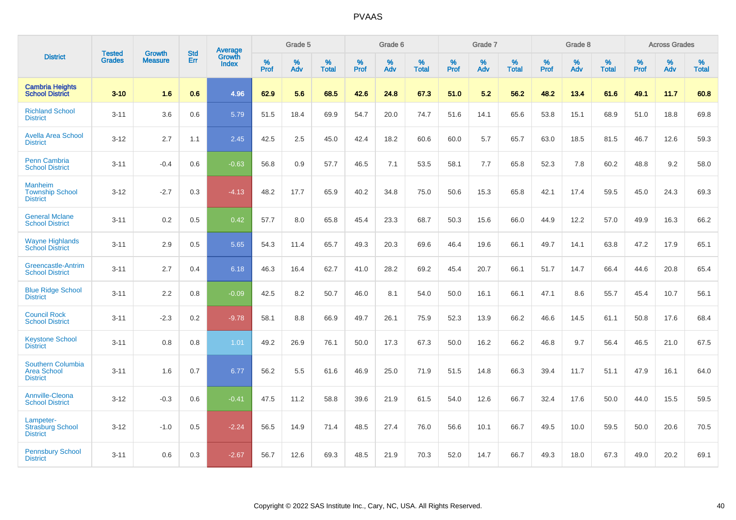|                                                                   | <b>Tested</b> | <b>Growth</b>  | <b>Std</b> | <b>Average</b>         |           | Grade 5  |                   |           | Grade 6  |                   |           | Grade 7  |                   |           | Grade 8  |                   |           | <b>Across Grades</b> |                   |
|-------------------------------------------------------------------|---------------|----------------|------------|------------------------|-----------|----------|-------------------|-----------|----------|-------------------|-----------|----------|-------------------|-----------|----------|-------------------|-----------|----------------------|-------------------|
| <b>District</b>                                                   | <b>Grades</b> | <b>Measure</b> | Err        | Growth<br><b>Index</b> | %<br>Prof | %<br>Adv | %<br><b>Total</b> | %<br>Prof | %<br>Adv | %<br><b>Total</b> | %<br>Prof | %<br>Adv | %<br><b>Total</b> | %<br>Prof | %<br>Adv | %<br><b>Total</b> | %<br>Prof | %<br>Adv             | %<br><b>Total</b> |
| <b>Cambria Heights</b><br><b>School District</b>                  | $3 - 10$      | 1.6            | 0.6        | 4.96                   | 62.9      | 5.6      | 68.5              | 42.6      | 24.8     | 67.3              | 51.0      | 5.2      | 56.2              | 48.2      | 13.4     | 61.6              | 49.1      | 11.7                 | 60.8              |
| <b>Richland School</b><br><b>District</b>                         | $3 - 11$      | 3.6            | 0.6        | 5.79                   | 51.5      | 18.4     | 69.9              | 54.7      | 20.0     | 74.7              | 51.6      | 14.1     | 65.6              | 53.8      | 15.1     | 68.9              | 51.0      | 18.8                 | 69.8              |
| <b>Avella Area School</b><br><b>District</b>                      | $3 - 12$      | 2.7            | 1.1        | 2.45                   | 42.5      | 2.5      | 45.0              | 42.4      | 18.2     | 60.6              | 60.0      | 5.7      | 65.7              | 63.0      | 18.5     | 81.5              | 46.7      | 12.6                 | 59.3              |
| Penn Cambria<br><b>School District</b>                            | $3 - 11$      | $-0.4$         | 0.6        | $-0.63$                | 56.8      | 0.9      | 57.7              | 46.5      | 7.1      | 53.5              | 58.1      | 7.7      | 65.8              | 52.3      | 7.8      | 60.2              | 48.8      | 9.2                  | 58.0              |
| <b>Manheim</b><br><b>Township School</b><br><b>District</b>       | $3 - 12$      | $-2.7$         | 0.3        | $-4.13$                | 48.2      | 17.7     | 65.9              | 40.2      | 34.8     | 75.0              | 50.6      | 15.3     | 65.8              | 42.1      | 17.4     | 59.5              | 45.0      | 24.3                 | 69.3              |
| <b>General Mclane</b><br><b>School District</b>                   | $3 - 11$      | 0.2            | 0.5        | 0.42                   | 57.7      | 8.0      | 65.8              | 45.4      | 23.3     | 68.7              | 50.3      | 15.6     | 66.0              | 44.9      | 12.2     | 57.0              | 49.9      | 16.3                 | 66.2              |
| <b>Wayne Highlands</b><br><b>School District</b>                  | $3 - 11$      | 2.9            | 0.5        | 5.65                   | 54.3      | 11.4     | 65.7              | 49.3      | 20.3     | 69.6              | 46.4      | 19.6     | 66.1              | 49.7      | 14.1     | 63.8              | 47.2      | 17.9                 | 65.1              |
| <b>Greencastle-Antrim</b><br><b>School District</b>               | $3 - 11$      | 2.7            | 0.4        | 6.18                   | 46.3      | 16.4     | 62.7              | 41.0      | 28.2     | 69.2              | 45.4      | 20.7     | 66.1              | 51.7      | 14.7     | 66.4              | 44.6      | 20.8                 | 65.4              |
| <b>Blue Ridge School</b><br><b>District</b>                       | $3 - 11$      | 2.2            | 0.8        | $-0.09$                | 42.5      | 8.2      | 50.7              | 46.0      | 8.1      | 54.0              | 50.0      | 16.1     | 66.1              | 47.1      | 8.6      | 55.7              | 45.4      | 10.7                 | 56.1              |
| <b>Council Rock</b><br><b>School District</b>                     | $3 - 11$      | $-2.3$         | 0.2        | $-9.78$                | 58.1      | 8.8      | 66.9              | 49.7      | 26.1     | 75.9              | 52.3      | 13.9     | 66.2              | 46.6      | 14.5     | 61.1              | 50.8      | 17.6                 | 68.4              |
| <b>Keystone School</b><br><b>District</b>                         | $3 - 11$      | 0.8            | 0.8        | 1.01                   | 49.2      | 26.9     | 76.1              | 50.0      | 17.3     | 67.3              | 50.0      | 16.2     | 66.2              | 46.8      | 9.7      | 56.4              | 46.5      | 21.0                 | 67.5              |
| <b>Southern Columbia</b><br><b>Area School</b><br><b>District</b> | $3 - 11$      | 1.6            | 0.7        | 6.77                   | 56.2      | 5.5      | 61.6              | 46.9      | 25.0     | 71.9              | 51.5      | 14.8     | 66.3              | 39.4      | 11.7     | 51.1              | 47.9      | 16.1                 | 64.0              |
| <b>Annville-Cleona</b><br><b>School District</b>                  | $3 - 12$      | $-0.3$         | 0.6        | $-0.41$                | 47.5      | 11.2     | 58.8              | 39.6      | 21.9     | 61.5              | 54.0      | 12.6     | 66.7              | 32.4      | 17.6     | 50.0              | 44.0      | 15.5                 | 59.5              |
| Lampeter-<br><b>Strasburg School</b><br><b>District</b>           | $3 - 12$      | $-1.0$         | 0.5        | $-2.24$                | 56.5      | 14.9     | 71.4              | 48.5      | 27.4     | 76.0              | 56.6      | 10.1     | 66.7              | 49.5      | 10.0     | 59.5              | 50.0      | 20.6                 | 70.5              |
| <b>Pennsbury School</b><br><b>District</b>                        | $3 - 11$      | 0.6            | 0.3        | $-2.67$                | 56.7      | 12.6     | 69.3              | 48.5      | 21.9     | 70.3              | 52.0      | 14.7     | 66.7              | 49.3      | 18.0     | 67.3              | 49.0      | 20.2                 | 69.1              |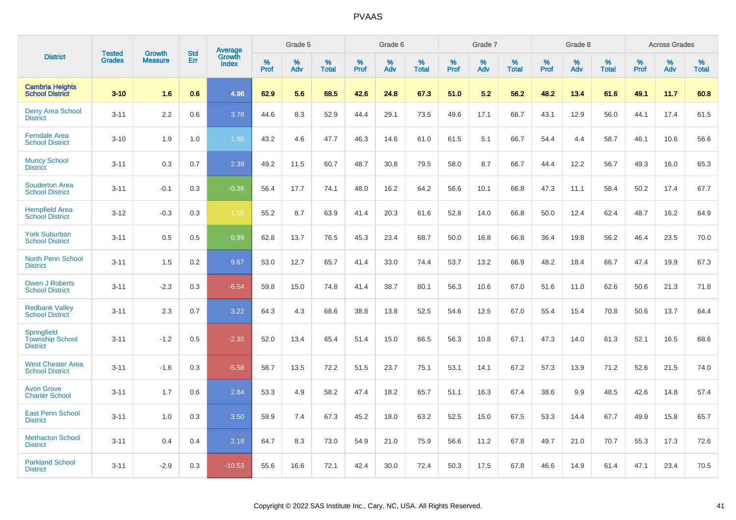|                                                          | <b>Tested</b> | <b>Growth</b>  | <b>Std</b> | Average                |              | Grade 5  |                      |                     | Grade 6     |                   |              | Grade 7     |                   |              | Grade 8  |                   |                     | <b>Across Grades</b> |                   |
|----------------------------------------------------------|---------------|----------------|------------|------------------------|--------------|----------|----------------------|---------------------|-------------|-------------------|--------------|-------------|-------------------|--------------|----------|-------------------|---------------------|----------------------|-------------------|
| <b>District</b>                                          | <b>Grades</b> | <b>Measure</b> | Err        | Growth<br><b>Index</b> | $\%$<br>Prof | %<br>Adv | $\%$<br><b>Total</b> | $\%$<br><b>Prof</b> | $\%$<br>Adv | %<br><b>Total</b> | $\%$<br>Prof | $\%$<br>Adv | %<br><b>Total</b> | $\%$<br>Prof | %<br>Adv | %<br><b>Total</b> | $\%$<br><b>Prof</b> | $\%$<br>Adv          | %<br><b>Total</b> |
| <b>Cambria Heights</b><br><b>School District</b>         | $3 - 10$      | 1.6            | 0.6        | 4.96                   | 62.9         | 5.6      | 68.5                 | 42.6                | 24.8        | 67.3              | 51.0         | 5.2         | 56.2              | 48.2         | 13.4     | 61.6              | 49.1                | 11.7                 | 60.8              |
| <b>Derry Area School</b><br><b>District</b>              | $3 - 11$      | 2.2            | 0.6        | 3.78                   | 44.6         | 8.3      | 52.9                 | 44.4                | 29.1        | 73.5              | 49.6         | 17.1        | 66.7              | 43.1         | 12.9     | 56.0              | 44.1                | 17.4                 | 61.5              |
| <b>Ferndale Area</b><br><b>School District</b>           | $3 - 10$      | 1.9            | 1.0        | 1.95                   | 43.2         | 4.6      | 47.7                 | 46.3                | 14.6        | 61.0              | 61.5         | 5.1         | 66.7              | 54.4         | 4.4      | 58.7              | 46.1                | 10.6                 | 56.6              |
| <b>Muncy School</b><br><b>District</b>                   | $3 - 11$      | 0.3            | 0.7        | 2.39                   | 49.2         | 11.5     | 60.7                 | 48.7                | 30.8        | 79.5              | 58.0         | 8.7         | 66.7              | 44.4         | 12.2     | 56.7              | 49.3                | 16.0                 | 65.3              |
| <b>Souderton Area</b><br><b>School District</b>          | $3 - 11$      | $-0.1$         | 0.3        | $-0.36$                | 56.4         | 17.7     | 74.1                 | 48.0                | 16.2        | 64.2              | 56.6         | 10.1        | 66.8              | 47.3         | 11.1     | 58.4              | 50.2                | 17.4                 | 67.7              |
| <b>Hempfield Area</b><br><b>School District</b>          | $3 - 12$      | $-0.3$         | 0.3        | $-1.06$                | 55.2         | 8.7      | 63.9                 | 41.4                | 20.3        | 61.6              | 52.8         | 14.0        | 66.8              | 50.0         | 12.4     | 62.4              | 48.7                | 16.2                 | 64.9              |
| <b>York Suburban</b><br><b>School District</b>           | $3 - 11$      | 0.5            | 0.5        | 0.99 <sub>1</sub>      | 62.8         | 13.7     | 76.5                 | 45.3                | 23.4        | 68.7              | 50.0         | 16.8        | 66.8              | 36.4         | 19.8     | 56.2              | 46.4                | 23.5                 | 70.0              |
| <b>North Penn School</b><br><b>District</b>              | $3 - 11$      | 1.5            | 0.2        | 9.67                   | 53.0         | 12.7     | 65.7                 | 41.4                | 33.0        | 74.4              | 53.7         | 13.2        | 66.9              | 48.2         | 18.4     | 66.7              | 47.4                | 19.9                 | 67.3              |
| <b>Owen J Roberts</b><br><b>School District</b>          | $3 - 11$      | $-2.3$         | 0.3        | $-6.54$                | 59.8         | 15.0     | 74.8                 | 41.4                | 38.7        | 80.1              | 56.3         | 10.6        | 67.0              | 51.6         | 11.0     | 62.6              | 50.6                | 21.3                 | 71.8              |
| <b>Redbank Valley</b><br><b>School District</b>          | $3 - 11$      | 2.3            | 0.7        | 3.22                   | 64.3         | 4.3      | 68.6                 | 38.8                | 13.8        | 52.5              | 54.6         | 12.5        | 67.0              | 55.4         | 15.4     | 70.8              | 50.6                | 13.7                 | 64.4              |
| Springfield<br><b>Township School</b><br><b>District</b> | $3 - 11$      | $-1.2$         | 0.5        | $-2.35$                | 52.0         | 13.4     | 65.4                 | 51.4                | 15.0        | 66.5              | 56.3         | 10.8        | 67.1              | 47.3         | 14.0     | 61.3              | 52.1                | 16.5                 | 68.6              |
| <b>West Chester Area</b><br><b>School District</b>       | $3 - 11$      | $-1.6$         | 0.3        | $-5.58$                | 58.7         | 13.5     | 72.2                 | 51.5                | 23.7        | 75.1              | 53.1         | 14.1        | 67.2              | 57.3         | 13.9     | 71.2              | 52.6                | 21.5                 | 74.0              |
| <b>Avon Grove</b><br><b>Charter School</b>               | $3 - 11$      | 1.7            | 0.6        | 2.84                   | 53.3         | 4.9      | 58.2                 | 47.4                | 18.2        | 65.7              | 51.1         | 16.3        | 67.4              | 38.6         | 9.9      | 48.5              | 42.6                | 14.8                 | 57.4              |
| <b>East Penn School</b><br><b>District</b>               | $3 - 11$      | 1.0            | 0.3        | 3.50                   | 59.9         | 7.4      | 67.3                 | 45.2                | 18.0        | 63.2              | 52.5         | 15.0        | 67.5              | 53.3         | 14.4     | 67.7              | 49.9                | 15.8                 | 65.7              |
| <b>Methacton School</b><br><b>District</b>               | $3 - 11$      | 0.4            | 0.4        | 2.18                   | 64.7         | 8.3      | 73.0                 | 54.9                | 21.0        | 75.9              | 56.6         | 11.2        | 67.8              | 49.7         | 21.0     | 70.7              | 55.3                | 17.3                 | 72.6              |
| <b>Parkland School</b><br><b>District</b>                | $3 - 11$      | $-2.9$         | 0.3        | $-10.53$               | 55.6         | 16.6     | 72.1                 | 42.4                | 30.0        | 72.4              | 50.3         | 17.5        | 67.8              | 46.6         | 14.9     | 61.4              | 47.1                | 23.4                 | 70.5              |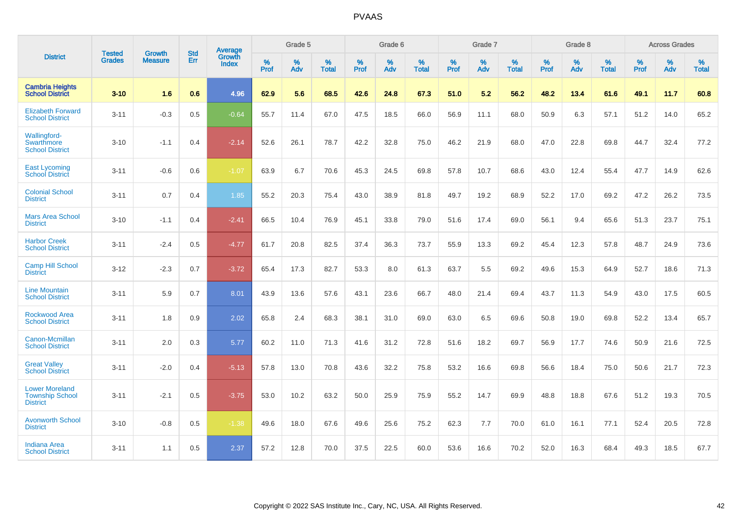|                                                                    | <b>Tested</b> | <b>Growth</b>  | <b>Std</b> | <b>Average</b>         |           | Grade 5  |                   |           | Grade 6  |                   |                  | Grade 7  |                   |           | Grade 8  |                   |           | <b>Across Grades</b> |                   |
|--------------------------------------------------------------------|---------------|----------------|------------|------------------------|-----------|----------|-------------------|-----------|----------|-------------------|------------------|----------|-------------------|-----------|----------|-------------------|-----------|----------------------|-------------------|
| <b>District</b>                                                    | <b>Grades</b> | <b>Measure</b> | Err        | Growth<br><b>Index</b> | %<br>Prof | %<br>Adv | %<br><b>Total</b> | %<br>Prof | %<br>Adv | %<br><b>Total</b> | %<br><b>Prof</b> | %<br>Adv | %<br><b>Total</b> | %<br>Prof | %<br>Adv | %<br><b>Total</b> | %<br>Prof | %<br>Adv             | %<br><b>Total</b> |
| <b>Cambria Heights</b><br><b>School District</b>                   | $3 - 10$      | 1.6            | 0.6        | 4.96                   | 62.9      | 5.6      | 68.5              | 42.6      | 24.8     | 67.3              | 51.0             | 5.2      | 56.2              | 48.2      | 13.4     | 61.6              | 49.1      | 11.7                 | 60.8              |
| <b>Elizabeth Forward</b><br><b>School District</b>                 | $3 - 11$      | $-0.3$         | 0.5        | $-0.64$                | 55.7      | 11.4     | 67.0              | 47.5      | 18.5     | 66.0              | 56.9             | 11.1     | 68.0              | 50.9      | 6.3      | 57.1              | 51.2      | 14.0                 | 65.2              |
| Wallingford-<br><b>Swarthmore</b><br><b>School District</b>        | $3 - 10$      | $-1.1$         | 0.4        | $-2.14$                | 52.6      | 26.1     | 78.7              | 42.2      | 32.8     | 75.0              | 46.2             | 21.9     | 68.0              | 47.0      | 22.8     | 69.8              | 44.7      | 32.4                 | 77.2              |
| <b>East Lycoming</b><br><b>School District</b>                     | $3 - 11$      | $-0.6$         | 0.6        | $-1.07$                | 63.9      | 6.7      | 70.6              | 45.3      | 24.5     | 69.8              | 57.8             | 10.7     | 68.6              | 43.0      | 12.4     | 55.4              | 47.7      | 14.9                 | 62.6              |
| <b>Colonial School</b><br><b>District</b>                          | $3 - 11$      | 0.7            | 0.4        | 1.85                   | 55.2      | 20.3     | 75.4              | 43.0      | 38.9     | 81.8              | 49.7             | 19.2     | 68.9              | 52.2      | 17.0     | 69.2              | 47.2      | 26.2                 | 73.5              |
| <b>Mars Area School</b><br><b>District</b>                         | $3 - 10$      | $-1.1$         | 0.4        | $-2.41$                | 66.5      | 10.4     | 76.9              | 45.1      | 33.8     | 79.0              | 51.6             | 17.4     | 69.0              | 56.1      | 9.4      | 65.6              | 51.3      | 23.7                 | 75.1              |
| <b>Harbor Creek</b><br><b>School District</b>                      | $3 - 11$      | $-2.4$         | 0.5        | $-4.77$                | 61.7      | 20.8     | 82.5              | 37.4      | 36.3     | 73.7              | 55.9             | 13.3     | 69.2              | 45.4      | 12.3     | 57.8              | 48.7      | 24.9                 | 73.6              |
| <b>Camp Hill School</b><br><b>District</b>                         | $3 - 12$      | $-2.3$         | 0.7        | $-3.72$                | 65.4      | 17.3     | 82.7              | 53.3      | 8.0      | 61.3              | 63.7             | 5.5      | 69.2              | 49.6      | 15.3     | 64.9              | 52.7      | 18.6                 | 71.3              |
| <b>Line Mountain</b><br><b>School District</b>                     | $3 - 11$      | 5.9            | 0.7        | 8.01                   | 43.9      | 13.6     | 57.6              | 43.1      | 23.6     | 66.7              | 48.0             | 21.4     | 69.4              | 43.7      | 11.3     | 54.9              | 43.0      | 17.5                 | 60.5              |
| <b>Rockwood Area</b><br><b>School District</b>                     | $3 - 11$      | 1.8            | 0.9        | 2.02                   | 65.8      | 2.4      | 68.3              | 38.1      | 31.0     | 69.0              | 63.0             | 6.5      | 69.6              | 50.8      | 19.0     | 69.8              | 52.2      | 13.4                 | 65.7              |
| Canon-Mcmillan<br><b>School District</b>                           | $3 - 11$      | 2.0            | 0.3        | 5.77                   | 60.2      | 11.0     | 71.3              | 41.6      | 31.2     | 72.8              | 51.6             | 18.2     | 69.7              | 56.9      | 17.7     | 74.6              | 50.9      | 21.6                 | 72.5              |
| <b>Great Valley</b><br><b>School District</b>                      | $3 - 11$      | $-2.0$         | 0.4        | $-5.13$                | 57.8      | 13.0     | 70.8              | 43.6      | 32.2     | 75.8              | 53.2             | 16.6     | 69.8              | 56.6      | 18.4     | 75.0              | 50.6      | 21.7                 | 72.3              |
| <b>Lower Moreland</b><br><b>Township School</b><br><b>District</b> | $3 - 11$      | $-2.1$         | 0.5        | $-3.75$                | 53.0      | 10.2     | 63.2              | 50.0      | 25.9     | 75.9              | 55.2             | 14.7     | 69.9              | 48.8      | 18.8     | 67.6              | 51.2      | 19.3                 | 70.5              |
| <b>Avonworth School</b><br><b>District</b>                         | $3 - 10$      | $-0.8$         | 0.5        | $-1.38$                | 49.6      | 18.0     | 67.6              | 49.6      | 25.6     | 75.2              | 62.3             | 7.7      | 70.0              | 61.0      | 16.1     | 77.1              | 52.4      | 20.5                 | 72.8              |
| <b>Indiana Area</b><br><b>School District</b>                      | $3 - 11$      | 1.1            | 0.5        | 2.37                   | 57.2      | 12.8     | 70.0              | 37.5      | 22.5     | 60.0              | 53.6             | 16.6     | 70.2              | 52.0      | 16.3     | 68.4              | 49.3      | 18.5                 | 67.7              |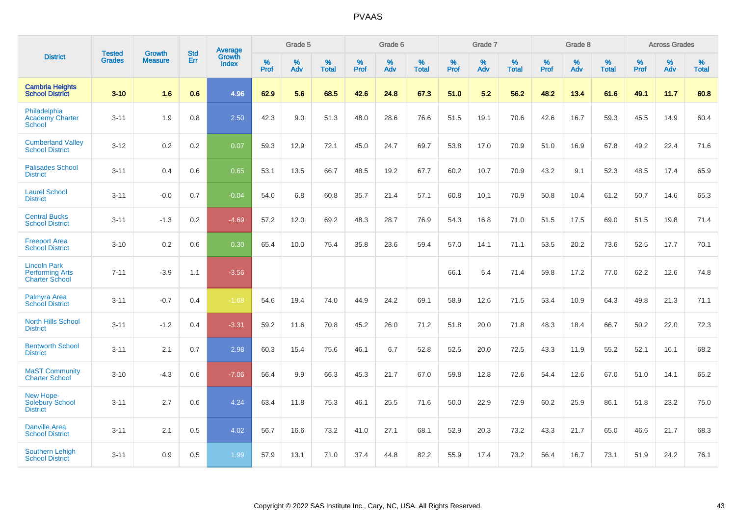|                                                                        | <b>Tested</b> | <b>Growth</b>  | <b>Std</b> | Average                       |           | Grade 5  |                   |           | Grade 6  |                   |           | Grade 7  |                   |           | Grade 8  |                   |           | <b>Across Grades</b> |                   |
|------------------------------------------------------------------------|---------------|----------------|------------|-------------------------------|-----------|----------|-------------------|-----------|----------|-------------------|-----------|----------|-------------------|-----------|----------|-------------------|-----------|----------------------|-------------------|
| <b>District</b>                                                        | <b>Grades</b> | <b>Measure</b> | <b>Err</b> | <b>Growth</b><br><b>Index</b> | %<br>Prof | %<br>Adv | %<br><b>Total</b> | %<br>Prof | %<br>Adv | %<br><b>Total</b> | %<br>Prof | %<br>Adv | %<br><b>Total</b> | %<br>Prof | %<br>Adv | %<br><b>Total</b> | %<br>Prof | %<br>Adv             | %<br><b>Total</b> |
| <b>Cambria Heights</b><br><b>School District</b>                       | $3 - 10$      | 1.6            | 0.6        | 4.96                          | 62.9      | 5.6      | 68.5              | 42.6      | 24.8     | 67.3              | 51.0      | 5.2      | 56.2              | 48.2      | 13.4     | 61.6              | 49.1      | 11.7                 | 60.8              |
| Philadelphia<br><b>Academy Charter</b><br><b>School</b>                | $3 - 11$      | 1.9            | 0.8        | 2.50                          | 42.3      | 9.0      | 51.3              | 48.0      | 28.6     | 76.6              | 51.5      | 19.1     | 70.6              | 42.6      | 16.7     | 59.3              | 45.5      | 14.9                 | 60.4              |
| <b>Cumberland Valley</b><br><b>School District</b>                     | $3 - 12$      | 0.2            | 0.2        | 0.07                          | 59.3      | 12.9     | 72.1              | 45.0      | 24.7     | 69.7              | 53.8      | 17.0     | 70.9              | 51.0      | 16.9     | 67.8              | 49.2      | 22.4                 | 71.6              |
| <b>Palisades School</b><br><b>District</b>                             | $3 - 11$      | 0.4            | 0.6        | 0.65                          | 53.1      | 13.5     | 66.7              | 48.5      | 19.2     | 67.7              | 60.2      | 10.7     | 70.9              | 43.2      | 9.1      | 52.3              | 48.5      | 17.4                 | 65.9              |
| <b>Laurel School</b><br><b>District</b>                                | $3 - 11$      | $-0.0$         | 0.7        | $-0.04$                       | 54.0      | 6.8      | 60.8              | 35.7      | 21.4     | 57.1              | 60.8      | 10.1     | 70.9              | 50.8      | 10.4     | 61.2              | 50.7      | 14.6                 | 65.3              |
| <b>Central Bucks</b><br><b>School District</b>                         | $3 - 11$      | $-1.3$         | 0.2        | $-4.69$                       | 57.2      | 12.0     | 69.2              | 48.3      | 28.7     | 76.9              | 54.3      | 16.8     | 71.0              | 51.5      | 17.5     | 69.0              | 51.5      | 19.8                 | 71.4              |
| <b>Freeport Area</b><br><b>School District</b>                         | $3 - 10$      | 0.2            | 0.6        | 0.30                          | 65.4      | 10.0     | 75.4              | 35.8      | 23.6     | 59.4              | 57.0      | 14.1     | 71.1              | 53.5      | 20.2     | 73.6              | 52.5      | 17.7                 | 70.1              |
| <b>Lincoln Park</b><br><b>Performing Arts</b><br><b>Charter School</b> | $7 - 11$      | $-3.9$         | 1.1        | $-3.56$                       |           |          |                   |           |          |                   | 66.1      | 5.4      | 71.4              | 59.8      | 17.2     | 77.0              | 62.2      | 12.6                 | 74.8              |
| Palmyra Area<br><b>School District</b>                                 | $3 - 11$      | $-0.7$         | 0.4        | $-1.68$                       | 54.6      | 19.4     | 74.0              | 44.9      | 24.2     | 69.1              | 58.9      | 12.6     | 71.5              | 53.4      | 10.9     | 64.3              | 49.8      | 21.3                 | 71.1              |
| <b>North Hills School</b><br><b>District</b>                           | $3 - 11$      | $-1.2$         | 0.4        | $-3.31$                       | 59.2      | 11.6     | 70.8              | 45.2      | 26.0     | 71.2              | 51.8      | 20.0     | 71.8              | 48.3      | 18.4     | 66.7              | 50.2      | 22.0                 | 72.3              |
| <b>Bentworth School</b><br><b>District</b>                             | $3 - 11$      | 2.1            | 0.7        | 2.98                          | 60.3      | 15.4     | 75.6              | 46.1      | 6.7      | 52.8              | 52.5      | 20.0     | 72.5              | 43.3      | 11.9     | 55.2              | 52.1      | 16.1                 | 68.2              |
| <b>MaST Community</b><br><b>Charter School</b>                         | $3 - 10$      | $-4.3$         | 0.6        | $-7.06$                       | 56.4      | 9.9      | 66.3              | 45.3      | 21.7     | 67.0              | 59.8      | 12.8     | 72.6              | 54.4      | 12.6     | 67.0              | 51.0      | 14.1                 | 65.2              |
| New Hope-<br><b>Solebury School</b><br><b>District</b>                 | $3 - 11$      | 2.7            | 0.6        | 4.24                          | 63.4      | 11.8     | 75.3              | 46.1      | 25.5     | 71.6              | 50.0      | 22.9     | 72.9              | 60.2      | 25.9     | 86.1              | 51.8      | 23.2                 | 75.0              |
| <b>Danville Area</b><br><b>School District</b>                         | $3 - 11$      | 2.1            | 0.5        | 4.02                          | 56.7      | 16.6     | 73.2              | 41.0      | 27.1     | 68.1              | 52.9      | 20.3     | 73.2              | 43.3      | 21.7     | 65.0              | 46.6      | 21.7                 | 68.3              |
| <b>Southern Lehigh</b><br><b>School District</b>                       | $3 - 11$      | 0.9            | 0.5        | 1.99                          | 57.9      | 13.1     | 71.0              | 37.4      | 44.8     | 82.2              | 55.9      | 17.4     | 73.2              | 56.4      | 16.7     | 73.1              | 51.9      | 24.2                 | 76.1              |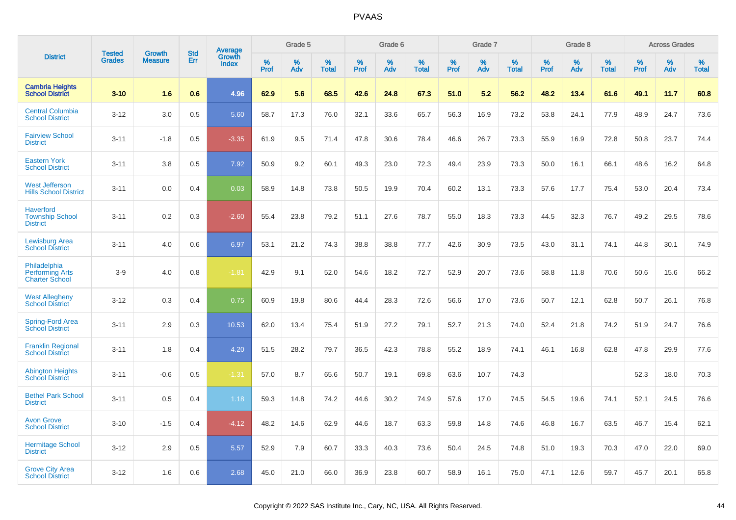|                                                                 | <b>Tested</b> | <b>Growth</b>  | <b>Std</b> | Average                |              | Grade 5  |                   |              | Grade 6  |                   |              | Grade 7  |                   |           | Grade 8  |                   |           | <b>Across Grades</b> |                   |
|-----------------------------------------------------------------|---------------|----------------|------------|------------------------|--------------|----------|-------------------|--------------|----------|-------------------|--------------|----------|-------------------|-----------|----------|-------------------|-----------|----------------------|-------------------|
| <b>District</b>                                                 | <b>Grades</b> | <b>Measure</b> | Err        | Growth<br><b>Index</b> | $\%$<br>Prof | %<br>Adv | %<br><b>Total</b> | $\%$<br>Prof | %<br>Adv | %<br><b>Total</b> | $\%$<br>Prof | %<br>Adv | %<br><b>Total</b> | %<br>Prof | %<br>Adv | %<br><b>Total</b> | %<br>Prof | $\%$<br>Adv          | %<br><b>Total</b> |
| <b>Cambria Heights</b><br><b>School District</b>                | $3 - 10$      | 1.6            | 0.6        | 4.96                   | 62.9         | 5.6      | 68.5              | 42.6         | 24.8     | 67.3              | 51.0         | 5.2      | 56.2              | 48.2      | 13.4     | 61.6              | 49.1      | 11.7                 | 60.8              |
| <b>Central Columbia</b><br><b>School District</b>               | $3 - 12$      | 3.0            | 0.5        | 5.60                   | 58.7         | 17.3     | 76.0              | 32.1         | 33.6     | 65.7              | 56.3         | 16.9     | 73.2              | 53.8      | 24.1     | 77.9              | 48.9      | 24.7                 | 73.6              |
| <b>Fairview School</b><br><b>District</b>                       | $3 - 11$      | $-1.8$         | 0.5        | $-3.35$                | 61.9         | 9.5      | 71.4              | 47.8         | 30.6     | 78.4              | 46.6         | 26.7     | 73.3              | 55.9      | 16.9     | 72.8              | 50.8      | 23.7                 | 74.4              |
| <b>Eastern York</b><br><b>School District</b>                   | $3 - 11$      | 3.8            | 0.5        | 7.92                   | 50.9         | 9.2      | 60.1              | 49.3         | 23.0     | 72.3              | 49.4         | 23.9     | 73.3              | 50.0      | 16.1     | 66.1              | 48.6      | 16.2                 | 64.8              |
| <b>West Jefferson</b><br><b>Hills School District</b>           | $3 - 11$      | 0.0            | 0.4        | 0.03                   | 58.9         | 14.8     | 73.8              | 50.5         | 19.9     | 70.4              | 60.2         | 13.1     | 73.3              | 57.6      | 17.7     | 75.4              | 53.0      | 20.4                 | 73.4              |
| <b>Haverford</b><br><b>Township School</b><br><b>District</b>   | $3 - 11$      | 0.2            | 0.3        | $-2.60$                | 55.4         | 23.8     | 79.2              | 51.1         | 27.6     | 78.7              | 55.0         | 18.3     | 73.3              | 44.5      | 32.3     | 76.7              | 49.2      | 29.5                 | 78.6              |
| <b>Lewisburg Area</b><br><b>School District</b>                 | $3 - 11$      | 4.0            | 0.6        | 6.97                   | 53.1         | 21.2     | 74.3              | 38.8         | 38.8     | 77.7              | 42.6         | 30.9     | 73.5              | 43.0      | 31.1     | 74.1              | 44.8      | 30.1                 | 74.9              |
| Philadelphia<br><b>Performing Arts</b><br><b>Charter School</b> | $3 - 9$       | 4.0            | 0.8        | $-1.81$                | 42.9         | 9.1      | 52.0              | 54.6         | 18.2     | 72.7              | 52.9         | 20.7     | 73.6              | 58.8      | 11.8     | 70.6              | 50.6      | 15.6                 | 66.2              |
| <b>West Allegheny</b><br><b>School District</b>                 | $3 - 12$      | 0.3            | 0.4        | 0.75                   | 60.9         | 19.8     | 80.6              | 44.4         | 28.3     | 72.6              | 56.6         | 17.0     | 73.6              | 50.7      | 12.1     | 62.8              | 50.7      | 26.1                 | 76.8              |
| <b>Spring-Ford Area</b><br><b>School District</b>               | $3 - 11$      | 2.9            | 0.3        | 10.53                  | 62.0         | 13.4     | 75.4              | 51.9         | 27.2     | 79.1              | 52.7         | 21.3     | 74.0              | 52.4      | 21.8     | 74.2              | 51.9      | 24.7                 | 76.6              |
| <b>Franklin Regional</b><br><b>School District</b>              | $3 - 11$      | 1.8            | 0.4        | 4.20                   | 51.5         | 28.2     | 79.7              | 36.5         | 42.3     | 78.8              | 55.2         | 18.9     | 74.1              | 46.1      | 16.8     | 62.8              | 47.8      | 29.9                 | 77.6              |
| <b>Abington Heights</b><br><b>School District</b>               | $3 - 11$      | $-0.6$         | 0.5        | $-1.31$                | 57.0         | 8.7      | 65.6              | 50.7         | 19.1     | 69.8              | 63.6         | 10.7     | 74.3              |           |          |                   | 52.3      | 18.0                 | 70.3              |
| <b>Bethel Park School</b><br><b>District</b>                    | $3 - 11$      | 0.5            | 0.4        | 1.18                   | 59.3         | 14.8     | 74.2              | 44.6         | 30.2     | 74.9              | 57.6         | 17.0     | 74.5              | 54.5      | 19.6     | 74.1              | 52.1      | 24.5                 | 76.6              |
| <b>Avon Grove</b><br><b>School District</b>                     | $3 - 10$      | $-1.5$         | 0.4        | $-4.12$                | 48.2         | 14.6     | 62.9              | 44.6         | 18.7     | 63.3              | 59.8         | 14.8     | 74.6              | 46.8      | 16.7     | 63.5              | 46.7      | 15.4                 | 62.1              |
| <b>Hermitage School</b><br><b>District</b>                      | $3 - 12$      | 2.9            | 0.5        | 5.57                   | 52.9         | 7.9      | 60.7              | 33.3         | 40.3     | 73.6              | 50.4         | 24.5     | 74.8              | 51.0      | 19.3     | 70.3              | 47.0      | 22.0                 | 69.0              |
| <b>Grove City Area</b><br><b>School District</b>                | $3 - 12$      | 1.6            | 0.6        | 2.68                   | 45.0         | 21.0     | 66.0              | 36.9         | 23.8     | 60.7              | 58.9         | 16.1     | 75.0              | 47.1      | 12.6     | 59.7              | 45.7      | 20.1                 | 65.8              |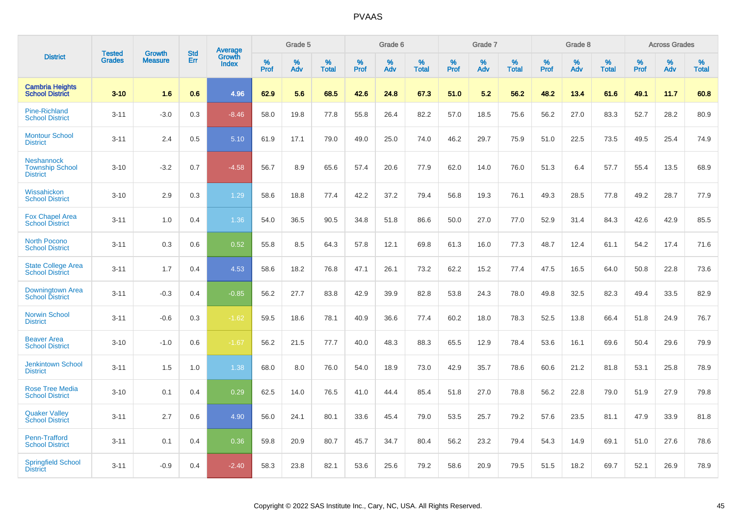|                                                                |                         | <b>Growth</b>  | <b>Std</b> | Average                |              | Grade 5     |                      |                     | Grade 6     |                      |              | Grade 7     |                   |              | Grade 8     |                   |                     | <b>Across Grades</b> |                      |
|----------------------------------------------------------------|-------------------------|----------------|------------|------------------------|--------------|-------------|----------------------|---------------------|-------------|----------------------|--------------|-------------|-------------------|--------------|-------------|-------------------|---------------------|----------------------|----------------------|
| <b>District</b>                                                | Tested<br><b>Grades</b> | <b>Measure</b> | Err        | Growth<br><b>Index</b> | $\%$<br>Prof | $\%$<br>Adv | $\%$<br><b>Total</b> | $\%$<br><b>Prof</b> | $\%$<br>Adv | $\%$<br><b>Total</b> | $\%$<br>Prof | $\%$<br>Adv | %<br><b>Total</b> | $\%$<br>Prof | $\%$<br>Adv | %<br><b>Total</b> | $\%$<br><b>Prof</b> | $\%$<br>Adv          | $\%$<br><b>Total</b> |
| <b>Cambria Heights</b><br><b>School District</b>               | $3 - 10$                | 1.6            | 0.6        | 4.96                   | 62.9         | 5.6         | 68.5                 | 42.6                | 24.8        | 67.3                 | 51.0         | 5.2         | 56.2              | 48.2         | 13.4        | 61.6              | 49.1                | 11.7                 | 60.8                 |
| <b>Pine-Richland</b><br><b>School District</b>                 | $3 - 11$                | $-3.0$         | 0.3        | $-8.46$                | 58.0         | 19.8        | 77.8                 | 55.8                | 26.4        | 82.2                 | 57.0         | 18.5        | 75.6              | 56.2         | 27.0        | 83.3              | 52.7                | 28.2                 | 80.9                 |
| <b>Montour School</b><br><b>District</b>                       | $3 - 11$                | 2.4            | 0.5        | 5.10                   | 61.9         | 17.1        | 79.0                 | 49.0                | 25.0        | 74.0                 | 46.2         | 29.7        | 75.9              | 51.0         | 22.5        | 73.5              | 49.5                | 25.4                 | 74.9                 |
| <b>Neshannock</b><br><b>Township School</b><br><b>District</b> | $3 - 10$                | $-3.2$         | 0.7        | $-4.58$                | 56.7         | 8.9         | 65.6                 | 57.4                | 20.6        | 77.9                 | 62.0         | 14.0        | 76.0              | 51.3         | 6.4         | 57.7              | 55.4                | 13.5                 | 68.9                 |
| Wissahickon<br><b>School District</b>                          | $3 - 10$                | 2.9            | 0.3        | 1.29                   | 58.6         | 18.8        | 77.4                 | 42.2                | 37.2        | 79.4                 | 56.8         | 19.3        | 76.1              | 49.3         | 28.5        | 77.8              | 49.2                | 28.7                 | 77.9                 |
| <b>Fox Chapel Area</b><br><b>School District</b>               | $3 - 11$                | 1.0            | 0.4        | 1.36                   | 54.0         | 36.5        | 90.5                 | 34.8                | 51.8        | 86.6                 | 50.0         | 27.0        | 77.0              | 52.9         | 31.4        | 84.3              | 42.6                | 42.9                 | 85.5                 |
| <b>North Pocono</b><br><b>School District</b>                  | $3 - 11$                | 0.3            | 0.6        | 0.52                   | 55.8         | 8.5         | 64.3                 | 57.8                | 12.1        | 69.8                 | 61.3         | 16.0        | 77.3              | 48.7         | 12.4        | 61.1              | 54.2                | 17.4                 | 71.6                 |
| <b>State College Area</b><br><b>School District</b>            | $3 - 11$                | 1.7            | 0.4        | 4.53                   | 58.6         | 18.2        | 76.8                 | 47.1                | 26.1        | 73.2                 | 62.2         | 15.2        | 77.4              | 47.5         | 16.5        | 64.0              | 50.8                | 22.8                 | 73.6                 |
| Downingtown Area<br><b>School District</b>                     | $3 - 11$                | $-0.3$         | 0.4        | $-0.85$                | 56.2         | 27.7        | 83.8                 | 42.9                | 39.9        | 82.8                 | 53.8         | 24.3        | 78.0              | 49.8         | 32.5        | 82.3              | 49.4                | 33.5                 | 82.9                 |
| <b>Norwin School</b><br><b>District</b>                        | $3 - 11$                | $-0.6$         | 0.3        | $-1.62$                | 59.5         | 18.6        | 78.1                 | 40.9                | 36.6        | 77.4                 | 60.2         | 18.0        | 78.3              | 52.5         | 13.8        | 66.4              | 51.8                | 24.9                 | 76.7                 |
| <b>Beaver Area</b><br><b>School District</b>                   | $3 - 10$                | $-1.0$         | 0.6        | $-1.67$                | 56.2         | 21.5        | 77.7                 | 40.0                | 48.3        | 88.3                 | 65.5         | 12.9        | 78.4              | 53.6         | 16.1        | 69.6              | 50.4                | 29.6                 | 79.9                 |
| <b>Jenkintown School</b><br><b>District</b>                    | $3 - 11$                | 1.5            | 1.0        | 1.38                   | 68.0         | 8.0         | 76.0                 | 54.0                | 18.9        | 73.0                 | 42.9         | 35.7        | 78.6              | 60.6         | 21.2        | 81.8              | 53.1                | 25.8                 | 78.9                 |
| <b>Rose Tree Media</b><br><b>School District</b>               | $3 - 10$                | 0.1            | 0.4        | 0.29                   | 62.5         | 14.0        | 76.5                 | 41.0                | 44.4        | 85.4                 | 51.8         | 27.0        | 78.8              | 56.2         | 22.8        | 79.0              | 51.9                | 27.9                 | 79.8                 |
| <b>Quaker Valley</b><br><b>School District</b>                 | $3 - 11$                | 2.7            | 0.6        | 4.90                   | 56.0         | 24.1        | 80.1                 | 33.6                | 45.4        | 79.0                 | 53.5         | 25.7        | 79.2              | 57.6         | 23.5        | 81.1              | 47.9                | 33.9                 | 81.8                 |
| Penn-Trafford<br><b>School District</b>                        | $3 - 11$                | 0.1            | 0.4        | 0.36                   | 59.8         | 20.9        | 80.7                 | 45.7                | 34.7        | 80.4                 | 56.2         | 23.2        | 79.4              | 54.3         | 14.9        | 69.1              | 51.0                | 27.6                 | 78.6                 |
| <b>Springfield School</b><br><b>District</b>                   | $3 - 11$                | $-0.9$         | 0.4        | $-2.40$                | 58.3         | 23.8        | 82.1                 | 53.6                | 25.6        | 79.2                 | 58.6         | 20.9        | 79.5              | 51.5         | 18.2        | 69.7              | 52.1                | 26.9                 | 78.9                 |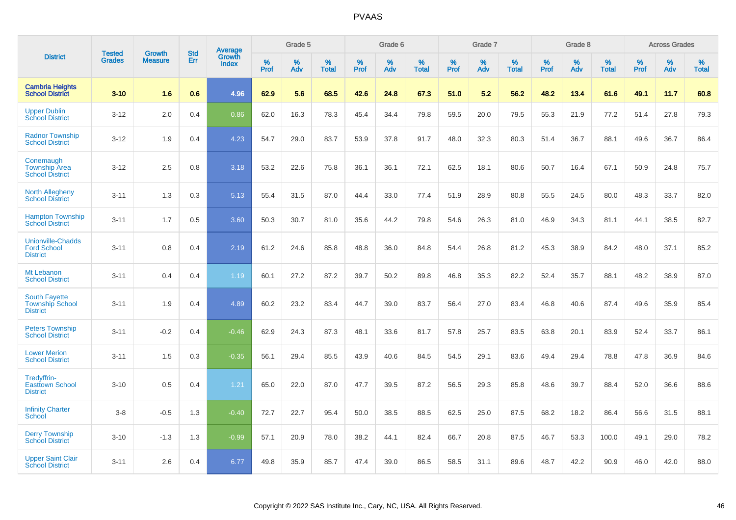|                                                                   | <b>Tested</b> | <b>Growth</b>  | <b>Std</b> | Average                |              | Grade 5  |                   |           | Grade 6  |                   |           | Grade 7  |                   |              | Grade 8  |                   |              | <b>Across Grades</b> |                   |
|-------------------------------------------------------------------|---------------|----------------|------------|------------------------|--------------|----------|-------------------|-----------|----------|-------------------|-----------|----------|-------------------|--------------|----------|-------------------|--------------|----------------------|-------------------|
| <b>District</b>                                                   | <b>Grades</b> | <b>Measure</b> | Err        | Growth<br><b>Index</b> | $\%$<br>Prof | %<br>Adv | %<br><b>Total</b> | %<br>Prof | %<br>Adv | %<br><b>Total</b> | %<br>Prof | %<br>Adv | %<br><b>Total</b> | $\%$<br>Prof | %<br>Adv | %<br><b>Total</b> | $\%$<br>Prof | $\%$<br>Adv          | %<br><b>Total</b> |
| <b>Cambria Heights</b><br><b>School District</b>                  | $3 - 10$      | 1.6            | 0.6        | 4.96                   | 62.9         | 5.6      | 68.5              | 42.6      | 24.8     | 67.3              | 51.0      | 5.2      | 56.2              | 48.2         | 13.4     | 61.6              | 49.1         | 11.7                 | 60.8              |
| <b>Upper Dublin</b><br><b>School District</b>                     | $3 - 12$      | 2.0            | 0.4        | 0.86                   | 62.0         | 16.3     | 78.3              | 45.4      | 34.4     | 79.8              | 59.5      | 20.0     | 79.5              | 55.3         | 21.9     | 77.2              | 51.4         | 27.8                 | 79.3              |
| <b>Radnor Township</b><br><b>School District</b>                  | $3 - 12$      | 1.9            | 0.4        | 4.23                   | 54.7         | 29.0     | 83.7              | 53.9      | 37.8     | 91.7              | 48.0      | 32.3     | 80.3              | 51.4         | 36.7     | 88.1              | 49.6         | 36.7                 | 86.4              |
| Conemaugh<br><b>Township Area</b><br><b>School District</b>       | $3 - 12$      | 2.5            | 0.8        | 3.18                   | 53.2         | 22.6     | 75.8              | 36.1      | 36.1     | 72.1              | 62.5      | 18.1     | 80.6              | 50.7         | 16.4     | 67.1              | 50.9         | 24.8                 | 75.7              |
| <b>North Allegheny</b><br><b>School District</b>                  | $3 - 11$      | 1.3            | 0.3        | 5.13                   | 55.4         | 31.5     | 87.0              | 44.4      | 33.0     | 77.4              | 51.9      | 28.9     | 80.8              | 55.5         | 24.5     | 80.0              | 48.3         | 33.7                 | 82.0              |
| <b>Hampton Township</b><br><b>School District</b>                 | $3 - 11$      | 1.7            | 0.5        | 3.60                   | 50.3         | 30.7     | 81.0              | 35.6      | 44.2     | 79.8              | 54.6      | 26.3     | 81.0              | 46.9         | 34.3     | 81.1              | 44.1         | 38.5                 | 82.7              |
| <b>Unionville-Chadds</b><br><b>Ford School</b><br><b>District</b> | $3 - 11$      | 0.8            | 0.4        | 2.19                   | 61.2         | 24.6     | 85.8              | 48.8      | 36.0     | 84.8              | 54.4      | 26.8     | 81.2              | 45.3         | 38.9     | 84.2              | 48.0         | 37.1                 | 85.2              |
| Mt Lebanon<br><b>School District</b>                              | $3 - 11$      | 0.4            | 0.4        | 1.19                   | 60.1         | 27.2     | 87.2              | 39.7      | 50.2     | 89.8              | 46.8      | 35.3     | 82.2              | 52.4         | 35.7     | 88.1              | 48.2         | 38.9                 | 87.0              |
| <b>South Fayette</b><br><b>Township School</b><br><b>District</b> | $3 - 11$      | 1.9            | 0.4        | 4.89                   | 60.2         | 23.2     | 83.4              | 44.7      | 39.0     | 83.7              | 56.4      | 27.0     | 83.4              | 46.8         | 40.6     | 87.4              | 49.6         | 35.9                 | 85.4              |
| <b>Peters Township</b><br><b>School District</b>                  | $3 - 11$      | $-0.2$         | 0.4        | $-0.46$                | 62.9         | 24.3     | 87.3              | 48.1      | 33.6     | 81.7              | 57.8      | 25.7     | 83.5              | 63.8         | 20.1     | 83.9              | 52.4         | 33.7                 | 86.1              |
| <b>Lower Merion</b><br><b>School District</b>                     | $3 - 11$      | 1.5            | 0.3        | $-0.35$                | 56.1         | 29.4     | 85.5              | 43.9      | 40.6     | 84.5              | 54.5      | 29.1     | 83.6              | 49.4         | 29.4     | 78.8              | 47.8         | 36.9                 | 84.6              |
| Tredyffrin-<br><b>Easttown School</b><br><b>District</b>          | $3 - 10$      | 0.5            | 0.4        | 1.21                   | 65.0         | 22.0     | 87.0              | 47.7      | 39.5     | 87.2              | 56.5      | 29.3     | 85.8              | 48.6         | 39.7     | 88.4              | 52.0         | 36.6                 | 88.6              |
| <b>Infinity Charter</b><br><b>School</b>                          | $3 - 8$       | $-0.5$         | 1.3        | $-0.40$                | 72.7         | 22.7     | 95.4              | 50.0      | 38.5     | 88.5              | 62.5      | 25.0     | 87.5              | 68.2         | 18.2     | 86.4              | 56.6         | 31.5                 | 88.1              |
| <b>Derry Township</b><br><b>School District</b>                   | $3 - 10$      | $-1.3$         | 1.3        | $-0.99$                | 57.1         | 20.9     | 78.0              | 38.2      | 44.1     | 82.4              | 66.7      | 20.8     | 87.5              | 46.7         | 53.3     | 100.0             | 49.1         | 29.0                 | 78.2              |
| <b>Upper Saint Clair</b><br><b>School District</b>                | $3 - 11$      | 2.6            | 0.4        | 6.77                   | 49.8         | 35.9     | 85.7              | 47.4      | 39.0     | 86.5              | 58.5      | 31.1     | 89.6              | 48.7         | 42.2     | 90.9              | 46.0         | 42.0                 | 88.0              |